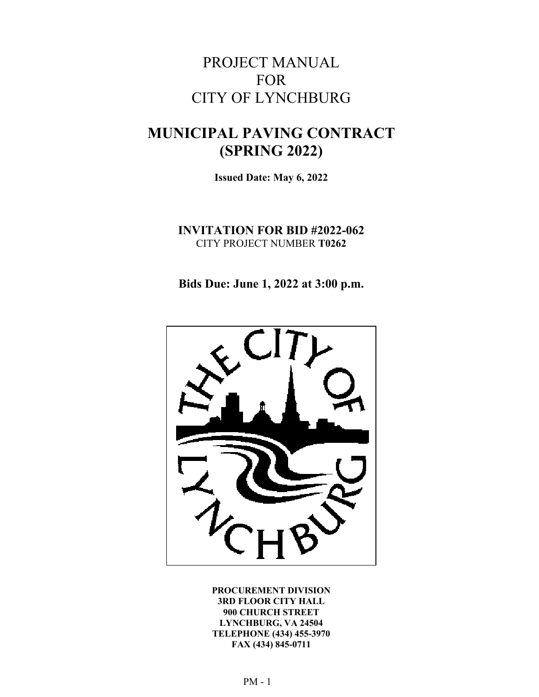# PROJECT MANUAL FOR CITY OF LYNCHBURG

# **MUNICIPAL PAVING CONTRACT (SPRING 2022)**

**Issued Date: May 6, 2022** 

**INVITATION FOR BID #2022-062**  CITY PROJECT NUMBER **T0262**

**Bids Due: June 1, 2022 at 3:00 p.m.** 



**PROCUREMENT DIVISION 3RD FLOOR CITY HALL 900 CHURCH STREET LYNCHBURG, VA 24504 TELEPHONE (434) 455-3970 FAX (434) 845-0711**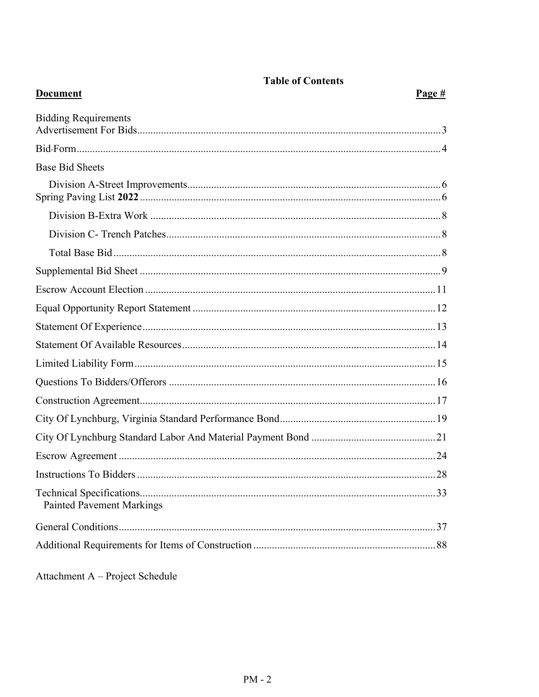| <b>Document</b>                  | Page # |
|----------------------------------|--------|
| <b>Bidding Requirements</b>      |        |
|                                  |        |
| <b>Base Bid Sheets</b>           |        |
|                                  |        |
|                                  |        |
|                                  |        |
|                                  |        |
|                                  |        |
|                                  |        |
|                                  |        |
|                                  |        |
|                                  |        |
|                                  |        |
|                                  |        |
|                                  |        |
|                                  |        |
|                                  |        |
|                                  |        |
|                                  |        |
| <b>Painted Pavement Markings</b> |        |
|                                  |        |
|                                  |        |

**Table of Contents** 

Attachment A - Project Schedule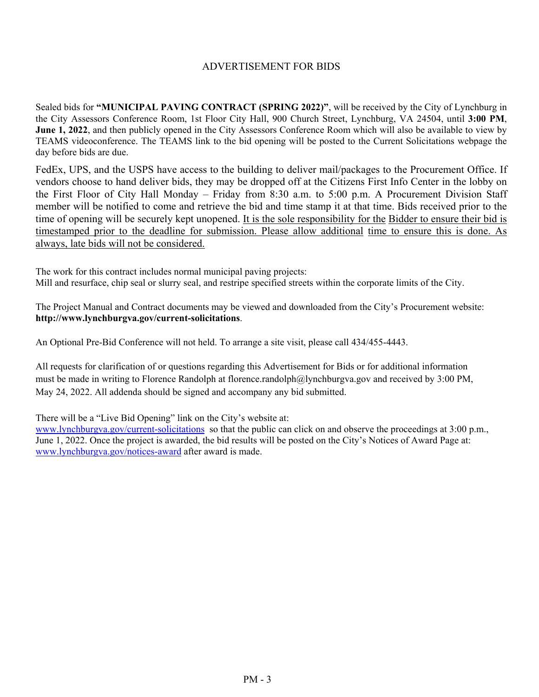#### ADVERTISEMENT FOR BIDS

Sealed bids for **"MUNICIPAL PAVING CONTRACT (SPRING 2022)"**, will be received by the City of Lynchburg in the City Assessors Conference Room, 1st Floor City Hall, 900 Church Street, Lynchburg, VA 24504, until **3:00 PM**, **June 1, 2022**, and then publicly opened in the City Assessors Conference Room which will also be available to view by TEAMS videoconference. The TEAMS link to the bid opening will be posted to the Current Solicitations webpage the day before bids are due.

FedEx, UPS, and the USPS have access to the building to deliver mail/packages to the Procurement Office. If vendors choose to hand deliver bids, they may be dropped off at the Citizens First Info Center in the lobby on the First Floor of City Hall Monday – Friday from 8:30 a.m. to 5:00 p.m. A Procurement Division Staff member will be notified to come and retrieve the bid and time stamp it at that time. Bids received prior to the time of opening will be securely kept unopened. It is the sole responsibility for the Bidder to ensure their bid is timestamped prior to the deadline for submission. Please allow additional time to ensure this is done. As always, late bids will not be considered.

The work for this contract includes normal municipal paving projects: Mill and resurface, chip seal or slurry seal, and restripe specified streets within the corporate limits of the City.

The Project Manual and Contract documents may be viewed and downloaded from the City's Procurement website: **http://www.lynchburgva.gov/current-solicitations**.

An Optional Pre-Bid Conference will not held. To arrange a site visit, please call 434/455-4443.

All requests for clarification of or questions regarding this Advertisement for Bids or for additional information must be made in writing to Florence Randolph at florence.randolph@lynchburgva.gov and received by 3:00 PM, May 24, 2022. All addenda should be signed and accompany any bid submitted.

There will be a "Live Bid Opening" link on the City's website at:

www.lynchburgva.gov/current-solicitations so that the public can click on and observe the proceedings at 3:00 p.m., June 1, 2022. Once the project is awarded, the bid results will be posted on the City's Notices of Award Page at: www.lynchburgva.gov/notices-award after award is made.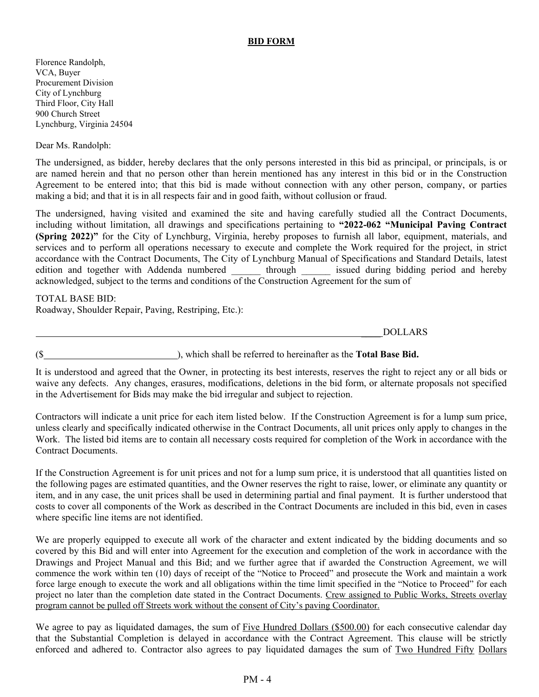#### **BID FORM**

Florence Randolph, VCA, Buyer Procurement Division City of Lynchburg Third Floor, City Hall 900 Church Street Lynchburg, Virginia 24504

Dear Ms. Randolph:

The undersigned, as bidder, hereby declares that the only persons interested in this bid as principal, or principals, is or are named herein and that no person other than herein mentioned has any interest in this bid or in the Construction Agreement to be entered into; that this bid is made without connection with any other person, company, or parties making a bid; and that it is in all respects fair and in good faith, without collusion or fraud.

The undersigned, having visited and examined the site and having carefully studied all the Contract Documents, including without limitation, all drawings and specifications pertaining to **"2022-062 "Municipal Paving Contract (Spring 2022)"** for the City of Lynchburg, Virginia, hereby proposes to furnish all labor, equipment, materials, and services and to perform all operations necessary to execute and complete the Work required for the project, in strict accordance with the Contract Documents, The City of Lynchburg Manual of Specifications and Standard Details, latest edition and together with Addenda numbered through issued during bidding period and hereby acknowledged, subject to the terms and conditions of the Construction Agreement for the sum of

TOTAL BASE BID: Roadway, Shoulder Repair, Paving, Restriping, Etc.):

\_\_\_\_ DOLLARS

(\$ ), which shall be referred to hereinafter as the **Total Base Bid.**

It is understood and agreed that the Owner, in protecting its best interests, reserves the right to reject any or all bids or waive any defects. Any changes, erasures, modifications, deletions in the bid form, or alternate proposals not specified in the Advertisement for Bids may make the bid irregular and subject to rejection.

Contractors will indicate a unit price for each item listed below. If the Construction Agreement is for a lump sum price, unless clearly and specifically indicated otherwise in the Contract Documents, all unit prices only apply to changes in the Work. The listed bid items are to contain all necessary costs required for completion of the Work in accordance with the Contract Documents.

If the Construction Agreement is for unit prices and not for a lump sum price, it is understood that all quantities listed on the following pages are estimated quantities, and the Owner reserves the right to raise, lower, or eliminate any quantity or item, and in any case, the unit prices shall be used in determining partial and final payment. It is further understood that costs to cover all components of the Work as described in the Contract Documents are included in this bid, even in cases where specific line items are not identified.

We are properly equipped to execute all work of the character and extent indicated by the bidding documents and so covered by this Bid and will enter into Agreement for the execution and completion of the work in accordance with the Drawings and Project Manual and this Bid; and we further agree that if awarded the Construction Agreement, we will commence the work within ten (10) days of receipt of the "Notice to Proceed" and prosecute the Work and maintain a work force large enough to execute the work and all obligations within the time limit specified in the "Notice to Proceed" for each project no later than the completion date stated in the Contract Documents. Crew assigned to Public Works, Streets overlay program cannot be pulled off Streets work without the consent of City's paving Coordinator.

We agree to pay as liquidated damages, the sum of Five Hundred Dollars (\$500.00) for each consecutive calendar day that the Substantial Completion is delayed in accordance with the Contract Agreement. This clause will be strictly enforced and adhered to. Contractor also agrees to pay liquidated damages the sum of Two Hundred Fifty Dollars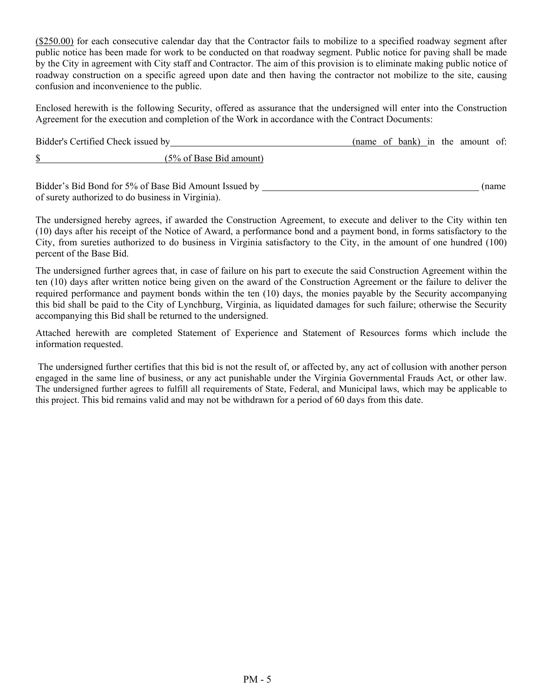(\$250.00) for each consecutive calendar day that the Contractor fails to mobilize to a specified roadway segment after public notice has been made for work to be conducted on that roadway segment. Public notice for paving shall be made by the City in agreement with City staff and Contractor. The aim of this provision is to eliminate making public notice of roadway construction on a specific agreed upon date and then having the contractor not mobilize to the site, causing confusion and inconvenience to the public.

Enclosed herewith is the following Security, offered as assurance that the undersigned will enter into the Construction Agreement for the execution and completion of the Work in accordance with the Contract Documents:

| Bidder's Certified Check issued by |                                    |  |  |  | (name of bank) in the amount of: |  |
|------------------------------------|------------------------------------|--|--|--|----------------------------------|--|
|                                    | $(5\% \text{ of Base Bid amount})$ |  |  |  |                                  |  |

Bidder's Bid Bond for 5% of Base Bid Amount Issued by (name of surety authorized to do business in Virginia).

The undersigned hereby agrees, if awarded the Construction Agreement, to execute and deliver to the City within ten (10) days after his receipt of the Notice of Award, a performance bond and a payment bond, in forms satisfactory to the City, from sureties authorized to do business in Virginia satisfactory to the City, in the amount of one hundred (100) percent of the Base Bid.

The undersigned further agrees that, in case of failure on his part to execute the said Construction Agreement within the ten (10) days after written notice being given on the award of the Construction Agreement or the failure to deliver the required performance and payment bonds within the ten (10) days, the monies payable by the Security accompanying this bid shall be paid to the City of Lynchburg, Virginia, as liquidated damages for such failure; otherwise the Security accompanying this Bid shall be returned to the undersigned.

Attached herewith are completed Statement of Experience and Statement of Resources forms which include the information requested.

 The undersigned further certifies that this bid is not the result of, or affected by, any act of collusion with another person engaged in the same line of business, or any act punishable under the Virginia Governmental Frauds Act, or other law. The undersigned further agrees to fulfill all requirements of State, Federal, and Municipal laws, which may be applicable to this project. This bid remains valid and may not be withdrawn for a period of 60 days from this date.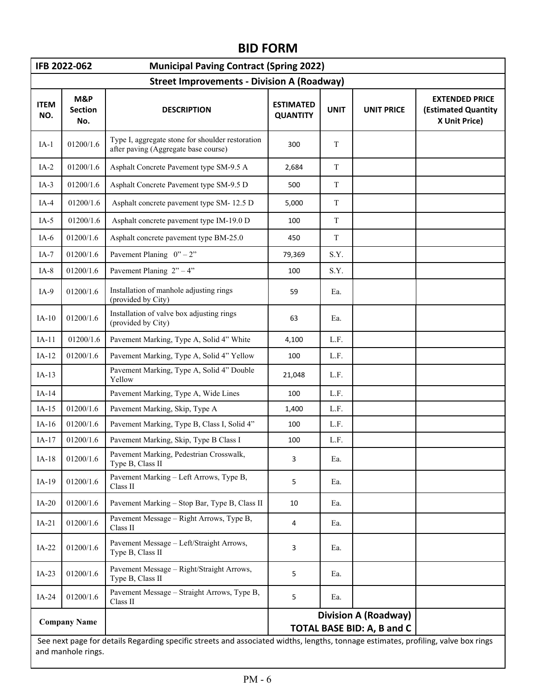# **BID FORM**

| IFB 2022-062<br><b>Municipal Paving Contract (Spring 2022)</b> |                                                   |                                                                                                                                    |                                     |             |                                                                  |                                                                      |  |  |  |
|----------------------------------------------------------------|---------------------------------------------------|------------------------------------------------------------------------------------------------------------------------------------|-------------------------------------|-------------|------------------------------------------------------------------|----------------------------------------------------------------------|--|--|--|
|                                                                | <b>Street Improvements - Division A (Roadway)</b> |                                                                                                                                    |                                     |             |                                                                  |                                                                      |  |  |  |
| <b>ITEM</b><br>NO.                                             | M&P<br><b>Section</b><br>No.                      | <b>DESCRIPTION</b>                                                                                                                 | <b>ESTIMATED</b><br><b>QUANTITY</b> | <b>UNIT</b> | <b>UNIT PRICE</b>                                                | <b>EXTENDED PRICE</b><br><b>(Estimated Quantity</b><br>X Unit Price) |  |  |  |
| $IA-1$                                                         | 01200/1.6                                         | Type I, aggregate stone for shoulder restoration<br>after paving (Aggregate base course)                                           | 300                                 | T           |                                                                  |                                                                      |  |  |  |
| $IA-2$                                                         | 01200/1.6                                         | Asphalt Concrete Pavement type SM-9.5 A                                                                                            | 2,684                               | T           |                                                                  |                                                                      |  |  |  |
| $IA-3$                                                         | 01200/1.6                                         | Asphalt Concrete Pavement type SM-9.5 D                                                                                            | 500                                 | $\mathbf T$ |                                                                  |                                                                      |  |  |  |
| $IA-4$                                                         | 01200/1.6                                         | Asphalt concrete pavement type SM-12.5 D                                                                                           | 5,000                               | T           |                                                                  |                                                                      |  |  |  |
| $IA-5$                                                         | 01200/1.6                                         | Asphalt concrete pavement type IM-19.0 D                                                                                           | 100                                 | T           |                                                                  |                                                                      |  |  |  |
| $IA-6$                                                         | 01200/1.6                                         | Asphalt concrete pavement type BM-25.0                                                                                             | 450                                 | T           |                                                                  |                                                                      |  |  |  |
| $IA-7$                                                         | 01200/1.6                                         | Pavement Planing $0'' - 2''$                                                                                                       | 79,369                              | S.Y.        |                                                                  |                                                                      |  |  |  |
| $IA-8$                                                         | 01200/1.6                                         | Pavement Planing $2" - 4"$                                                                                                         | 100                                 | S.Y.        |                                                                  |                                                                      |  |  |  |
| $IA-9$                                                         | 01200/1.6                                         | Installation of manhole adjusting rings<br>(provided by City)                                                                      | 59                                  | Ea.         |                                                                  |                                                                      |  |  |  |
| $IA-10$                                                        | 01200/1.6                                         | Installation of valve box adjusting rings<br>(provided by City)                                                                    | 63                                  | Ea.         |                                                                  |                                                                      |  |  |  |
| $IA-11$                                                        | 01200/1.6                                         | Pavement Marking, Type A, Solid 4" White                                                                                           | 4,100                               | L.F.        |                                                                  |                                                                      |  |  |  |
| $IA-12$                                                        | 01200/1.6                                         | Pavement Marking, Type A, Solid 4" Yellow                                                                                          | 100                                 | L.F.        |                                                                  |                                                                      |  |  |  |
| $IA-13$                                                        |                                                   | Pavement Marking, Type A, Solid 4" Double<br>Yellow                                                                                | 21,048                              | L.F.        |                                                                  |                                                                      |  |  |  |
| $IA-14$                                                        |                                                   | Pavement Marking, Type A, Wide Lines                                                                                               | 100                                 | L.F.        |                                                                  |                                                                      |  |  |  |
| $IA-15$                                                        | 01200/1.6                                         | Pavement Marking, Skip, Type A                                                                                                     | 1,400                               | L.F.        |                                                                  |                                                                      |  |  |  |
| $IA-16$                                                        | 01200/1.6                                         | Pavement Marking, Type B, Class I, Solid 4"                                                                                        | 100                                 | L.F.        |                                                                  |                                                                      |  |  |  |
| $IA-17$                                                        | 01200/1.6                                         | Pavement Marking, Skip, Type B Class I                                                                                             | 100                                 | L.F.        |                                                                  |                                                                      |  |  |  |
| $IA-18$                                                        | 01200/1.6                                         | Pavement Marking, Pedestrian Crosswalk,<br>Type B, Class II                                                                        | 3                                   | Ea.         |                                                                  |                                                                      |  |  |  |
| $IA-19$                                                        | 01200/1.6                                         | Pavement Marking - Left Arrows, Type B,<br>Class II                                                                                | 5                                   | Ea.         |                                                                  |                                                                      |  |  |  |
| $IA-20$                                                        | 01200/1.6                                         | Pavement Marking - Stop Bar, Type B, Class II                                                                                      | 10                                  | Ea.         |                                                                  |                                                                      |  |  |  |
| $IA-21$                                                        | 01200/1.6                                         | Pavement Message - Right Arrows, Type B,<br>Class II                                                                               | 4                                   | Ea.         |                                                                  |                                                                      |  |  |  |
| $IA-22$                                                        | 01200/1.6                                         | Pavement Message - Left/Straight Arrows,<br>Type B, Class II                                                                       | 3                                   | Ea.         |                                                                  |                                                                      |  |  |  |
| $IA-23$                                                        | 01200/1.6                                         | Pavement Message - Right/Straight Arrows,<br>Type B, Class II                                                                      | 5                                   | Ea.         |                                                                  |                                                                      |  |  |  |
| $IA-24$                                                        | 01200/1.6                                         | Pavement Message - Straight Arrows, Type B,<br>Class II                                                                            | 5                                   | Ea.         |                                                                  |                                                                      |  |  |  |
|                                                                | <b>Company Name</b>                               | See next page for details Regarding specific streets and associated widths, lengths, tonnage estimates, profiling, valve box rings |                                     |             | <b>Division A (Roadway)</b><br><b>TOTAL BASE BID: A, B and C</b> |                                                                      |  |  |  |
|                                                                | and manhole rings.                                |                                                                                                                                    |                                     |             |                                                                  |                                                                      |  |  |  |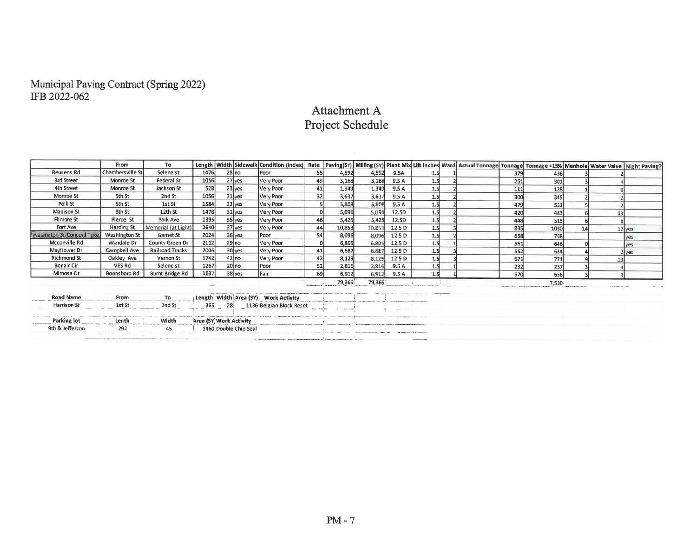# Municipal Paving Contract (Spring 2022)<br>IFB 2022-062

# Attachment A Project Schedule

|                           | <b>From</b>          | To.                                           |      |                       | Length   Width   Sidewalk   Condition (index)                                                                                                                                                                                      | Rate       |        |                                                                                                                                                                                                                                |        |     | Paving(SY)   Milling (SY)   Plant Mix Lift Inches Ward   Actual Tonnage   Tonnage   Tonnage +15%   Manhole   Water Valve   Night Paving? |            |       |  |            |
|---------------------------|----------------------|-----------------------------------------------|------|-----------------------|------------------------------------------------------------------------------------------------------------------------------------------------------------------------------------------------------------------------------------|------------|--------|--------------------------------------------------------------------------------------------------------------------------------------------------------------------------------------------------------------------------------|--------|-----|------------------------------------------------------------------------------------------------------------------------------------------|------------|-------|--|------------|
| Reusens Rd                | Chambersville St     | Selene st                                     | 1476 | $28$ no               | Poor                                                                                                                                                                                                                               | <b>55l</b> | 4,592  | 4,592                                                                                                                                                                                                                          | 9.5A   | 1.5 |                                                                                                                                          | 379        | 436   |  |            |
| 3rd Street                | Monroe St            | <b>Federal St</b>                             | 1056 | $27$ yes              | Very Poor                                                                                                                                                                                                                          | 49         | 3,168  | 3,168                                                                                                                                                                                                                          | 9.5A   | 1.5 |                                                                                                                                          | 261        | 301   |  |            |
| 4th Street                | Monroe St            | Jackson St                                    | 528  | 23 yes                | Very Poor                                                                                                                                                                                                                          | 41         | 1,349  | 1,349                                                                                                                                                                                                                          | 9.5A   | 1.5 |                                                                                                                                          | 111        | 128   |  |            |
| Monroe St                 | 5th St               | 2nd St                                        | 1056 | $31$ yes              | Very Poor                                                                                                                                                                                                                          | 32         | 3,637  | 3,637                                                                                                                                                                                                                          | 9.5 A  | 1.5 |                                                                                                                                          | 300        | 345   |  |            |
| Polk St                   | 5th St               | 1st St                                        | 1584 | $33$ yes              | Very Poor                                                                                                                                                                                                                          |            | 5,808  | 5,808                                                                                                                                                                                                                          | 9.5A   | 1.5 |                                                                                                                                          | 479        | 551   |  |            |
| Madison St                | 8th St               | 12th St                                       | 1478 | 31 yes                | Very Poor                                                                                                                                                                                                                          |            | 5.091  | 5.091                                                                                                                                                                                                                          | 12.5D  | 1.5 |                                                                                                                                          | 420        | 483   |  |            |
| Filmore St                | Pierce St            | Park Ave                                      | 1395 | 35 yes                | Very Poor                                                                                                                                                                                                                          | 46         | 5,425  | 5,425                                                                                                                                                                                                                          | 12.5D  | 1.5 |                                                                                                                                          | 448        | 515   |  |            |
| Fort Ave                  | Harding St           | Memorial (at Light)                           | 2640 | 37 yes                | Very Poor                                                                                                                                                                                                                          | 44         | 10,853 | 10,853                                                                                                                                                                                                                         | 12.5 D | 1.5 |                                                                                                                                          | 895        | 1030  |  | $12$ yes   |
| Wasington St/Concord Tpke | <b>Washington St</b> | Garnet St                                     | 2024 | 36 yes                | Poor                                                                                                                                                                                                                               | 54         | 8,096  | 8,096                                                                                                                                                                                                                          | 12.5 D | 1.5 |                                                                                                                                          | 668        | 768   |  | lyes       |
| Mcconville Rd             | Wyndale Dr           | County Green Dr                               | 2112 | $29$ no               | Very Poor                                                                                                                                                                                                                          |            | 6,805  | 6,805                                                                                                                                                                                                                          | 12.5 D | 1.5 |                                                                                                                                          | 561        | 646   |  | <b>yes</b> |
| Mayflower Dr              | Campbell Ave         | <b>Railroad Tracks</b>                        | 2006 | 30 yes                | Very Poor                                                                                                                                                                                                                          | 41         | 6,687  | 6,687                                                                                                                                                                                                                          | 12.5 D | 1.5 |                                                                                                                                          | 552        | 634   |  | 2 yes      |
| <b>Richmond St</b>        | Oakley Ave           | Vernon St                                     | 1742 | $42$ no               | Very Poor                                                                                                                                                                                                                          | 42         | 8,129  | 8,129                                                                                                                                                                                                                          | 12.5 D | 1.5 |                                                                                                                                          | 671        | 771   |  |            |
| <b>Bonair Cir</b>         | VES Rd               | Selene st                                     | 1267 | 20 no                 | Poor                                                                                                                                                                                                                               | 52         | 2,816  | 2,816                                                                                                                                                                                                                          | 9.5 A  | 1.5 |                                                                                                                                          | 232        | 267   |  |            |
| Mimosa Dr                 | Boonsboro Rd         | Burnt Bridge Rd                               | 1637 | $38$ yes              | <b>IFair</b>                                                                                                                                                                                                                       | 69         | 6,912  | 6,912                                                                                                                                                                                                                          | 9.5A   | 1.5 |                                                                                                                                          | <b>570</b> | 656   |  |            |
|                           |                      |                                               |      |                       |                                                                                                                                                                                                                                    |            | 79,369 | 79,369                                                                                                                                                                                                                         |        |     |                                                                                                                                          |            | 7,530 |  |            |
| Road Name                 | <b>Erom</b>          |                                               |      |                       | To Length Width Area (SY) Work Activity Length Length Width Area (SY)                                                                                                                                                              |            |        | and an exception community and contract the second community of the contract of the second contract of the contract of the contract of the contract of the contract of the contract of the contract of the contract of the con |        |     |                                                                                                                                          |            |       |  |            |
| Harrison St               |                      | and St 2nd St 365 28 1136 Belgian Block Reset |      |                       |                                                                                                                                                                                                                                    |            |        |                                                                                                                                                                                                                                |        |     |                                                                                                                                          |            |       |  |            |
|                           |                      |                                               |      |                       | a construction of the management and service and service and construction and approximation and complete<br><u> La componenta de la componenta de la componenta de la componenta de la componenta de la componenta de la compo</u> |            |        |                                                                                                                                                                                                                                |        |     |                                                                                                                                          |            |       |  |            |
| 9th & Jefferson           | 292                  | 45                                            |      | 1460 Double Chip Seal |                                                                                                                                                                                                                                    |            |        |                                                                                                                                                                                                                                |        |     |                                                                                                                                          |            |       |  |            |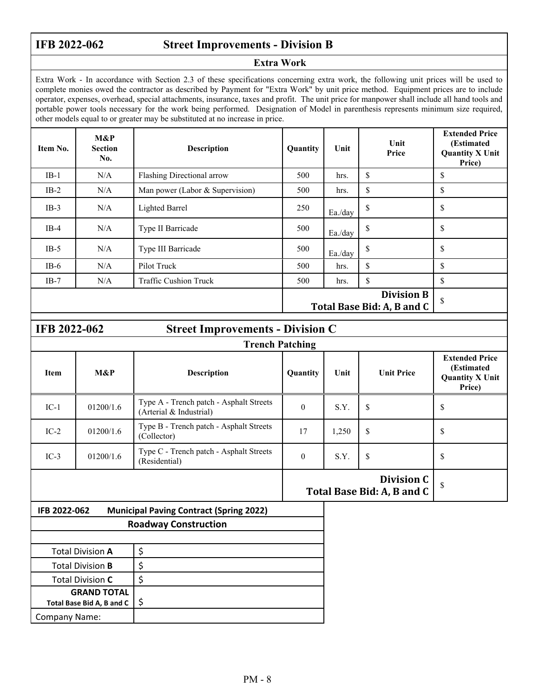r

**IFB 2022-062 Street Improvements - Division B** 

#### **Extra Work**

Extra Work - In accordance with Section 2.3 of these specifications concerning extra work, the following unit prices will be used to complete monies owed the contractor as described by Payment for "Extra Work" by unit price method. Equipment prices are to include operator, expenses, overhead, special attachments, insurance, taxes and profit. The unit price for manpower shall include all hand tools and portable power tools necessary for the work being performed. Designation of Model in parenthesis represents minimum size required, other models equal to or greater may be substituted at no increase in price.

| Item No. | M&P<br><b>Section</b><br>No. | <b>Description</b>              | Quantity | Unit    | Unit<br>Price                                   | <b>Extended Price</b><br>(Estimated<br><b>Quantity X Unit</b><br>Price) |
|----------|------------------------------|---------------------------------|----------|---------|-------------------------------------------------|-------------------------------------------------------------------------|
| $IB-1$   | N/A                          | Flashing Directional arrow      | 500      | hrs.    | \$                                              | \$                                                                      |
| $IB-2$   | N/A                          | Man power (Labor & Supervision) | 500      | hrs.    | \$                                              | \$                                                                      |
| $IB-3$   | N/A                          | <b>Lighted Barrel</b>           | 250      | Ea./day | \$                                              | \$                                                                      |
| $IB-4$   | N/A                          | Type II Barricade               | 500      | Ea./day | \$                                              | \$                                                                      |
| $IB-5$   | N/A                          | Type III Barricade              | 500      | Ea./day | \$                                              | \$                                                                      |
| $IB-6$   | N/A                          | Pilot Truck                     | 500      | hrs.    | \$                                              | \$                                                                      |
| $IB-7$   | N/A                          | <b>Traffic Cushion Truck</b>    | 500      | hrs.    | \$                                              | \$                                                                      |
|          |                              |                                 |          |         | <b>Division B</b><br>Total Base Bid: A, B and C | \$                                                                      |

| <b>IFB 2022-062</b><br><b>Street Improvements - Division C</b> |           |                                                                    |          |       |                                          |                                                                         |
|----------------------------------------------------------------|-----------|--------------------------------------------------------------------|----------|-------|------------------------------------------|-------------------------------------------------------------------------|
|                                                                |           |                                                                    |          |       |                                          |                                                                         |
| <b>Item</b>                                                    | M&P       | <b>Description</b>                                                 | Quantity | Unit  | <b>Unit Price</b>                        | <b>Extended Price</b><br>(Estimated<br><b>Quantity X Unit</b><br>Price) |
| $IC-1$                                                         | 01200/1.6 | Type A - Trench patch - Asphalt Streets<br>(Arterial & Industrial) | $\theta$ | S.Y.  | \$                                       | \$                                                                      |
| $IC-2$                                                         | 01200/1.6 | Type B - Trench patch - Asphalt Streets<br>(Collector)             | 17       | 1,250 | \$                                       | \$                                                                      |
| $IC-3$                                                         | 01200/1.6 | Type C - Trench patch - Asphalt Streets<br>(Residential)           | $\theta$ | S.Y.  | \$                                       | \$                                                                      |
|                                                                |           |                                                                    |          |       | Division C<br>Total Base Bid: A, B and C | $\mathbf{\hat{S}}$                                                      |
| IFB 2022-062                                                   |           | <b>Municipal Paving Contract (Spring 2022)</b>                     |          |       |                                          |                                                                         |
|                                                                |           | <b>Roadway Construction</b>                                        |          |       |                                          |                                                                         |

| <b>Total Division A</b>   |  |
|---------------------------|--|
| <b>Total Division B</b>   |  |
| <b>Total Division C</b>   |  |
| <b>GRAND TOTAL</b>        |  |
| Total Base Bid A, B and C |  |
| <b>Company Name:</b>      |  |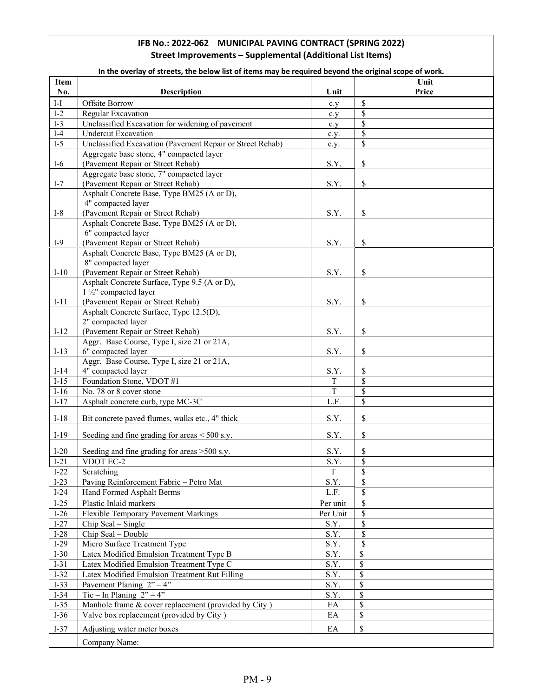#### **IFB No.: 2022‐062 MUNICIPAL PAVING CONTRACT (SPRING 2022) Street Improvements – Supplemental (Additional List Items)**

|                             | In the overlay of streets, the below list of items may be required beyond the original scope of work. |          |       |  |  |  |
|-----------------------------|-------------------------------------------------------------------------------------------------------|----------|-------|--|--|--|
| <b>Item</b>                 |                                                                                                       |          | Unit  |  |  |  |
| No.                         | <b>Description</b>                                                                                    | Unit     | Price |  |  |  |
| $\mathop{\rm I-I}\nolimits$ | Offsite Borrow                                                                                        | c.y      | \$    |  |  |  |
| $I-2$                       | Regular Excavation                                                                                    | c.y      | \$    |  |  |  |
| $I-3$                       | Unclassified Excavation for widening of pavement                                                      | c.y      | \$    |  |  |  |
| $I-4$                       | <b>Undercut Excavation</b>                                                                            | c.y.     | \$    |  |  |  |
| $I-5$                       | Unclassified Excavation (Pavement Repair or Street Rehab)                                             | c.y.     | \$    |  |  |  |
|                             | Aggregate base stone, 4" compacted layer                                                              |          |       |  |  |  |
| $I-6$                       | (Pavement Repair or Street Rehab)                                                                     | S.Y.     | \$    |  |  |  |
| $I-7$                       | Aggregate base stone, 7" compacted layer<br>(Pavement Repair or Street Rehab)                         | S.Y.     | \$    |  |  |  |
|                             | Asphalt Concrete Base, Type BM25 (A or D),                                                            |          |       |  |  |  |
|                             | 4" compacted layer                                                                                    |          |       |  |  |  |
| $I-8$                       | (Pavement Repair or Street Rehab)                                                                     | S.Y.     | \$    |  |  |  |
|                             | Asphalt Concrete Base, Type BM25 (A or D),                                                            |          |       |  |  |  |
|                             | 6" compacted layer                                                                                    |          |       |  |  |  |
| $I-9$                       | (Pavement Repair or Street Rehab)                                                                     | S.Y.     | \$    |  |  |  |
|                             | Asphalt Concrete Base, Type BM25 (A or D),                                                            |          |       |  |  |  |
|                             | 8" compacted layer                                                                                    |          |       |  |  |  |
| $I-10$                      | (Pavement Repair or Street Rehab)<br>Asphalt Concrete Surface, Type 9.5 (A or D),                     | S.Y.     | \$    |  |  |  |
|                             | 1 1/2" compacted layer                                                                                |          |       |  |  |  |
| $I-11$                      | (Pavement Repair or Street Rehab)                                                                     | S.Y.     | \$    |  |  |  |
|                             | Asphalt Concrete Surface, Type 12.5(D),                                                               |          |       |  |  |  |
|                             | 2" compacted layer                                                                                    |          |       |  |  |  |
| $I-12$                      | (Pavement Repair or Street Rehab)                                                                     | S.Y.     | \$    |  |  |  |
|                             | Aggr. Base Course, Type I, size 21 or 21A,                                                            |          |       |  |  |  |
| $I-13$                      | 6" compacted layer                                                                                    | S.Y.     | \$    |  |  |  |
|                             | Aggr. Base Course, Type I, size 21 or 21A,                                                            |          |       |  |  |  |
| $I-14$                      | 4" compacted layer                                                                                    | S.Y.     | \$    |  |  |  |
| $I-15$                      | Foundation Stone, VDOT #1                                                                             | $\rm T$  | \$    |  |  |  |
| $I-16$                      | No. 78 or 8 cover stone                                                                               | T        | \$    |  |  |  |
| $I-17$                      | Asphalt concrete curb, type MC-3C                                                                     | L.F.     | \$    |  |  |  |
| $I-18$                      | Bit concrete paved flumes, walks etc., 4" thick                                                       | S.Y.     | \$    |  |  |  |
| $I-19$                      | Seeding and fine grading for areas $<$ 500 s.y.                                                       | S.Y.     | \$    |  |  |  |
| $I-20$                      | Seeding and fine grading for areas >500 s.y.                                                          | S.Y.     | \$    |  |  |  |
| $I-21$                      | VDOT EC-2                                                                                             | S.Y.     | \$    |  |  |  |
| $I-22$                      | Scratching                                                                                            | T        | \$    |  |  |  |
| $I-23$                      | Paving Reinforcement Fabric - Petro Mat                                                               | S.Y.     | \$    |  |  |  |
| $I-24$                      | Hand Formed Asphalt Berms                                                                             | L.F.     | \$    |  |  |  |
| $I-25$                      | Plastic Inlaid markers                                                                                | Per unit | \$    |  |  |  |
| $I-26$                      | Flexible Temporary Pavement Markings                                                                  | Per Unit | \$    |  |  |  |
| $I-27$                      | Chip Seal - Single                                                                                    | S.Y.     | \$    |  |  |  |
| $I-28$                      | Chip Seal - Double                                                                                    | S.Y.     | \$    |  |  |  |
| $I-29$                      | Micro Surface Treatment Type                                                                          | S.Y.     | \$    |  |  |  |
| $I-30$                      | Latex Modified Emulsion Treatment Type B                                                              | S.Y.     | \$    |  |  |  |
| $I-31$                      | Latex Modified Emulsion Treatment Type C                                                              | S.Y.     | \$    |  |  |  |
| $I-32$                      | Latex Modified Emulsion Treatment Rut Filling                                                         | S.Y.     | \$    |  |  |  |
| $I-33$                      | Pavement Planing $2" - 4"$                                                                            | S.Y.     | \$    |  |  |  |
| $I-34$                      | Tie – In Planing $2" - 4"$                                                                            | S.Y.     | \$    |  |  |  |
| $I-35$                      | Manhole frame & cover replacement (provided by City)                                                  | EA       | \$    |  |  |  |
| $I-36$                      | Valve box replacement (provided by City)                                                              | EA       | \$    |  |  |  |
| $I-37$                      | Adjusting water meter boxes                                                                           | EA       | \$    |  |  |  |
|                             | Company Name:                                                                                         |          |       |  |  |  |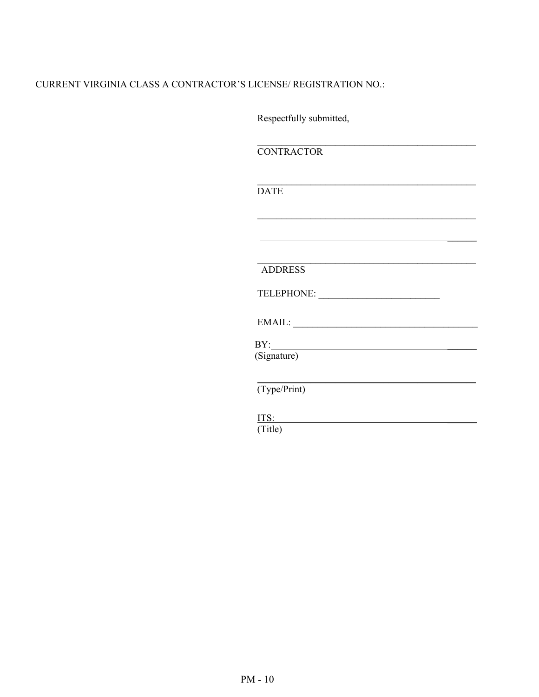## CURRENT VIRGINIA CLASS A CONTRACTOR'S LICENSE/ REGISTRATION NO.:

Respectfully submitted,

**CONTRACTOR** 

**DATE** 

 $\mathcal{L}_\text{max}$  and  $\mathcal{L}_\text{max}$  and  $\mathcal{L}_\text{max}$  and  $\mathcal{L}_\text{max}$  and  $\mathcal{L}_\text{max}$  and  $\mathcal{L}_\text{max}$ 

 $\mathcal{L}_\text{max}$  and the contract of the contract of the contract of the contract of the contract of the contract of the contract of the contract of the contract of the contract of the contract of the contract of the contrac

 $\mathcal{L}_\text{max}$  and the contract of the contract of the contract of the contract of the contract of the contract of the contract of the contract of the contract of the contract of the contract of the contract of the contrac

 $\frac{1}{2}$  , and the contract of the contract of the contract of the contract of the contract of the contract of the contract of the contract of the contract of the contract of the contract of the contract of the contract

\_\_\_\_\_\_\_\_\_\_\_\_\_\_\_\_\_\_\_\_\_\_\_\_\_\_\_\_\_\_\_\_\_\_\_\_\_\_\_\_\_\_\_\_\_ ADDRESS

TELEPHONE: \_\_\_\_\_\_\_\_\_\_\_\_\_\_\_\_\_\_\_\_\_\_\_\_\_

 $\text{EMAIL:}\footnotesize\begin{picture}(10,10) \put(0,0){\dashbox{0.5}(10,10){10}} \put(10,0){\dashbox{0.5}(10,10){10}} \put(10,0){\dashbox{0.5}(10,10){10}} \put(10,0){\dashbox{0.5}(10,10){10}} \put(10,0){\dashbox{0.5}(10,10){10}} \put(10,0){\dashbox{0.5}(10,10){10}} \put(10,0){\dashbox{0.5}(10,10){10}} \put(10,0){\dashbox{0.5}(10,10){10}}$ 

\_\_\_\_\_\_\_\_\_\_\_\_\_\_\_\_\_\_\_\_\_\_\_\_\_\_\_\_\_\_\_\_\_\_\_\_\_\_\_\_\_\_\_\_\_

BY:

(Signature)

(Type/Print)

 $IIS:$ (Title)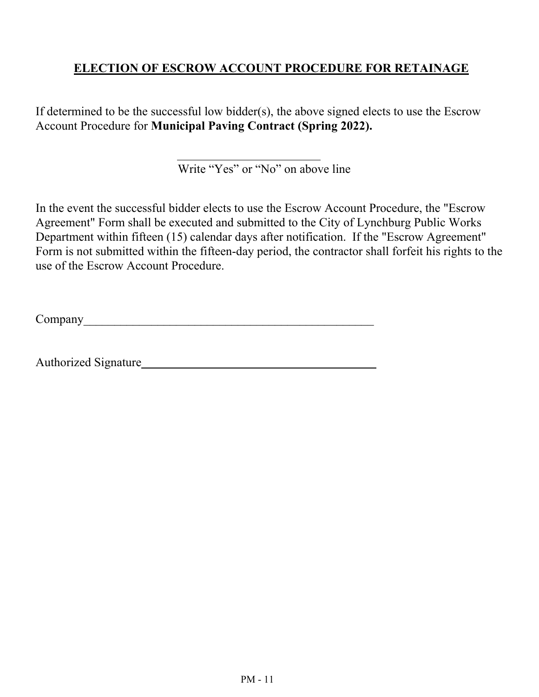# **ELECTION OF ESCROW ACCOUNT PROCEDURE FOR RETAINAGE**

If determined to be the successful low bidder(s), the above signed elects to use the Escrow Account Procedure for **Municipal Paving Contract (Spring 2022).**

Write "Yes" or "No" on above line

In the event the successful bidder elects to use the Escrow Account Procedure, the "Escrow Agreement" Form shall be executed and submitted to the City of Lynchburg Public Works Department within fifteen (15) calendar days after notification. If the "Escrow Agreement" Form is not submitted within the fifteen-day period, the contractor shall forfeit his rights to the use of the Escrow Account Procedure.

Company

Authorized Signature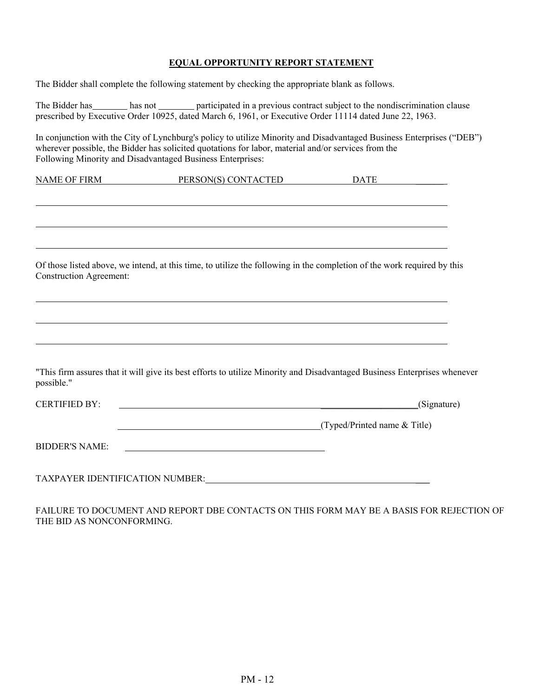# **EQUAL OPPORTUNITY REPORT STATEMENT**

|                                | The Bidder shall complete the following statement by checking the appropriate blank as follows.                                                                                                                                                                                            |  |             |
|--------------------------------|--------------------------------------------------------------------------------------------------------------------------------------------------------------------------------------------------------------------------------------------------------------------------------------------|--|-------------|
|                                | The Bidder has hot has not has not participated in a previous contract subject to the nondiscrimination clause<br>prescribed by Executive Order 10925, dated March 6, 1961, or Executive Order 11114 dated June 22, 1963.                                                                  |  |             |
|                                | In conjunction with the City of Lynchburg's policy to utilize Minority and Disadvantaged Business Enterprises ("DEB")<br>wherever possible, the Bidder has solicited quotations for labor, material and/or services from the<br>Following Minority and Disadvantaged Business Enterprises: |  |             |
|                                | NAME OF FIRM PERSON(S) CONTACTED DATE                                                                                                                                                                                                                                                      |  |             |
|                                |                                                                                                                                                                                                                                                                                            |  |             |
|                                |                                                                                                                                                                                                                                                                                            |  |             |
| <b>Construction Agreement:</b> | Of those listed above, we intend, at this time, to utilize the following in the completion of the work required by this                                                                                                                                                                    |  |             |
|                                |                                                                                                                                                                                                                                                                                            |  |             |
|                                |                                                                                                                                                                                                                                                                                            |  |             |
| possible."                     | "This firm assures that it will give its best efforts to utilize Minority and Disadvantaged Business Enterprises whenever                                                                                                                                                                  |  |             |
| <b>CERTIFIED BY:</b>           |                                                                                                                                                                                                                                                                                            |  | (Signature) |
|                                | (Typed/Printed name & Title)                                                                                                                                                                                                                                                               |  |             |
| <b>BIDDER'S NAME:</b>          |                                                                                                                                                                                                                                                                                            |  |             |
|                                | TAXPAYER IDENTIFICATION NUMBER: THE SERVICE OF THE SERVICE OF THE SERVICE OF THE SERVICE OF THE SERVICE OF THE                                                                                                                                                                             |  |             |

FAILURE TO DOCUMENT AND REPORT DBE CONTACTS ON THIS FORM MAY BE A BASIS FOR REJECTION OF THE BID AS NONCONFORMING.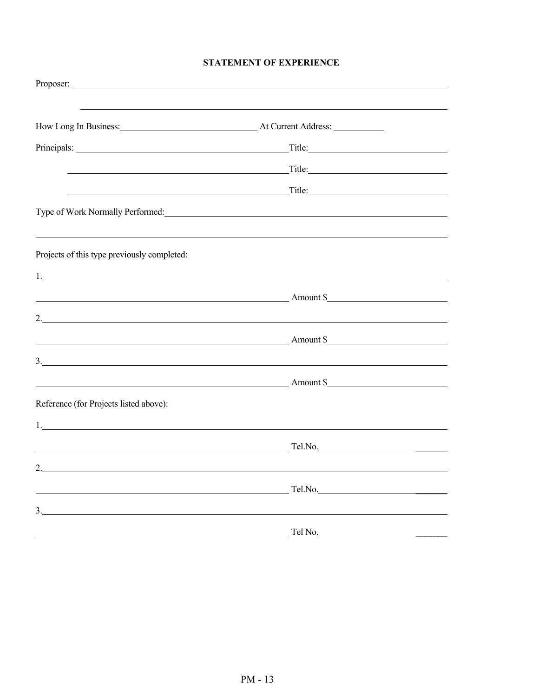#### **STATEMENT OF EXPERIENCE**

| How Long In Business: At Current Address:                                                                                                                                                                                     |                                                                                                                                                                                                                                      |  |
|-------------------------------------------------------------------------------------------------------------------------------------------------------------------------------------------------------------------------------|--------------------------------------------------------------------------------------------------------------------------------------------------------------------------------------------------------------------------------------|--|
| Principals: Title: Title: Title: Title: Title: Title: Title: Title: Title: Title: Title: Title: Title: Title: Title: Title: Title: Title: Title: Title: Title: Title: Title: Title: Title: Title: Title: Title: Title: Title: |                                                                                                                                                                                                                                      |  |
| <u> 1989 - Johann Barn, mars ann an t-Amhair an t-Amhair an t-Amhair an t-Amhair an t-Amhair an t-Amhair an t-Amh</u>                                                                                                         | Title:                                                                                                                                                                                                                               |  |
|                                                                                                                                                                                                                               | <u>and the contract of the contract of the contract of the contract of the contract of the contract of the contract of the contract of the contract of the contract of the contract of the contract of the contract of the contr</u> |  |
|                                                                                                                                                                                                                               |                                                                                                                                                                                                                                      |  |
| Projects of this type previously completed:                                                                                                                                                                                   |                                                                                                                                                                                                                                      |  |
|                                                                                                                                                                                                                               |                                                                                                                                                                                                                                      |  |
| Amount \$                                                                                                                                                                                                                     |                                                                                                                                                                                                                                      |  |
| 2. $\overline{\phantom{a}}$                                                                                                                                                                                                   |                                                                                                                                                                                                                                      |  |
| <b>Amount S</b> Amount S                                                                                                                                                                                                      |                                                                                                                                                                                                                                      |  |
| $\frac{3}{2}$                                                                                                                                                                                                                 |                                                                                                                                                                                                                                      |  |
|                                                                                                                                                                                                                               | Amount \$                                                                                                                                                                                                                            |  |
| Reference (for Projects listed above):                                                                                                                                                                                        |                                                                                                                                                                                                                                      |  |
| $\mathbf{1}$ .                                                                                                                                                                                                                |                                                                                                                                                                                                                                      |  |
| $\sim$ Tel.No.                                                                                                                                                                                                                |                                                                                                                                                                                                                                      |  |
|                                                                                                                                                                                                                               |                                                                                                                                                                                                                                      |  |
| <u> 1989 - Johann Barn, mars ann an t-Amhainn an t-Amhainn an t-Amhainn an t-Amhainn an t-Amhainn an t-Amhainn an</u>                                                                                                         | Tel.No.                                                                                                                                                                                                                              |  |
| $\frac{3}{2}$                                                                                                                                                                                                                 |                                                                                                                                                                                                                                      |  |
|                                                                                                                                                                                                                               | Tel No.                                                                                                                                                                                                                              |  |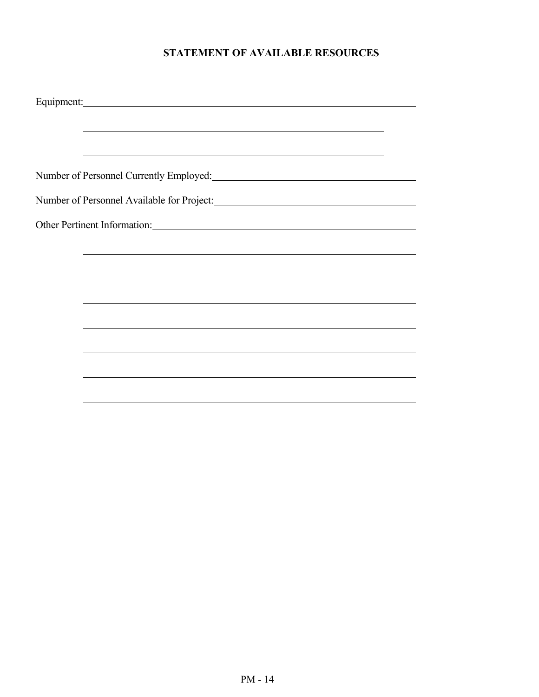# **STATEMENT OF AVAILABLE RESOURCES**

| Equipment: Equipment:                                                                                            |  |
|------------------------------------------------------------------------------------------------------------------|--|
|                                                                                                                  |  |
|                                                                                                                  |  |
|                                                                                                                  |  |
| Number of Personnel Currently Employed:<br><u>Letting and</u> the contract of Personnel Currently Employed:      |  |
| Number of Personnel Available for Project:                                                                       |  |
| Other Pertinent Information:                                                                                     |  |
|                                                                                                                  |  |
| and the control of the control of the control of the control of the control of the control of the control of the |  |
|                                                                                                                  |  |
|                                                                                                                  |  |
|                                                                                                                  |  |
|                                                                                                                  |  |
|                                                                                                                  |  |
|                                                                                                                  |  |
|                                                                                                                  |  |
|                                                                                                                  |  |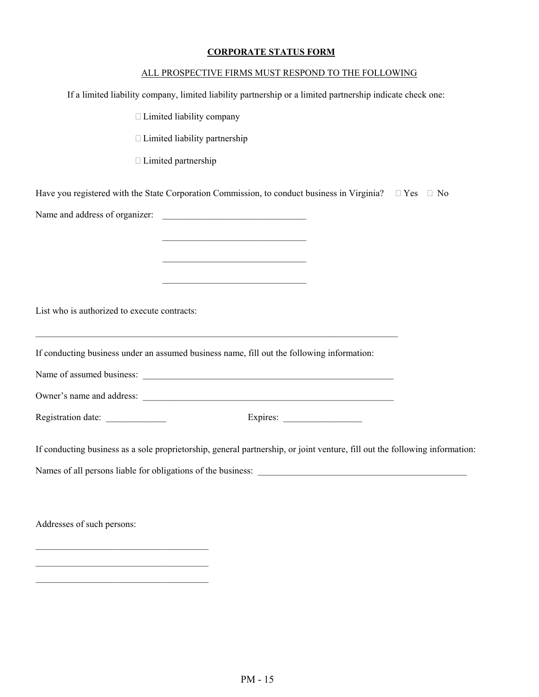#### **CORPORATE STATUS FORM**

|                                              | ALL PROSPECTIVE FIRMS MUST RESPOND TO THE FOLLOWING                                                                                                                                                                                  |
|----------------------------------------------|--------------------------------------------------------------------------------------------------------------------------------------------------------------------------------------------------------------------------------------|
|                                              | If a limited liability company, limited liability partnership or a limited partnership indicate check one:                                                                                                                           |
|                                              | □ Limited liability company                                                                                                                                                                                                          |
|                                              | $\Box$ Limited liability partnership                                                                                                                                                                                                 |
|                                              | □ Limited partnership                                                                                                                                                                                                                |
|                                              | Have you registered with the State Corporation Commission, to conduct business in Virginia? $\square$ Yes $\square$ No                                                                                                               |
|                                              |                                                                                                                                                                                                                                      |
|                                              | <u> 2008 - Johann John Stone, mars and de final and de final and definition of the set of the set of the set of the set of the set of the set of the set of the set of the set of the set of the set of the set of the set of th</u> |
|                                              |                                                                                                                                                                                                                                      |
|                                              |                                                                                                                                                                                                                                      |
| List who is authorized to execute contracts: | <u> 1989 - Johann Stoff, deutscher Stoff, der Stoff, der Stoff, der Stoff, der Stoff, der Stoff, der Stoff, der S</u>                                                                                                                |
|                                              | If conducting business under an assumed business name, fill out the following information:                                                                                                                                           |
|                                              |                                                                                                                                                                                                                                      |
|                                              |                                                                                                                                                                                                                                      |
| Registration date: ______________            |                                                                                                                                                                                                                                      |
|                                              | If conducting business as a sole proprietorship, general partnership, or joint venture, fill out the following information:                                                                                                          |
|                                              |                                                                                                                                                                                                                                      |
|                                              |                                                                                                                                                                                                                                      |
| Addresses of such persons:                   |                                                                                                                                                                                                                                      |
|                                              |                                                                                                                                                                                                                                      |

 $\mathcal{L}_\text{max}$  , and the set of the set of the set of the set of the set of the set of the set of the set of the set of the set of the set of the set of the set of the set of the set of the set of the set of the set of the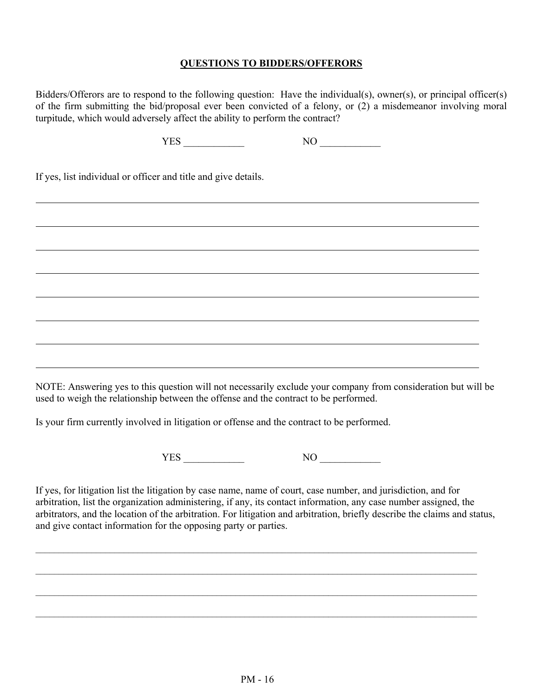#### **QUESTIONS TO BIDDERS/OFFERORS**

Bidders/Offerors are to respond to the following question: Have the individual(s), owner(s), or principal officer(s) of the firm submitting the bid/proposal ever been convicted of a felony, or (2) a misdemeanor involving moral turpitude, which would adversely affect the ability to perform the contract?

If yes, list individual or officer and title and give details.

NOTE: Answering yes to this question will not necessarily exclude your company from consideration but will be used to weigh the relationship between the offense and the contract to be performed.

Is your firm currently involved in litigation or offense and the contract to be performed.

YES NO NO

If yes, for litigation list the litigation by case name, name of court, case number, and jurisdiction, and for arbitration, list the organization administering, if any, its contact information, any case number assigned, the arbitrators, and the location of the arbitration. For litigation and arbitration, briefly describe the claims and status, and give contact information for the opposing party or parties.

 $\mathcal{L}_\mathcal{L} = \mathcal{L}_\mathcal{L}$ 

 $\mathcal{L}_\mathcal{L} = \mathcal{L}_\mathcal{L}$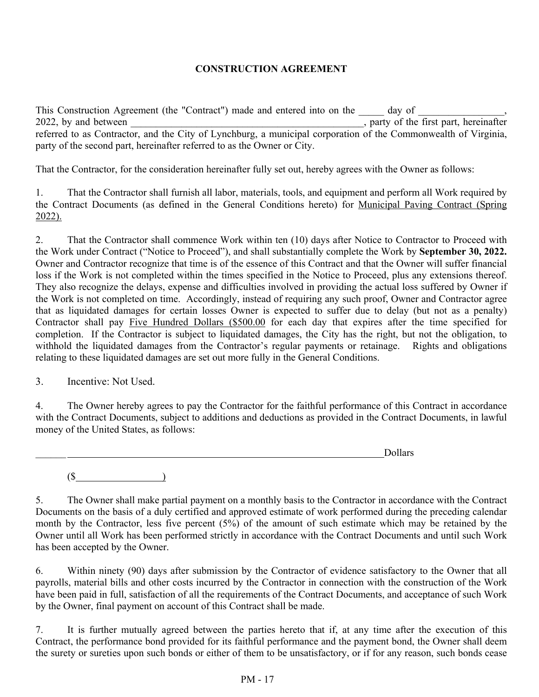#### **CONSTRUCTION AGREEMENT**

This Construction Agreement (the "Contract") made and entered into on the day of 2022, by and between , party of the first part, hereinafter referred to as Contractor, and the City of Lynchburg, a municipal corporation of the Commonwealth of Virginia, party of the second part, hereinafter referred to as the Owner or City.

That the Contractor, for the consideration hereinafter fully set out, hereby agrees with the Owner as follows:

1. That the Contractor shall furnish all labor, materials, tools, and equipment and perform all Work required by the Contract Documents (as defined in the General Conditions hereto) for Municipal Paving Contract (Spring 2022).

2. That the Contractor shall commence Work within ten (10) days after Notice to Contractor to Proceed with the Work under Contract ("Notice to Proceed"), and shall substantially complete the Work by **September 30, 2022.** Owner and Contractor recognize that time is of the essence of this Contract and that the Owner will suffer financial loss if the Work is not completed within the times specified in the Notice to Proceed, plus any extensions thereof. They also recognize the delays, expense and difficulties involved in providing the actual loss suffered by Owner if the Work is not completed on time. Accordingly, instead of requiring any such proof, Owner and Contractor agree that as liquidated damages for certain losses Owner is expected to suffer due to delay (but not as a penalty) Contractor shall pay Five Hundred Dollars (\$500.00 for each day that expires after the time specified for completion. If the Contractor is subject to liquidated damages, the City has the right, but not the obligation, to withhold the liquidated damages from the Contractor's regular payments or retainage. Rights and obligations relating to these liquidated damages are set out more fully in the General Conditions.

3. Incentive: Not Used.

4. The Owner hereby agrees to pay the Contractor for the faithful performance of this Contract in accordance with the Contract Documents, subject to additions and deductions as provided in the Contract Documents, in lawful money of the United States, as follows:

\_\_\_\_\_\_ Dollars

 $($ 

5. The Owner shall make partial payment on a monthly basis to the Contractor in accordance with the Contract Documents on the basis of a duly certified and approved estimate of work performed during the preceding calendar month by the Contractor, less five percent (5%) of the amount of such estimate which may be retained by the Owner until all Work has been performed strictly in accordance with the Contract Documents and until such Work has been accepted by the Owner.

6. Within ninety (90) days after submission by the Contractor of evidence satisfactory to the Owner that all payrolls, material bills and other costs incurred by the Contractor in connection with the construction of the Work have been paid in full, satisfaction of all the requirements of the Contract Documents, and acceptance of such Work by the Owner, final payment on account of this Contract shall be made.

7. It is further mutually agreed between the parties hereto that if, at any time after the execution of this Contract, the performance bond provided for its faithful performance and the payment bond, the Owner shall deem the surety or sureties upon such bonds or either of them to be unsatisfactory, or if for any reason, such bonds cease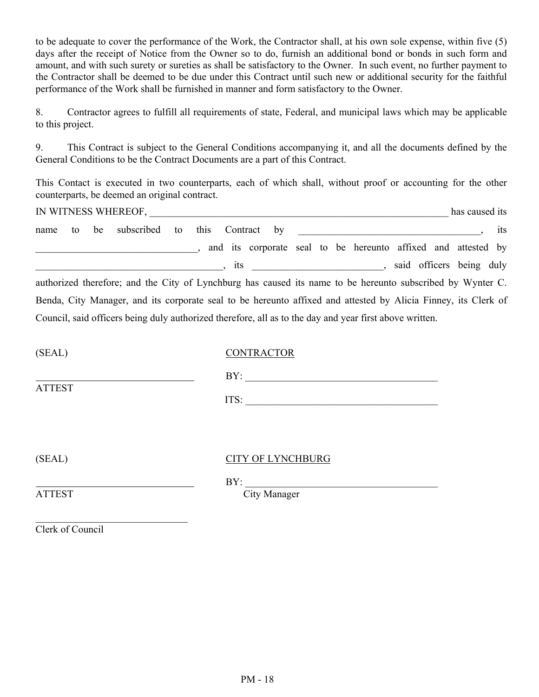to be adequate to cover the performance of the Work, the Contractor shall, at his own sole expense, within five (5) days after the receipt of Notice from the Owner so to do, furnish an additional bond or bonds in such form and amount, and with such surety or sureties as shall be satisfactory to the Owner. In such event, no further payment to the Contractor shall be deemed to be due under this Contract until such new or additional security for the faithful performance of the Work shall be furnished in manner and form satisfactory to the Owner.

8. Contractor agrees to fulfill all requirements of state, Federal, and municipal laws which may be applicable to this project.

9. This Contract is subject to the General Conditions accompanying it, and all the documents defined by the General Conditions to be the Contract Documents are a part of this Contract.

This Contact is executed in two counterparts, each of which shall, without proof or accounting for the other counterparts, be deemed an original contract.

| IN WITNESS WHEREOF,                                                                                            | has caused its |
|----------------------------------------------------------------------------------------------------------------|----------------|
| subscribed to<br>be<br>this<br>Contract by<br>to<br>name                                                       | its            |
| and its corporate seal to be hereunto affixed and attested by                                                  |                |
| said officers being duly<br>$\overline{\phantom{a}}$<br>its                                                    |                |
| authorized therefore; and the City of Lynchburg has caused its name to be hereunto subscribed by Wynter C.     |                |
| Benda, City Manager, and its corporate seal to be hereunto affixed and attested by Alicia Finney, its Clerk of |                |
| Council, said officers being duly authorized therefore, all as to the day and year first above written.        |                |

| (SEAL)        | <b>CONTRACTOR</b> |
|---------------|-------------------|
|               | BY:               |
| <b>ATTEST</b> | ITS:              |
|               |                   |

# (SEAL) CITY OF LYNCHBURG

 $\mathsf{BY}:$ ATTEST City Manager

Clerk of Council

 $\mathcal{L}_\text{max}$  , where  $\mathcal{L}_\text{max}$  and  $\mathcal{L}_\text{max}$  and  $\mathcal{L}_\text{max}$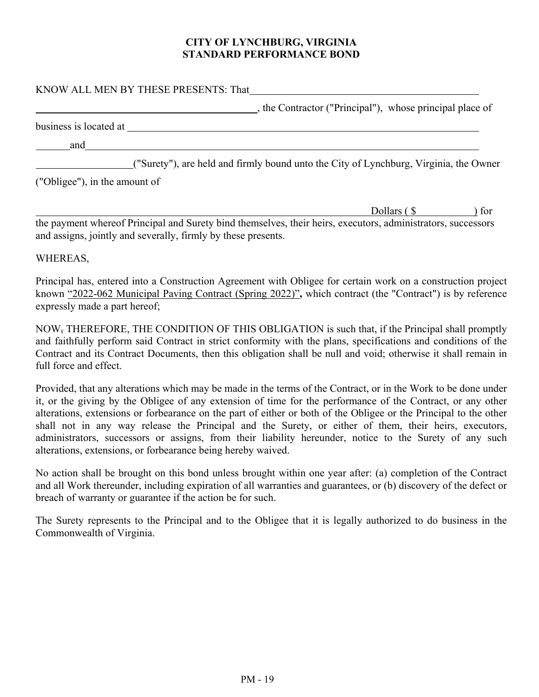#### **CITY OF LYNCHBURG, VIRGINIA STANDARD PERFORMANCE BOND**

# KNOW ALL MEN BY THESE PRESENTS: That **EXECUTE:** the Contractor ("Principal"), whose principal place of business is located at  $\qquad \qquad$  and ("Surety"), are held and firmly bound unto the City of Lynchburg, Virginia, the Owner ("Obligee"), in the amount of

Dollars (\$ ) for

the payment whereof Principal and Surety bind themselves, their heirs, executors, administrators, successors and assigns, jointly and severally, firmly by these presents.

## WHEREAS,

Principal has, entered into a Construction Agreement with Obligee for certain work on a construction project known "2022-062 Municipal Paving Contract (Spring 2022)"**,** which contract (the "Contract") is by reference expressly made a part hereof;

NOW, THEREFORE, THE CONDITION OF THIS OBLIGATION is such that, if the Principal shall promptly and faithfully perform said Contract in strict conformity with the plans, specifications and conditions of the Contract and its Contract Documents, then this obligation shall be null and void; otherwise it shall remain in full force and effect.

Provided, that any alterations which may be made in the terms of the Contract, or in the Work to be done under it, or the giving by the Obligee of any extension of time for the performance of the Contract, or any other alterations, extensions or forbearance on the part of either or both of the Obligee or the Principal to the other shall not in any way release the Principal and the Surety, or either of them, their heirs, executors, administrators, successors or assigns, from their liability hereunder, notice to the Surety of any such alterations, extensions, or forbearance being hereby waived.

No action shall be brought on this bond unless brought within one year after: (a) completion of the Contract and all Work thereunder, including expiration of all warranties and guarantees, or (b) discovery of the defect or breach of warranty or guarantee if the action be for such.

The Surety represents to the Principal and to the Obligee that it is legally authorized to do business in the Commonwealth of Virginia.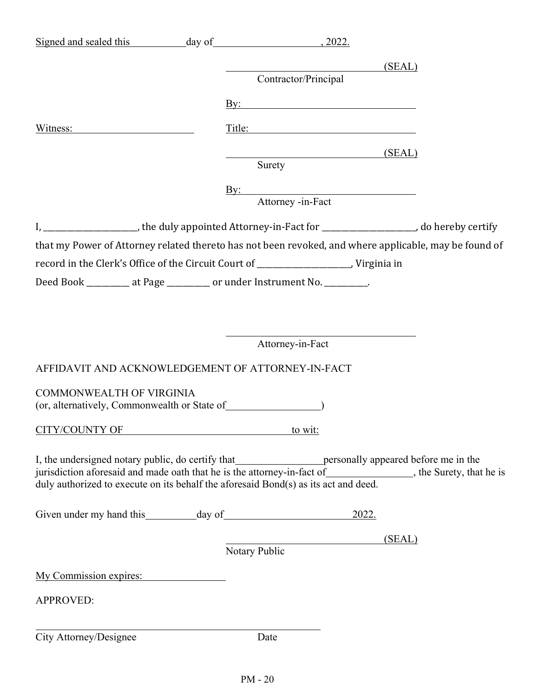| Signed and sealed this day of 3022.                                   |                                                                                                                                                                                             |
|-----------------------------------------------------------------------|---------------------------------------------------------------------------------------------------------------------------------------------------------------------------------------------|
|                                                                       |                                                                                                                                                                                             |
|                                                                       | (SEAL)<br>Contractor/Principal                                                                                                                                                              |
|                                                                       | <u>By:</u>                                                                                                                                                                                  |
|                                                                       | Title: Title:                                                                                                                                                                               |
|                                                                       | SEAL                                                                                                                                                                                        |
|                                                                       | Surety                                                                                                                                                                                      |
|                                                                       | By: Attorney -in-Fact                                                                                                                                                                       |
|                                                                       |                                                                                                                                                                                             |
|                                                                       | I, ______________________, the duly appointed Attorney-in-Fact for ___________________, do hereby certify                                                                                   |
|                                                                       | that my Power of Attorney related thereto has not been revoked, and where applicable, may be found of                                                                                       |
|                                                                       |                                                                                                                                                                                             |
| Deed Book ________ at Page ________ or under Instrument No. ________. |                                                                                                                                                                                             |
|                                                                       |                                                                                                                                                                                             |
|                                                                       |                                                                                                                                                                                             |
|                                                                       | Attorney-in-Fact                                                                                                                                                                            |
| AFFIDAVIT AND ACKNOWLEDGEMENT OF ATTORNEY-IN-FACT                     |                                                                                                                                                                                             |
| COMMONWEALTH OF VIRGINIA                                              |                                                                                                                                                                                             |
|                                                                       |                                                                                                                                                                                             |
| CITY/COUNTY OF to wit:                                                |                                                                                                                                                                                             |
|                                                                       |                                                                                                                                                                                             |
|                                                                       | I, the undersigned notary public, do certify that personally appeared before me in the jurisdiction aforesaid and made oath that he is the attorney-in-fact of head the streety, that he is |
|                                                                       | duly authorized to execute on its behalf the aforesaid Bond(s) as its act and deed.                                                                                                         |
|                                                                       | <u>2022.</u>                                                                                                                                                                                |
|                                                                       | (SEAL)                                                                                                                                                                                      |
|                                                                       | Notary Public                                                                                                                                                                               |
| My Commission expires:                                                |                                                                                                                                                                                             |
| <b>APPROVED:</b>                                                      |                                                                                                                                                                                             |
|                                                                       |                                                                                                                                                                                             |
| City Attorney/Designee                                                | Date                                                                                                                                                                                        |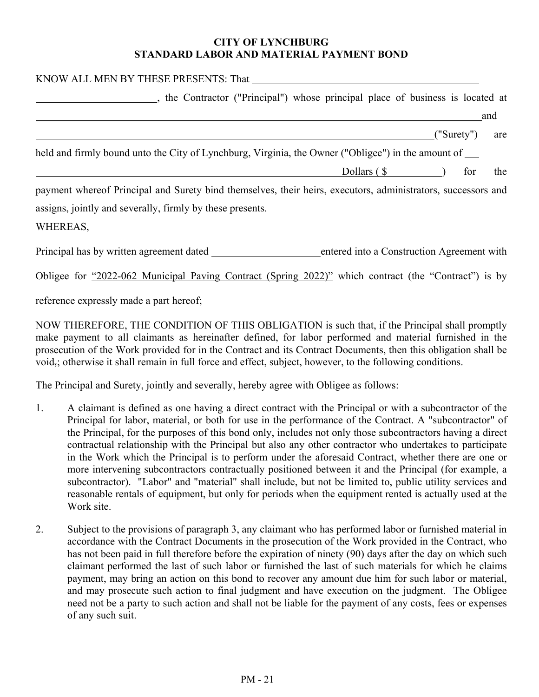#### **CITY OF LYNCHBURG STANDARD LABOR AND MATERIAL PAYMENT BOND**

| KNOW ALL MEN BY THESE PRESENTS: That                                                                         |
|--------------------------------------------------------------------------------------------------------------|
| , the Contractor ("Principal") whose principal place of business is located at                               |
| and                                                                                                          |
| ("Surety")<br>are                                                                                            |
| held and firmly bound unto the City of Lynchburg, Virginia, the Owner ("Obligee") in the amount of           |
| Dollars $(\$<br>the<br>for                                                                                   |
| payment whereof Principal and Surety bind themselves, their heirs, executors, administrators, successors and |
| assigns, jointly and severally, firmly by these presents.                                                    |
| WHEREAS,                                                                                                     |
| Principal has by written agreement dated<br>entered into a Construction Agreement with                       |
| Obligee for "2022-062 Municipal Paving Contract (Spring 2022)" which contract (the "Contract") is by         |

reference expressly made a part hereof;

NOW THEREFORE, THE CONDITION OF THIS OBLIGATION is such that, if the Principal shall promptly make payment to all claimants as hereinafter defined, for labor performed and material furnished in the prosecution of the Work provided for in the Contract and its Contract Documents, then this obligation shall be void,; otherwise it shall remain in full force and effect, subject, however, to the following conditions.

The Principal and Surety, jointly and severally, hereby agree with Obligee as follows:

- 1. A claimant is defined as one having a direct contract with the Principal or with a subcontractor of the Principal for labor, material, or both for use in the performance of the Contract. A "subcontractor" of the Principal, for the purposes of this bond only, includes not only those subcontractors having a direct contractual relationship with the Principal but also any other contractor who undertakes to participate in the Work which the Principal is to perform under the aforesaid Contract, whether there are one or more intervening subcontractors contractually positioned between it and the Principal (for example, a subcontractor). "Labor" and "material" shall include, but not be limited to, public utility services and reasonable rentals of equipment, but only for periods when the equipment rented is actually used at the Work site.
- 2. Subject to the provisions of paragraph 3, any claimant who has performed labor or furnished material in accordance with the Contract Documents in the prosecution of the Work provided in the Contract, who has not been paid in full therefore before the expiration of ninety (90) days after the day on which such claimant performed the last of such labor or furnished the last of such materials for which he claims payment, may bring an action on this bond to recover any amount due him for such labor or material, and may prosecute such action to final judgment and have execution on the judgment. The Obligee need not be a party to such action and shall not be liable for the payment of any costs, fees or expenses of any such suit.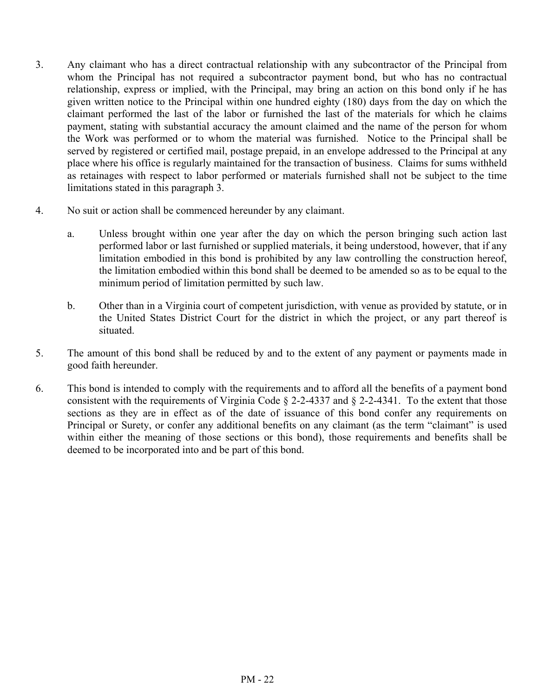- 3. Any claimant who has a direct contractual relationship with any subcontractor of the Principal from whom the Principal has not required a subcontractor payment bond, but who has no contractual relationship, express or implied, with the Principal, may bring an action on this bond only if he has given written notice to the Principal within one hundred eighty (180) days from the day on which the claimant performed the last of the labor or furnished the last of the materials for which he claims payment, stating with substantial accuracy the amount claimed and the name of the person for whom the Work was performed or to whom the material was furnished. Notice to the Principal shall be served by registered or certified mail, postage prepaid, in an envelope addressed to the Principal at any place where his office is regularly maintained for the transaction of business. Claims for sums withheld as retainages with respect to labor performed or materials furnished shall not be subject to the time limitations stated in this paragraph 3.
- 4. No suit or action shall be commenced hereunder by any claimant.
	- a. Unless brought within one year after the day on which the person bringing such action last performed labor or last furnished or supplied materials, it being understood, however, that if any limitation embodied in this bond is prohibited by any law controlling the construction hereof, the limitation embodied within this bond shall be deemed to be amended so as to be equal to the minimum period of limitation permitted by such law.
	- b. Other than in a Virginia court of competent jurisdiction, with venue as provided by statute, or in the United States District Court for the district in which the project, or any part thereof is situated.
- 5. The amount of this bond shall be reduced by and to the extent of any payment or payments made in good faith hereunder.
- 6. This bond is intended to comply with the requirements and to afford all the benefits of a payment bond consistent with the requirements of Virginia Code § 2-2-4337 and § 2-2-4341. To the extent that those sections as they are in effect as of the date of issuance of this bond confer any requirements on Principal or Surety, or confer any additional benefits on any claimant (as the term "claimant" is used within either the meaning of those sections or this bond), those requirements and benefits shall be deemed to be incorporated into and be part of this bond.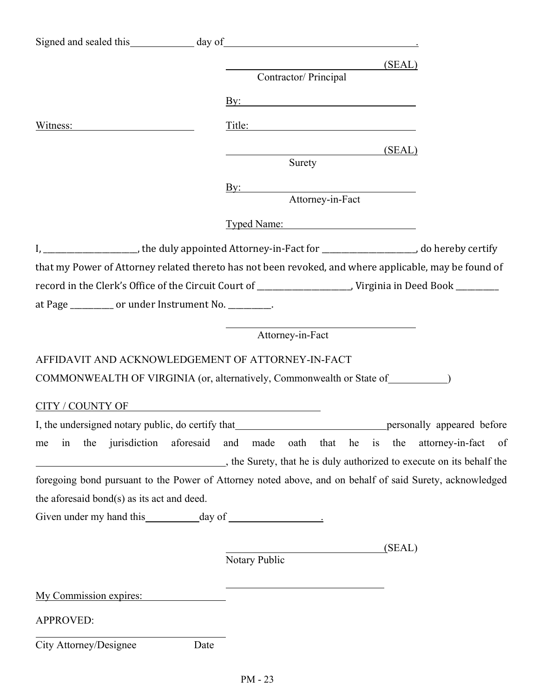|                                                    | (SEAL)                                                                                                         |
|----------------------------------------------------|----------------------------------------------------------------------------------------------------------------|
|                                                    | Contractor/ Principal                                                                                          |
|                                                    | $\overline{\text{By:}}$                                                                                        |
| Witness: View March 1997                           | Title:                                                                                                         |
|                                                    | (SEAL)                                                                                                         |
|                                                    | Surety                                                                                                         |
|                                                    | By: Attorney-in-Fact                                                                                           |
|                                                    |                                                                                                                |
|                                                    | Typed Name:                                                                                                    |
|                                                    | I, ________________________, the duly appointed Attorney-in-Fact for ______________________, do hereby certify |
|                                                    | that my Power of Attorney related thereto has not been revoked, and where applicable, may be found of          |
|                                                    |                                                                                                                |
| at Page ________ or under Instrument No. ________. |                                                                                                                |
|                                                    | Attorney-in-Fact                                                                                               |
|                                                    | AFFIDAVIT AND ACKNOWLEDGEMENT OF ATTORNEY-IN-FACT                                                              |
|                                                    | COMMONWEALTH OF VIRGINIA (or, alternatively, Commonwealth or State of __________)                              |
|                                                    |                                                                                                                |
|                                                    | CITY / COUNTY OF                                                                                               |
|                                                    |                                                                                                                |
| the jurisdiction aforesaid<br>in<br>me             | oath that<br>he is the<br>and made<br>attorney-in-fact of                                                      |
|                                                    | the Surety, that he is duly authorized to execute on its behalf the                                            |
|                                                    | foregoing bond pursuant to the Power of Attorney noted above, and on behalf of said Surety, acknowledged       |
| the aforesaid bond(s) as its act and deed.         |                                                                                                                |
|                                                    |                                                                                                                |
|                                                    | (SEAL)                                                                                                         |
|                                                    | Notary Public                                                                                                  |
| My Commission expires:                             |                                                                                                                |
|                                                    |                                                                                                                |
| <b>APPROVED:</b>                                   |                                                                                                                |
| City Attorney/Designee                             | Date                                                                                                           |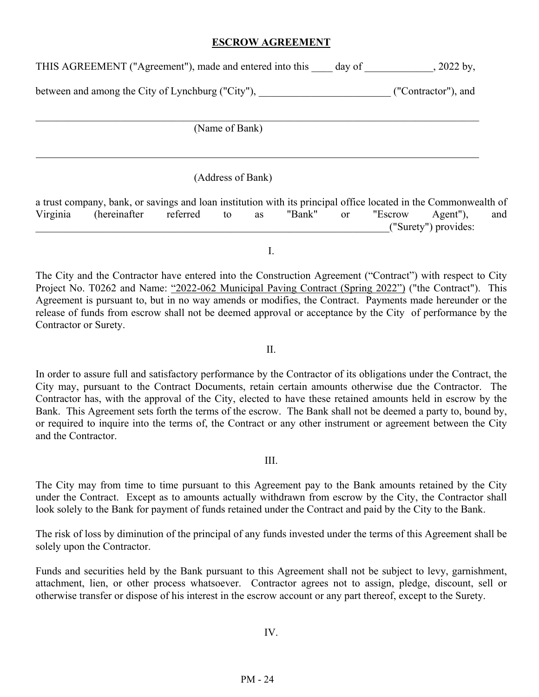#### **ESCROW AGREEMENT**

THIS AGREEMENT ("Agreement"), made and entered into this \_\_\_\_ day of \_\_\_\_\_\_\_\_\_\_\_\_, 2022 by,

between and among the City of Lynchburg ("City"),  $($ "Contractor"), and

(Name of Bank)

l

(Address of Bank)

a trust company, bank, or savings and loan institution with its principal office located in the Commonwealth of Virginia (hereinafter referred to as "Bank" or "Escrow Agent"), and \_\_\_\_\_\_\_\_\_\_\_\_\_\_\_\_\_\_\_\_\_\_\_\_\_\_\_\_\_\_\_\_\_\_\_\_\_\_\_\_\_\_\_\_\_\_\_\_\_\_\_\_\_\_\_\_\_\_\_\_\_\_\_\_\_\_\_("Surety") provides:

I.

The City and the Contractor have entered into the Construction Agreement ("Contract") with respect to City Project No. T0262 and Name: "2022-062 Municipal Paving Contract (Spring 2022") ("the Contract"). This Agreement is pursuant to, but in no way amends or modifies, the Contract. Payments made hereunder or the release of funds from escrow shall not be deemed approval or acceptance by the City of performance by the Contractor or Surety.

II.

In order to assure full and satisfactory performance by the Contractor of its obligations under the Contract, the City may, pursuant to the Contract Documents, retain certain amounts otherwise due the Contractor. The Contractor has, with the approval of the City, elected to have these retained amounts held in escrow by the Bank. This Agreement sets forth the terms of the escrow. The Bank shall not be deemed a party to, bound by, or required to inquire into the terms of, the Contract or any other instrument or agreement between the City and the Contractor.

#### III.

The City may from time to time pursuant to this Agreement pay to the Bank amounts retained by the City under the Contract. Except as to amounts actually withdrawn from escrow by the City, the Contractor shall look solely to the Bank for payment of funds retained under the Contract and paid by the City to the Bank.

The risk of loss by diminution of the principal of any funds invested under the terms of this Agreement shall be solely upon the Contractor.

Funds and securities held by the Bank pursuant to this Agreement shall not be subject to levy, garnishment, attachment, lien, or other process whatsoever. Contractor agrees not to assign, pledge, discount, sell or otherwise transfer or dispose of his interest in the escrow account or any part thereof, except to the Surety.

IV.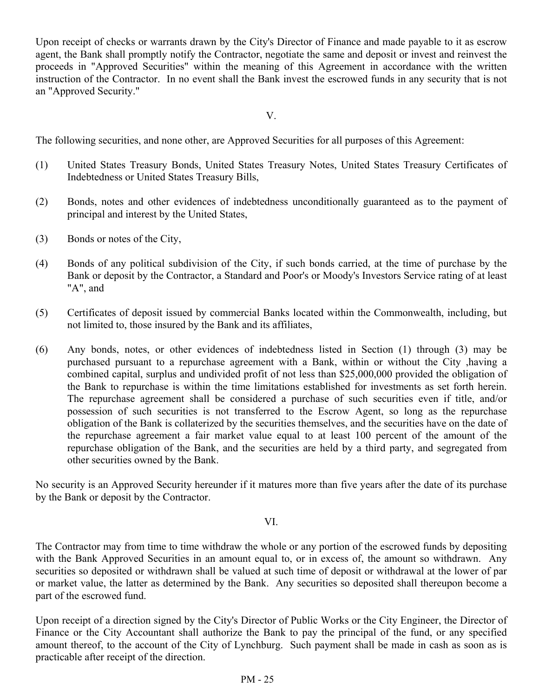Upon receipt of checks or warrants drawn by the City's Director of Finance and made payable to it as escrow agent, the Bank shall promptly notify the Contractor, negotiate the same and deposit or invest and reinvest the proceeds in "Approved Securities" within the meaning of this Agreement in accordance with the written instruction of the Contractor. In no event shall the Bank invest the escrowed funds in any security that is not an "Approved Security."

V.

The following securities, and none other, are Approved Securities for all purposes of this Agreement:

- (1) United States Treasury Bonds, United States Treasury Notes, United States Treasury Certificates of Indebtedness or United States Treasury Bills,
- (2) Bonds, notes and other evidences of indebtedness unconditionally guaranteed as to the payment of principal and interest by the United States,
- (3) Bonds or notes of the City,
- (4) Bonds of any political subdivision of the City, if such bonds carried, at the time of purchase by the Bank or deposit by the Contractor, a Standard and Poor's or Moody's Investors Service rating of at least "A", and
- (5) Certificates of deposit issued by commercial Banks located within the Commonwealth, including, but not limited to, those insured by the Bank and its affiliates,
- (6) Any bonds, notes, or other evidences of indebtedness listed in Section (1) through (3) may be purchased pursuant to a repurchase agreement with a Bank, within or without the City ,having a combined capital, surplus and undivided profit of not less than \$25,000,000 provided the obligation of the Bank to repurchase is within the time limitations established for investments as set forth herein. The repurchase agreement shall be considered a purchase of such securities even if title, and/or possession of such securities is not transferred to the Escrow Agent, so long as the repurchase obligation of the Bank is collaterized by the securities themselves, and the securities have on the date of the repurchase agreement a fair market value equal to at least 100 percent of the amount of the repurchase obligation of the Bank, and the securities are held by a third party, and segregated from other securities owned by the Bank.

No security is an Approved Security hereunder if it matures more than five years after the date of its purchase by the Bank or deposit by the Contractor.

#### VI.

The Contractor may from time to time withdraw the whole or any portion of the escrowed funds by depositing with the Bank Approved Securities in an amount equal to, or in excess of, the amount so withdrawn. Any securities so deposited or withdrawn shall be valued at such time of deposit or withdrawal at the lower of par or market value, the latter as determined by the Bank. Any securities so deposited shall thereupon become a part of the escrowed fund.

Upon receipt of a direction signed by the City's Director of Public Works or the City Engineer, the Director of Finance or the City Accountant shall authorize the Bank to pay the principal of the fund, or any specified amount thereof, to the account of the City of Lynchburg. Such payment shall be made in cash as soon as is practicable after receipt of the direction.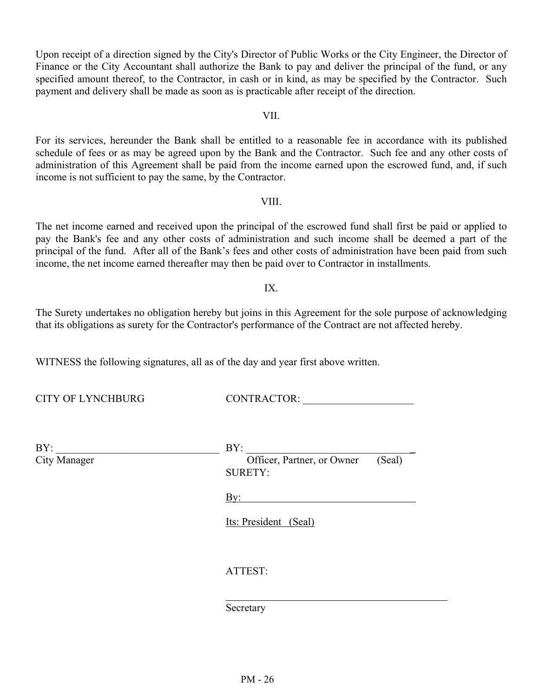Upon receipt of a direction signed by the City's Director of Public Works or the City Engineer, the Director of Finance or the City Accountant shall authorize the Bank to pay and deliver the principal of the fund, or any specified amount thereof, to the Contractor, in cash or in kind, as may be specified by the Contractor. Such payment and delivery shall be made as soon as is practicable after receipt of the direction.

VII.

For its services, hereunder the Bank shall be entitled to a reasonable fee in accordance with its published schedule of fees or as may be agreed upon by the Bank and the Contractor. Such fee and any other costs of administration of this Agreement shall be paid from the income earned upon the escrowed fund, and, if such income is not sufficient to pay the same, by the Contractor.

#### VIII.

The net income earned and received upon the principal of the escrowed fund shall first be paid or applied to pay the Bank's fee and any other costs of administration and such income shall be deemed a part of the principal of the fund. After all of the Bank's fees and other costs of administration have been paid from such income, the net income earned thereafter may then be paid over to Contractor in installments.

#### IX.

The Surety undertakes no obligation hereby but joins in this Agreement for the sole purpose of acknowledging that its obligations as surety for the Contractor's performance of the Contract are not affected hereby.

WITNESS the following signatures, all as of the day and year first above written.

CITY OF LYNCHBURG CONTRACTOR:

| BY:          | BY:                                                    |
|--------------|--------------------------------------------------------|
| City Manager | Officer, Partner, or Owner<br>(Seal)<br><b>SURETY:</b> |
|              | $\underline{By:}$                                      |
|              | Its: President (Seal)                                  |
|              | ATTEST:                                                |
|              | Secretary                                              |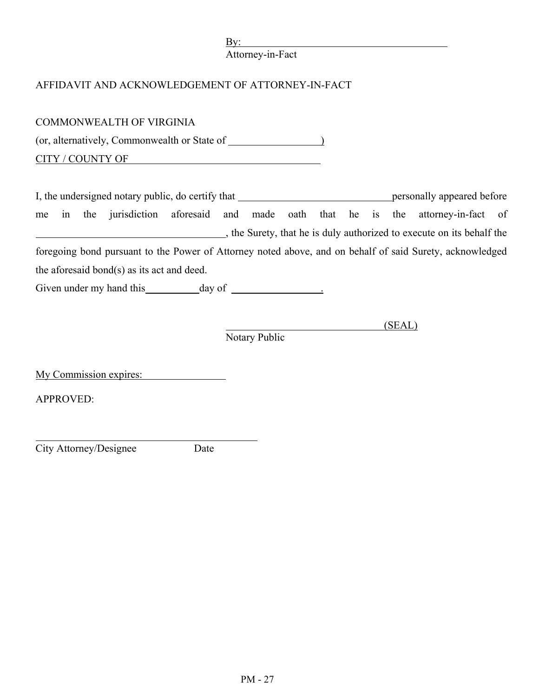Attorney-in-Fact

# AFFIDAVIT AND ACKNOWLEDGEMENT OF ATTORNEY-IN-FACT

| <b>COMMONWEALTH OF VIRGINIA</b>                                                                          |                         |
|----------------------------------------------------------------------------------------------------------|-------------------------|
|                                                                                                          |                         |
| CITY / COUNTY OF                                                                                         |                         |
|                                                                                                          |                         |
|                                                                                                          |                         |
| in the jurisdiction aforesaid and made oath that he is<br>me                                             | the attorney-in-fact of |
| the Surety, that he is duly authorized to execute on its behalf the                                      |                         |
| foregoing bond pursuant to the Power of Attorney noted above, and on behalf of said Surety, acknowledged |                         |
| the aforesaid bond(s) as its act and deed.                                                               |                         |
|                                                                                                          |                         |
|                                                                                                          |                         |
| (SEAL)                                                                                                   |                         |
| Notary Public                                                                                            |                         |
|                                                                                                          |                         |
| My Commission expires:                                                                                   |                         |
| <b>APPROVED:</b>                                                                                         |                         |
|                                                                                                          |                         |

City Attorney/Designee Date

l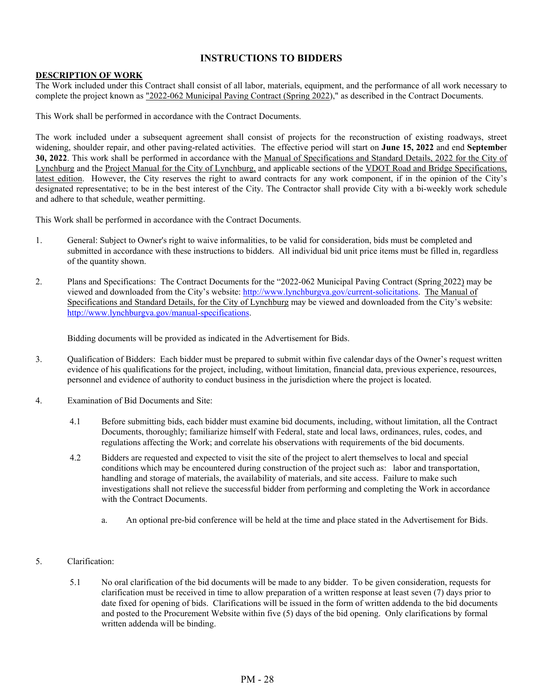#### **INSTRUCTIONS TO BIDDERS**

#### **DESCRIPTION OF WORK**

The Work included under this Contract shall consist of all labor, materials, equipment, and the performance of all work necessary to complete the project known as "2022-062 Municipal Paving Contract (Spring 2022)," as described in the Contract Documents.

This Work shall be performed in accordance with the Contract Documents.

The work included under a subsequent agreement shall consist of projects for the reconstruction of existing roadways, street widening, shoulder repair, and other paving-related activities. The effective period will start on **June 15, 2022** and end **Septembe**r **30, 2022**. This work shall be performed in accordance with the Manual of Specifications and Standard Details, 2022 for the City of Lynchburg and the Project Manual for the City of Lynchburg, and applicable sections of the VDOT Road and Bridge Specifications, latest edition. However, the City reserves the right to award contracts for any work component, if in the opinion of the City's designated representative; to be in the best interest of the City. The Contractor shall provide City with a bi-weekly work schedule and adhere to that schedule, weather permitting.

This Work shall be performed in accordance with the Contract Documents.

- 1. General: Subject to Owner's right to waive informalities, to be valid for consideration, bids must be completed and submitted in accordance with these instructions to bidders. All individual bid unit price items must be filled in, regardless of the quantity shown.
- 2. Plans and Specifications: The Contract Documents for the "2022-062 Municipal Paving Contract (Spring 2022) may be viewed and downloaded from the City's website: http://www.lynchburgva.gov/current-solicitations. The Manual of Specifications and Standard Details, for the City of Lynchburg may be viewed and downloaded from the City's website: http://www.lynchburgva.gov/manual-specifications.

Bidding documents will be provided as indicated in the Advertisement for Bids.

- 3. Qualification of Bidders: Each bidder must be prepared to submit within five calendar days of the Owner's request written evidence of his qualifications for the project, including, without limitation, financial data, previous experience, resources, personnel and evidence of authority to conduct business in the jurisdiction where the project is located.
- 4. Examination of Bid Documents and Site:
	- 4.1 Before submitting bids, each bidder must examine bid documents, including, without limitation, all the Contract Documents, thoroughly; familiarize himself with Federal, state and local laws, ordinances, rules, codes, and regulations affecting the Work; and correlate his observations with requirements of the bid documents.
	- 4.2 Bidders are requested and expected to visit the site of the project to alert themselves to local and special conditions which may be encountered during construction of the project such as: labor and transportation, handling and storage of materials, the availability of materials, and site access. Failure to make such investigations shall not relieve the successful bidder from performing and completing the Work in accordance with the Contract Documents.
		- a. An optional pre-bid conference will be held at the time and place stated in the Advertisement for Bids.
- 5. Clarification:
	- 5.1 No oral clarification of the bid documents will be made to any bidder. To be given consideration, requests for clarification must be received in time to allow preparation of a written response at least seven (7) days prior to date fixed for opening of bids. Clarifications will be issued in the form of written addenda to the bid documents and posted to the Procurement Website within five (5) days of the bid opening. Only clarifications by formal written addenda will be binding.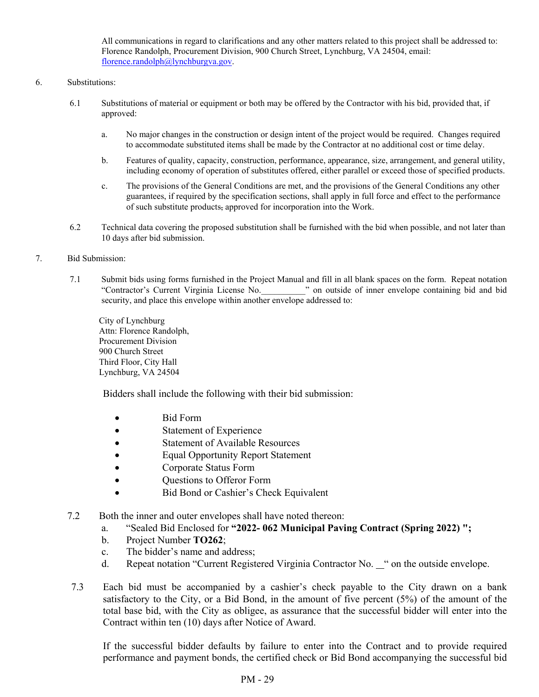All communications in regard to clarifications and any other matters related to this project shall be addressed to: Florence Randolph, Procurement Division, 900 Church Street, Lynchburg, VA 24504, email: florence.randolph@lynchburgva.gov.

#### 6. Substitutions:

- 6.1 Substitutions of material or equipment or both may be offered by the Contractor with his bid, provided that, if approved:
	- a. No major changes in the construction or design intent of the project would be required. Changes required to accommodate substituted items shall be made by the Contractor at no additional cost or time delay.
	- b. Features of quality, capacity, construction, performance, appearance, size, arrangement, and general utility, including economy of operation of substitutes offered, either parallel or exceed those of specified products.
	- c. The provisions of the General Conditions are met, and the provisions of the General Conditions any other guarantees, if required by the specification sections, shall apply in full force and effect to the performance of such substitute products, approved for incorporation into the Work.
- 6.2 Technical data covering the proposed substitution shall be furnished with the bid when possible, and not later than 10 days after bid submission.
- 7. Bid Submission:
	- 7.1 Submit bids using forms furnished in the Project Manual and fill in all blank spaces on the form. Repeat notation "Contractor's Current Virginia License No.\_\_\_\_\_\_\_\_\_\_" on outside of inner envelope containing bid and bid security, and place this envelope within another envelope addressed to:

 City of Lynchburg Attn: Florence Randolph, Procurement Division 900 Church Street Third Floor, City Hall Lynchburg, VA 24504

Bidders shall include the following with their bid submission:

- Bid Form
- Statement of Experience
- Statement of Available Resources
- Equal Opportunity Report Statement
- Corporate Status Form
- Questions to Offeror Form
- Bid Bond or Cashier's Check Equivalent
- 7.2 Both the inner and outer envelopes shall have noted thereon:
	- a. "Sealed Bid Enclosed for **"2022- 062 Municipal Paving Contract (Spring 2022) ";**
	- b. Project Number **TO262**;
	- c. The bidder's name and address;
	- d. Repeat notation "Current Registered Virginia Contractor No. " on the outside envelope.
- 7.3 Each bid must be accompanied by a cashier's check payable to the City drawn on a bank satisfactory to the City, or a Bid Bond, in the amount of five percent (5%) of the amount of the total base bid, with the City as obligee, as assurance that the successful bidder will enter into the Contract within ten (10) days after Notice of Award.

 If the successful bidder defaults by failure to enter into the Contract and to provide required performance and payment bonds, the certified check or Bid Bond accompanying the successful bid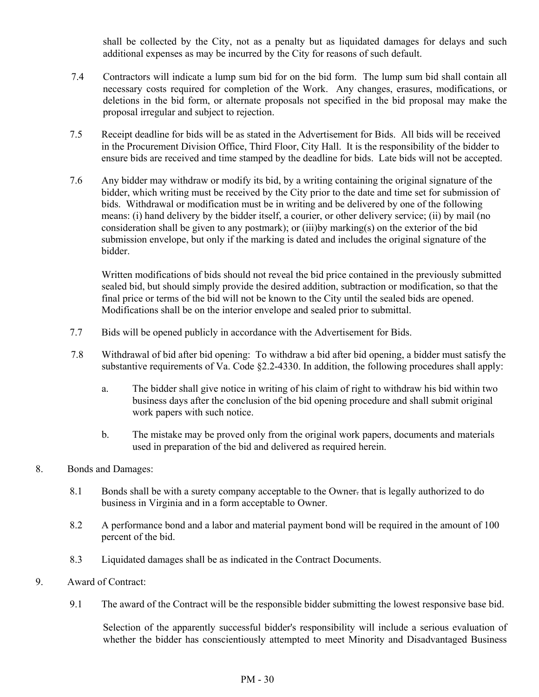shall be collected by the City, not as a penalty but as liquidated damages for delays and such additional expenses as may be incurred by the City for reasons of such default.

- 7.4 Contractors will indicate a lump sum bid for on the bid form. The lump sum bid shall contain all necessary costs required for completion of the Work. Any changes, erasures, modifications, or deletions in the bid form, or alternate proposals not specified in the bid proposal may make the proposal irregular and subject to rejection.
- 7.5 Receipt deadline for bids will be as stated in the Advertisement for Bids. All bids will be received in the Procurement Division Office, Third Floor, City Hall. It is the responsibility of the bidder to ensure bids are received and time stamped by the deadline for bids. Late bids will not be accepted.
- 7.6 Any bidder may withdraw or modify its bid, by a writing containing the original signature of the bidder, which writing must be received by the City prior to the date and time set for submission of bids. Withdrawal or modification must be in writing and be delivered by one of the following means: (i) hand delivery by the bidder itself, a courier, or other delivery service; (ii) by mail (no consideration shall be given to any postmark); or (iii)by marking(s) on the exterior of the bid submission envelope, but only if the marking is dated and includes the original signature of the bidder.

Written modifications of bids should not reveal the bid price contained in the previously submitted sealed bid, but should simply provide the desired addition, subtraction or modification, so that the final price or terms of the bid will not be known to the City until the sealed bids are opened. Modifications shall be on the interior envelope and sealed prior to submittal.

- 7.7 Bids will be opened publicly in accordance with the Advertisement for Bids.
- 7.8 Withdrawal of bid after bid opening: To withdraw a bid after bid opening, a bidder must satisfy the substantive requirements of Va. Code §2.2-4330. In addition, the following procedures shall apply:
	- a. The bidder shall give notice in writing of his claim of right to withdraw his bid within two business days after the conclusion of the bid opening procedure and shall submit original work papers with such notice.
	- b. The mistake may be proved only from the original work papers, documents and materials used in preparation of the bid and delivered as required herein.
- 8. Bonds and Damages:
	- 8.1 Bonds shall be with a surety company acceptable to the Owner. that is legally authorized to do business in Virginia and in a form acceptable to Owner.
	- 8.2 A performance bond and a labor and material payment bond will be required in the amount of 100 percent of the bid.
	- 8.3 Liquidated damages shall be as indicated in the Contract Documents.
- 9. Award of Contract:
	- 9.1 The award of the Contract will be the responsible bidder submitting the lowest responsive base bid.

Selection of the apparently successful bidder's responsibility will include a serious evaluation of whether the bidder has conscientiously attempted to meet Minority and Disadvantaged Business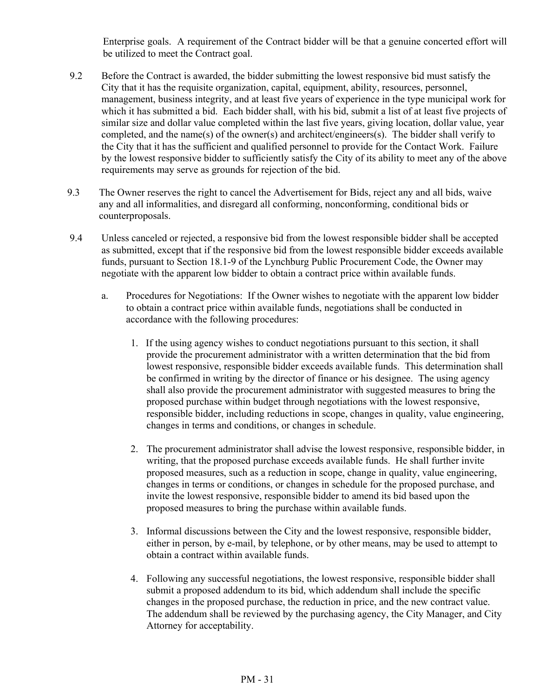Enterprise goals. A requirement of the Contract bidder will be that a genuine concerted effort will be utilized to meet the Contract goal.

- 9.2 Before the Contract is awarded, the bidder submitting the lowest responsive bid must satisfy the City that it has the requisite organization, capital, equipment, ability, resources, personnel, management, business integrity, and at least five years of experience in the type municipal work for which it has submitted a bid. Each bidder shall, with his bid, submit a list of at least five projects of similar size and dollar value completed within the last five years, giving location, dollar value, year completed, and the name(s) of the owner(s) and architect/engineers(s). The bidder shall verify to the City that it has the sufficient and qualified personnel to provide for the Contact Work. Failure by the lowest responsive bidder to sufficiently satisfy the City of its ability to meet any of the above requirements may serve as grounds for rejection of the bid.
- 9.3 The Owner reserves the right to cancel the Advertisement for Bids, reject any and all bids, waive any and all informalities, and disregard all conforming, nonconforming, conditional bids or counterproposals.
- 9.4 Unless canceled or rejected, a responsive bid from the lowest responsible bidder shall be accepted as submitted, except that if the responsive bid from the lowest responsible bidder exceeds available funds, pursuant to Section 18.1-9 of the Lynchburg Public Procurement Code, the Owner may negotiate with the apparent low bidder to obtain a contract price within available funds.
	- a. Procedures for Negotiations: If the Owner wishes to negotiate with the apparent low bidder to obtain a contract price within available funds, negotiations shall be conducted in accordance with the following procedures:
		- 1. If the using agency wishes to conduct negotiations pursuant to this section, it shall provide the procurement administrator with a written determination that the bid from lowest responsive, responsible bidder exceeds available funds. This determination shall be confirmed in writing by the director of finance or his designee. The using agency shall also provide the procurement administrator with suggested measures to bring the proposed purchase within budget through negotiations with the lowest responsive, responsible bidder, including reductions in scope, changes in quality, value engineering, changes in terms and conditions, or changes in schedule.
		- 2. The procurement administrator shall advise the lowest responsive, responsible bidder, in writing, that the proposed purchase exceeds available funds. He shall further invite proposed measures, such as a reduction in scope, change in quality, value engineering, changes in terms or conditions, or changes in schedule for the proposed purchase, and invite the lowest responsive, responsible bidder to amend its bid based upon the proposed measures to bring the purchase within available funds.
		- 3. Informal discussions between the City and the lowest responsive, responsible bidder, either in person, by e-mail, by telephone, or by other means, may be used to attempt to obtain a contract within available funds.
		- 4. Following any successful negotiations, the lowest responsive, responsible bidder shall submit a proposed addendum to its bid, which addendum shall include the specific changes in the proposed purchase, the reduction in price, and the new contract value. The addendum shall be reviewed by the purchasing agency, the City Manager, and City Attorney for acceptability.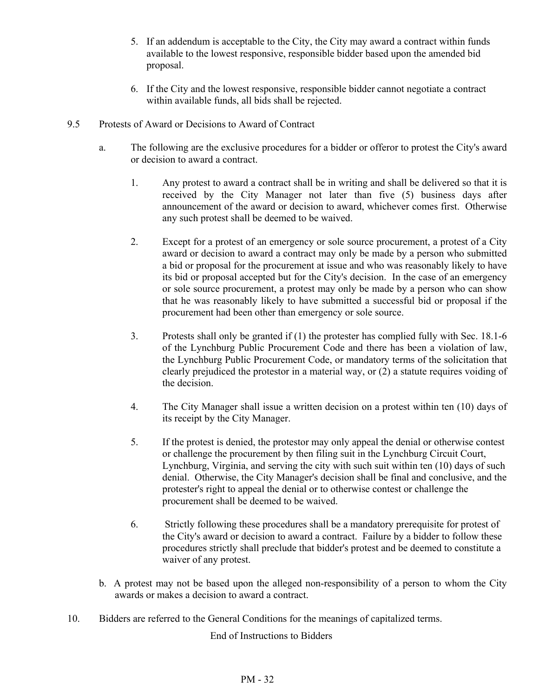- 5. If an addendum is acceptable to the City, the City may award a contract within funds available to the lowest responsive, responsible bidder based upon the amended bid proposal.
- 6. If the City and the lowest responsive, responsible bidder cannot negotiate a contract within available funds, all bids shall be rejected.
- 9.5 Protests of Award or Decisions to Award of Contract
	- a. The following are the exclusive procedures for a bidder or offeror to protest the City's award or decision to award a contract.
		- 1. Any protest to award a contract shall be in writing and shall be delivered so that it is received by the City Manager not later than five (5) business days after announcement of the award or decision to award, whichever comes first. Otherwise any such protest shall be deemed to be waived.
		- 2. Except for a protest of an emergency or sole source procurement, a protest of a City award or decision to award a contract may only be made by a person who submitted a bid or proposal for the procurement at issue and who was reasonably likely to have its bid or proposal accepted but for the City's decision. In the case of an emergency or sole source procurement, a protest may only be made by a person who can show that he was reasonably likely to have submitted a successful bid or proposal if the procurement had been other than emergency or sole source.
		- 3. Protests shall only be granted if (1) the protester has complied fully with Sec. 18.1-6 of the Lynchburg Public Procurement Code and there has been a violation of law, the Lynchburg Public Procurement Code, or mandatory terms of the solicitation that clearly prejudiced the protestor in a material way, or (2) a statute requires voiding of the decision.
		- 4. The City Manager shall issue a written decision on a protest within ten (10) days of its receipt by the City Manager.
		- 5. If the protest is denied, the protestor may only appeal the denial or otherwise contest or challenge the procurement by then filing suit in the Lynchburg Circuit Court, Lynchburg, Virginia, and serving the city with such suit within ten (10) days of such denial. Otherwise, the City Manager's decision shall be final and conclusive, and the protester's right to appeal the denial or to otherwise contest or challenge the procurement shall be deemed to be waived.
		- 6. Strictly following these procedures shall be a mandatory prerequisite for protest of the City's award or decision to award a contract. Failure by a bidder to follow these procedures strictly shall preclude that bidder's protest and be deemed to constitute a waiver of any protest.
	- b. A protest may not be based upon the alleged non-responsibility of a person to whom the City awards or makes a decision to award a contract.
- 10. Bidders are referred to the General Conditions for the meanings of capitalized terms.

End of Instructions to Bidders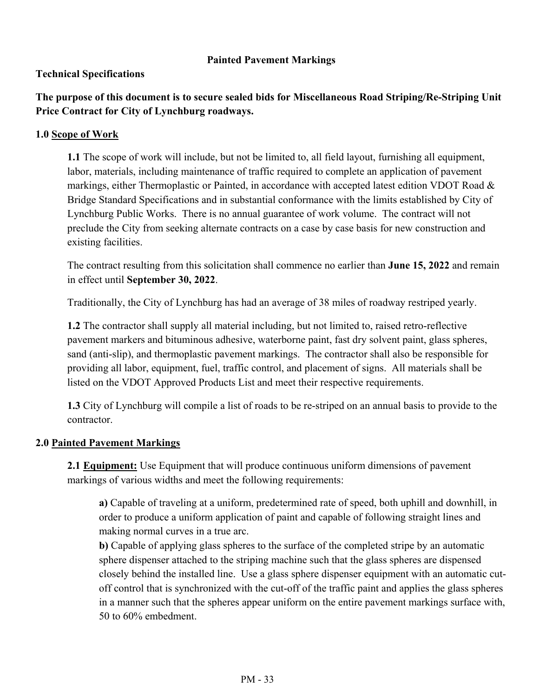## **Painted Pavement Markings**

## **Technical Specifications**

**The purpose of this document is to secure sealed bids for Miscellaneous Road Striping/Re-Striping Unit Price Contract for City of Lynchburg roadways.** 

## **1.0 Scope of Work**

**1.1** The scope of work will include, but not be limited to, all field layout, furnishing all equipment, labor, materials, including maintenance of traffic required to complete an application of pavement markings, either Thermoplastic or Painted, in accordance with accepted latest edition VDOT Road & Bridge Standard Specifications and in substantial conformance with the limits established by City of Lynchburg Public Works. There is no annual guarantee of work volume. The contract will not preclude the City from seeking alternate contracts on a case by case basis for new construction and existing facilities.

The contract resulting from this solicitation shall commence no earlier than **June 15, 2022** and remain in effect until **September 30, 2022**.

Traditionally, the City of Lynchburg has had an average of 38 miles of roadway restriped yearly.

**1.2** The contractor shall supply all material including, but not limited to, raised retro-reflective pavement markers and bituminous adhesive, waterborne paint, fast dry solvent paint, glass spheres, sand (anti-slip), and thermoplastic pavement markings. The contractor shall also be responsible for providing all labor, equipment, fuel, traffic control, and placement of signs. All materials shall be listed on the VDOT Approved Products List and meet their respective requirements.

**1.3** City of Lynchburg will compile a list of roads to be re-striped on an annual basis to provide to the contractor.

## **2.0 Painted Pavement Markings**

**2.1 Equipment:** Use Equipment that will produce continuous uniform dimensions of pavement markings of various widths and meet the following requirements:

**a)** Capable of traveling at a uniform, predetermined rate of speed, both uphill and downhill, in order to produce a uniform application of paint and capable of following straight lines and making normal curves in a true arc.

**b)** Capable of applying glass spheres to the surface of the completed stripe by an automatic sphere dispenser attached to the striping machine such that the glass spheres are dispensed closely behind the installed line. Use a glass sphere dispenser equipment with an automatic cutoff control that is synchronized with the cut-off of the traffic paint and applies the glass spheres in a manner such that the spheres appear uniform on the entire pavement markings surface with, 50 to 60% embedment.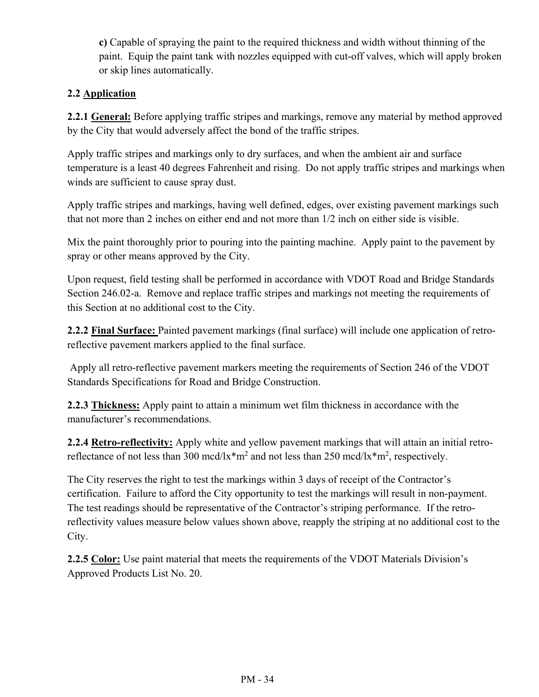**c)** Capable of spraying the paint to the required thickness and width without thinning of the paint. Equip the paint tank with nozzles equipped with cut-off valves, which will apply broken or skip lines automatically.

# **2.2 Application**

**2.2.1 General:** Before applying traffic stripes and markings, remove any material by method approved by the City that would adversely affect the bond of the traffic stripes.

Apply traffic stripes and markings only to dry surfaces, and when the ambient air and surface temperature is a least 40 degrees Fahrenheit and rising. Do not apply traffic stripes and markings when winds are sufficient to cause spray dust.

Apply traffic stripes and markings, having well defined, edges, over existing pavement markings such that not more than 2 inches on either end and not more than 1/2 inch on either side is visible.

Mix the paint thoroughly prior to pouring into the painting machine. Apply paint to the pavement by spray or other means approved by the City.

Upon request, field testing shall be performed in accordance with VDOT Road and Bridge Standards Section 246.02-a. Remove and replace traffic stripes and markings not meeting the requirements of this Section at no additional cost to the City.

**2.2.2 Final Surface:** Painted pavement markings (final surface) will include one application of retroreflective pavement markers applied to the final surface.

 Apply all retro-reflective pavement markers meeting the requirements of Section 246 of the VDOT Standards Specifications for Road and Bridge Construction.

**2.2.3 Thickness:** Apply paint to attain a minimum wet film thickness in accordance with the manufacturer's recommendations.

**2.2.4 Retro-reflectivity:** Apply white and yellow pavement markings that will attain an initial retroreflectance of not less than 300 mcd/lx<sup>\*</sup>m<sup>2</sup> and not less than 250 mcd/lx<sup>\*</sup>m<sup>2</sup>, respectively.

The City reserves the right to test the markings within 3 days of receipt of the Contractor's certification. Failure to afford the City opportunity to test the markings will result in non-payment. The test readings should be representative of the Contractor's striping performance. If the retroreflectivity values measure below values shown above, reapply the striping at no additional cost to the City.

**2.2.5 Color:** Use paint material that meets the requirements of the VDOT Materials Division's Approved Products List No. 20.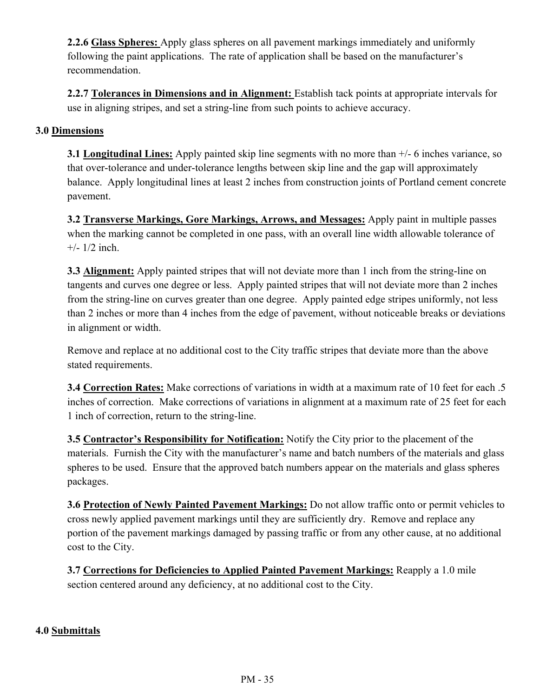**2.2.6 Glass Spheres:** Apply glass spheres on all pavement markings immediately and uniformly following the paint applications. The rate of application shall be based on the manufacturer's recommendation.

**2.2.7 Tolerances in Dimensions and in Alignment:** Establish tack points at appropriate intervals for use in aligning stripes, and set a string-line from such points to achieve accuracy.

## **3.0 Dimensions**

**3.1 Longitudinal Lines:** Apply painted skip line segments with no more than +/- 6 inches variance, so that over-tolerance and under-tolerance lengths between skip line and the gap will approximately balance. Apply longitudinal lines at least 2 inches from construction joints of Portland cement concrete pavement.

**3.2 Transverse Markings, Gore Markings, Arrows, and Messages:** Apply paint in multiple passes when the marking cannot be completed in one pass, with an overall line width allowable tolerance of  $+/- 1/2$  inch.

**3.3 Alignment:** Apply painted stripes that will not deviate more than 1 inch from the string-line on tangents and curves one degree or less. Apply painted stripes that will not deviate more than 2 inches from the string-line on curves greater than one degree. Apply painted edge stripes uniformly, not less than 2 inches or more than 4 inches from the edge of pavement, without noticeable breaks or deviations in alignment or width.

Remove and replace at no additional cost to the City traffic stripes that deviate more than the above stated requirements.

**3.4 Correction Rates:** Make corrections of variations in width at a maximum rate of 10 feet for each .5 inches of correction. Make corrections of variations in alignment at a maximum rate of 25 feet for each 1 inch of correction, return to the string-line.

**3.5 Contractor's Responsibility for Notification:** Notify the City prior to the placement of the materials. Furnish the City with the manufacturer's name and batch numbers of the materials and glass spheres to be used. Ensure that the approved batch numbers appear on the materials and glass spheres packages.

**3.6 Protection of Newly Painted Pavement Markings:** Do not allow traffic onto or permit vehicles to cross newly applied pavement markings until they are sufficiently dry. Remove and replace any portion of the pavement markings damaged by passing traffic or from any other cause, at no additional cost to the City.

**3.7 Corrections for Deficiencies to Applied Painted Pavement Markings:** Reapply a 1.0 mile section centered around any deficiency, at no additional cost to the City.

## **4.0 Submittals**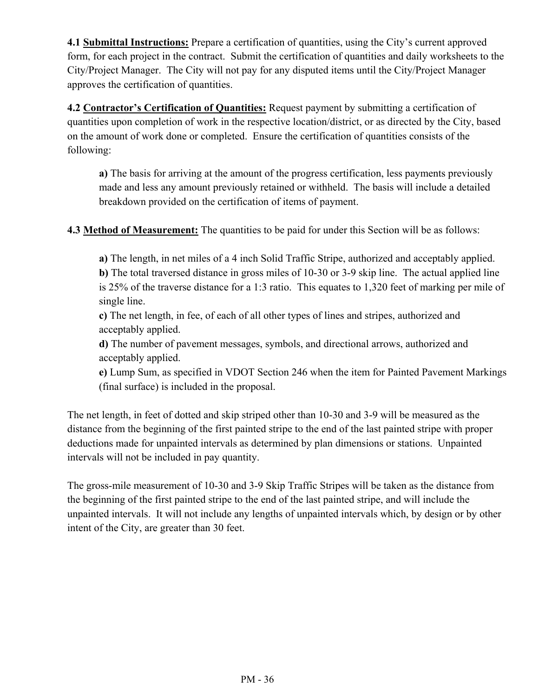**4.1 Submittal Instructions:** Prepare a certification of quantities, using the City's current approved form, for each project in the contract. Submit the certification of quantities and daily worksheets to the City/Project Manager. The City will not pay for any disputed items until the City/Project Manager approves the certification of quantities.

**4.2 Contractor's Certification of Quantities:** Request payment by submitting a certification of quantities upon completion of work in the respective location/district, or as directed by the City, based on the amount of work done or completed. Ensure the certification of quantities consists of the following:

**a)** The basis for arriving at the amount of the progress certification, less payments previously made and less any amount previously retained or withheld. The basis will include a detailed breakdown provided on the certification of items of payment.

**4.3 Method of Measurement:** The quantities to be paid for under this Section will be as follows:

**a)** The length, in net miles of a 4 inch Solid Traffic Stripe, authorized and acceptably applied.

**b)** The total traversed distance in gross miles of 10-30 or 3-9 skip line. The actual applied line is 25% of the traverse distance for a 1:3 ratio. This equates to 1,320 feet of marking per mile of single line.

**c)** The net length, in fee, of each of all other types of lines and stripes, authorized and acceptably applied.

**d)** The number of pavement messages, symbols, and directional arrows, authorized and acceptably applied.

**e)** Lump Sum, as specified in VDOT Section 246 when the item for Painted Pavement Markings (final surface) is included in the proposal.

The net length, in feet of dotted and skip striped other than 10-30 and 3-9 will be measured as the distance from the beginning of the first painted stripe to the end of the last painted stripe with proper deductions made for unpainted intervals as determined by plan dimensions or stations. Unpainted intervals will not be included in pay quantity.

The gross-mile measurement of 10-30 and 3-9 Skip Traffic Stripes will be taken as the distance from the beginning of the first painted stripe to the end of the last painted stripe, and will include the unpainted intervals. It will not include any lengths of unpainted intervals which, by design or by other intent of the City, are greater than 30 feet.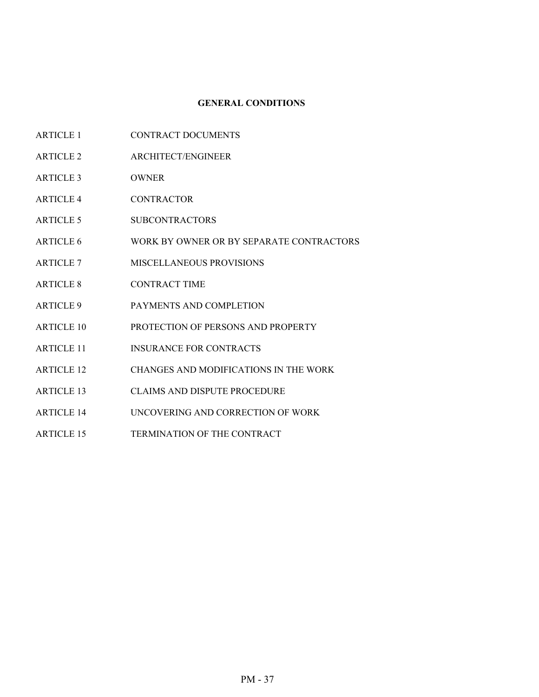#### **GENERAL CONDITIONS**

- ARTICLE 1 CONTRACT DOCUMENTS
- ARTICLE 2 ARCHITECT/ENGINEER
- ARTICLE 3 OWNER
- ARTICLE 4 CONTRACTOR
- ARTICLE 5 SUBCONTRACTORS
- ARTICLE 6 WORK BY OWNER OR BY SEPARATE CONTRACTORS
- ARTICLE 7 MISCELLANEOUS PROVISIONS
- ARTICLE 8 CONTRACT TIME
- ARTICLE 9 PAYMENTS AND COMPLETION
- ARTICLE 10 PROTECTION OF PERSONS AND PROPERTY
- ARTICLE 11 INSURANCE FOR CONTRACTS
- ARTICLE 12 CHANGES AND MODIFICATIONS IN THE WORK
- ARTICLE 13 CLAIMS AND DISPUTE PROCEDURE
- ARTICLE 14 UNCOVERING AND CORRECTION OF WORK
- ARTICLE 15 TERMINATION OF THE CONTRACT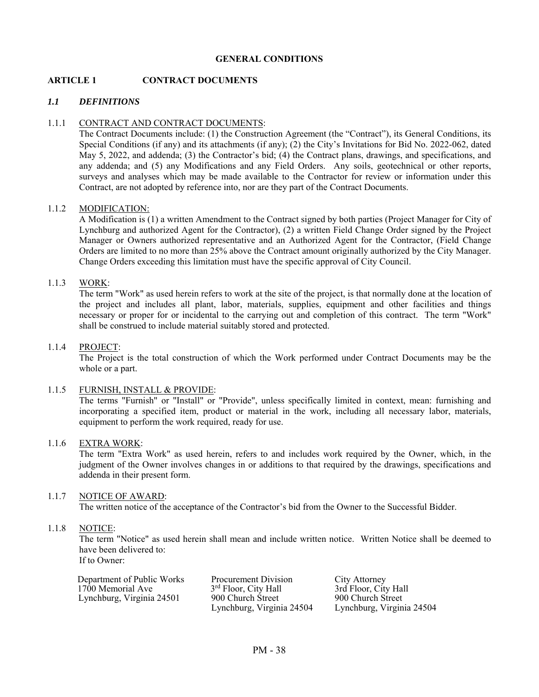## **GENERAL CONDITIONS**

## **ARTICLE 1 CONTRACT DOCUMENTS**

## *1.1 DEFINITIONS*

#### 1.1.1 CONTRACT AND CONTRACT DOCUMENTS:

 The Contract Documents include: (1) the Construction Agreement (the "Contract"), its General Conditions, its Special Conditions (if any) and its attachments (if any); (2) the City's Invitations for Bid No. 2022-062, dated May 5, 2022, and addenda; (3) the Contractor's bid; (4) the Contract plans, drawings, and specifications, and any addenda; and (5) any Modifications and any Field Orders. Any soils, geotechnical or other reports, surveys and analyses which may be made available to the Contractor for review or information under this Contract, are not adopted by reference into, nor are they part of the Contract Documents.

#### 1.1.2 MODIFICATION:

A Modification is (1) a written Amendment to the Contract signed by both parties (Project Manager for City of Lynchburg and authorized Agent for the Contractor), (2) a written Field Change Order signed by the Project Manager or Owners authorized representative and an Authorized Agent for the Contractor, (Field Change Orders are limited to no more than 25% above the Contract amount originally authorized by the City Manager. Change Orders exceeding this limitation must have the specific approval of City Council.

#### 1.1.3 WORK:

 The term "Work" as used herein refers to work at the site of the project, is that normally done at the location of the project and includes all plant, labor, materials, supplies, equipment and other facilities and things necessary or proper for or incidental to the carrying out and completion of this contract. The term "Work" shall be construed to include material suitably stored and protected.

#### 1.1.4 PROJECT:

 The Project is the total construction of which the Work performed under Contract Documents may be the whole or a part.

#### 1.1.5 FURNISH, INSTALL & PROVIDE:

The terms "Furnish" or "Install" or "Provide", unless specifically limited in context, mean: furnishing and incorporating a specified item, product or material in the work, including all necessary labor, materials, equipment to perform the work required, ready for use.

#### 1.1.6 EXTRA WORK:

 The term "Extra Work" as used herein, refers to and includes work required by the Owner, which, in the judgment of the Owner involves changes in or additions to that required by the drawings, specifications and addenda in their present form.

#### 1.1.7 NOTICE OF AWARD:

The written notice of the acceptance of the Contractor's bid from the Owner to the Successful Bidder.

#### 1.1.8 NOTICE:

The term "Notice" as used herein shall mean and include written notice. Written Notice shall be deemed to have been delivered to:

If to Owner:

| Department of Public Works | Procurement Division             | City Attorney        |
|----------------------------|----------------------------------|----------------------|
| 1700 Memorial Ave          | 3 <sup>rd</sup> Floor, City Hall | 3rd Floor, City Hall |
| Lynchburg, Virginia 24501  | 900 Church Street                | 900 Church Street    |
|                            |                                  |                      |

<sup>3rd</sup> Floor, City Hall 3rd Floor, City Hall 3rd Floor, City Hal Lynchburg, Virginia 24504 Lynchburg, Virginia 24504

900 Church Street<br>
Lynchburg, Virginia 24504 Lynchburg, Virginia 24504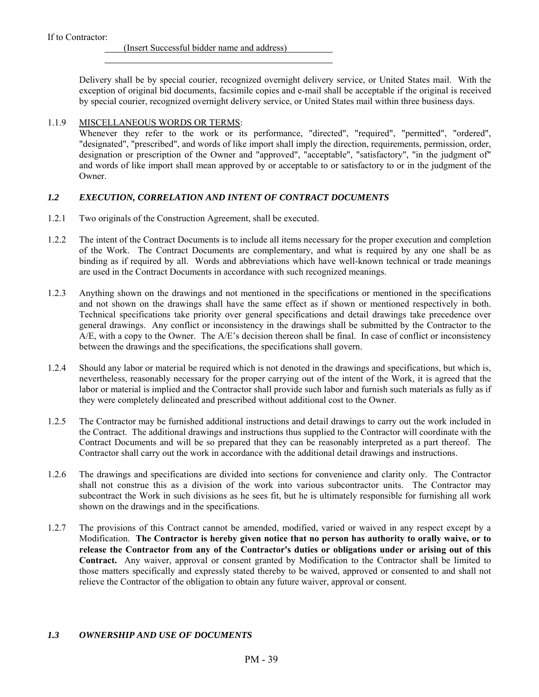$\overline{a}$ 

(Insert Successful bidder name and address)

Delivery shall be by special courier, recognized overnight delivery service, or United States mail. With the exception of original bid documents, facsimile copies and e-mail shall be acceptable if the original is received by special courier, recognized overnight delivery service, or United States mail within three business days.

### 1.1.9 MISCELLANEOUS WORDS OR TERMS:

 Whenever they refer to the work or its performance, "directed", "required", "permitted", "ordered", "designated", "prescribed", and words of like import shall imply the direction, requirements, permission, order, designation or prescription of the Owner and "approved", "acceptable", "satisfactory", "in the judgment of" and words of like import shall mean approved by or acceptable to or satisfactory to or in the judgment of the Owner.

## *1.2 EXECUTION, CORRELATION AND INTENT OF CONTRACT DOCUMENTS*

- 1.2.1 Two originals of the Construction Agreement, shall be executed.
- 1.2.2 The intent of the Contract Documents is to include all items necessary for the proper execution and completion of the Work. The Contract Documents are complementary, and what is required by any one shall be as binding as if required by all. Words and abbreviations which have well-known technical or trade meanings are used in the Contract Documents in accordance with such recognized meanings.
- 1.2.3 Anything shown on the drawings and not mentioned in the specifications or mentioned in the specifications and not shown on the drawings shall have the same effect as if shown or mentioned respectively in both. Technical specifications take priority over general specifications and detail drawings take precedence over general drawings. Any conflict or inconsistency in the drawings shall be submitted by the Contractor to the A/E, with a copy to the Owner. The A/E's decision thereon shall be final. In case of conflict or inconsistency between the drawings and the specifications, the specifications shall govern.
- 1.2.4 Should any labor or material be required which is not denoted in the drawings and specifications, but which is, nevertheless, reasonably necessary for the proper carrying out of the intent of the Work, it is agreed that the labor or material is implied and the Contractor shall provide such labor and furnish such materials as fully as if they were completely delineated and prescribed without additional cost to the Owner.
- 1.2.5 The Contractor may be furnished additional instructions and detail drawings to carry out the work included in the Contract. The additional drawings and instructions thus supplied to the Contractor will coordinate with the Contract Documents and will be so prepared that they can be reasonably interpreted as a part thereof. The Contractor shall carry out the work in accordance with the additional detail drawings and instructions.
- 1.2.6 The drawings and specifications are divided into sections for convenience and clarity only. The Contractor shall not construe this as a division of the work into various subcontractor units. The Contractor may subcontract the Work in such divisions as he sees fit, but he is ultimately responsible for furnishing all work shown on the drawings and in the specifications.
- 1.2.7 The provisions of this Contract cannot be amended, modified, varied or waived in any respect except by a Modification. **The Contractor is hereby given notice that no person has authority to orally waive, or to release the Contractor from any of the Contractor's duties or obligations under or arising out of this Contract.** Any waiver, approval or consent granted by Modification to the Contractor shall be limited to those matters specifically and expressly stated thereby to be waived, approved or consented to and shall not relieve the Contractor of the obligation to obtain any future waiver, approval or consent.

# *1.3 OWNERSHIP AND USE OF DOCUMENTS*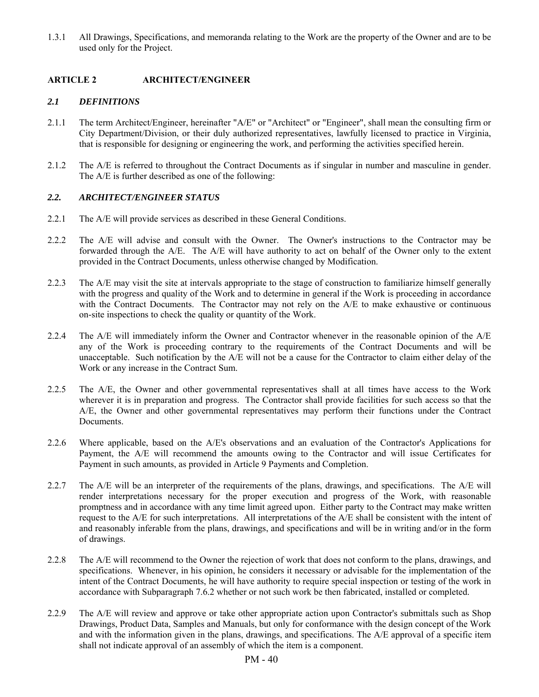1.3.1 All Drawings, Specifications, and memoranda relating to the Work are the property of the Owner and are to be used only for the Project.

## **ARTICLE 2 ARCHITECT/ENGINEER**

## *2.1 DEFINITIONS*

- 2.1.1 The term Architect/Engineer, hereinafter "A/E" or "Architect" or "Engineer", shall mean the consulting firm or City Department/Division, or their duly authorized representatives, lawfully licensed to practice in Virginia, that is responsible for designing or engineering the work, and performing the activities specified herein.
- 2.1.2 The A/E is referred to throughout the Contract Documents as if singular in number and masculine in gender. The A/E is further described as one of the following:

## *2.2. ARCHITECT/ENGINEER STATUS*

- 2.2.1 The A/E will provide services as described in these General Conditions.
- 2.2.2 The A/E will advise and consult with the Owner. The Owner's instructions to the Contractor may be forwarded through the A/E. The A/E will have authority to act on behalf of the Owner only to the extent provided in the Contract Documents, unless otherwise changed by Modification.
- 2.2.3 The A/E may visit the site at intervals appropriate to the stage of construction to familiarize himself generally with the progress and quality of the Work and to determine in general if the Work is proceeding in accordance with the Contract Documents. The Contractor may not rely on the A/E to make exhaustive or continuous on-site inspections to check the quality or quantity of the Work.
- 2.2.4 The A/E will immediately inform the Owner and Contractor whenever in the reasonable opinion of the A/E any of the Work is proceeding contrary to the requirements of the Contract Documents and will be unacceptable. Such notification by the A/E will not be a cause for the Contractor to claim either delay of the Work or any increase in the Contract Sum.
- 2.2.5 The A/E, the Owner and other governmental representatives shall at all times have access to the Work wherever it is in preparation and progress. The Contractor shall provide facilities for such access so that the A/E, the Owner and other governmental representatives may perform their functions under the Contract Documents.
- 2.2.6 Where applicable, based on the A/E's observations and an evaluation of the Contractor's Applications for Payment, the A/E will recommend the amounts owing to the Contractor and will issue Certificates for Payment in such amounts, as provided in Article 9 Payments and Completion.
- 2.2.7 The A/E will be an interpreter of the requirements of the plans, drawings, and specifications. The A/E will render interpretations necessary for the proper execution and progress of the Work, with reasonable promptness and in accordance with any time limit agreed upon. Either party to the Contract may make written request to the A/E for such interpretations. All interpretations of the A/E shall be consistent with the intent of and reasonably inferable from the plans, drawings, and specifications and will be in writing and/or in the form of drawings.
- 2.2.8 The A/E will recommend to the Owner the rejection of work that does not conform to the plans, drawings, and specifications. Whenever, in his opinion, he considers it necessary or advisable for the implementation of the intent of the Contract Documents, he will have authority to require special inspection or testing of the work in accordance with Subparagraph 7.6.2 whether or not such work be then fabricated, installed or completed.
- 2.2.9 The A/E will review and approve or take other appropriate action upon Contractor's submittals such as Shop Drawings, Product Data, Samples and Manuals, but only for conformance with the design concept of the Work and with the information given in the plans, drawings, and specifications. The A/E approval of a specific item shall not indicate approval of an assembly of which the item is a component.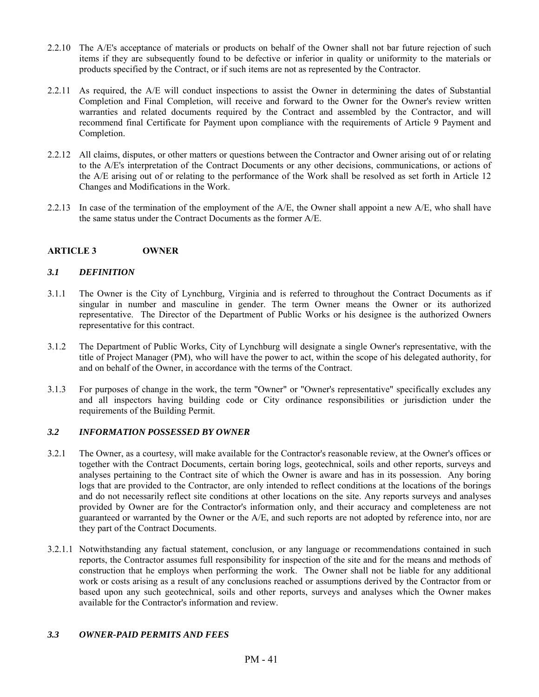- 2.2.10 The A/E's acceptance of materials or products on behalf of the Owner shall not bar future rejection of such items if they are subsequently found to be defective or inferior in quality or uniformity to the materials or products specified by the Contract, or if such items are not as represented by the Contractor.
- 2.2.11 As required, the A/E will conduct inspections to assist the Owner in determining the dates of Substantial Completion and Final Completion, will receive and forward to the Owner for the Owner's review written warranties and related documents required by the Contract and assembled by the Contractor, and will recommend final Certificate for Payment upon compliance with the requirements of Article 9 Payment and Completion.
- 2.2.12 All claims, disputes, or other matters or questions between the Contractor and Owner arising out of or relating to the A/E's interpretation of the Contract Documents or any other decisions, communications, or actions of the A/E arising out of or relating to the performance of the Work shall be resolved as set forth in Article 12 Changes and Modifications in the Work.
- 2.2.13 In case of the termination of the employment of the A/E, the Owner shall appoint a new A/E, who shall have the same status under the Contract Documents as the former A/E.

## **ARTICLE 3 OWNER**

#### *3.1 DEFINITION*

- 3.1.1 The Owner is the City of Lynchburg, Virginia and is referred to throughout the Contract Documents as if singular in number and masculine in gender. The term Owner means the Owner or its authorized representative. The Director of the Department of Public Works or his designee is the authorized Owners representative for this contract.
- 3.1.2 The Department of Public Works, City of Lynchburg will designate a single Owner's representative, with the title of Project Manager (PM), who will have the power to act, within the scope of his delegated authority, for and on behalf of the Owner, in accordance with the terms of the Contract.
- 3.1.3 For purposes of change in the work, the term "Owner" or "Owner's representative" specifically excludes any and all inspectors having building code or City ordinance responsibilities or jurisdiction under the requirements of the Building Permit.

## *3.2 INFORMATION POSSESSED BY OWNER*

- 3.2.1 The Owner, as a courtesy, will make available for the Contractor's reasonable review, at the Owner's offices or together with the Contract Documents, certain boring logs, geotechnical, soils and other reports, surveys and analyses pertaining to the Contract site of which the Owner is aware and has in its possession. Any boring logs that are provided to the Contractor, are only intended to reflect conditions at the locations of the borings and do not necessarily reflect site conditions at other locations on the site. Any reports surveys and analyses provided by Owner are for the Contractor's information only, and their accuracy and completeness are not guaranteed or warranted by the Owner or the A/E, and such reports are not adopted by reference into, nor are they part of the Contract Documents.
- 3.2.1.1 Notwithstanding any factual statement, conclusion, or any language or recommendations contained in such reports, the Contractor assumes full responsibility for inspection of the site and for the means and methods of construction that he employs when performing the work. The Owner shall not be liable for any additional work or costs arising as a result of any conclusions reached or assumptions derived by the Contractor from or based upon any such geotechnical, soils and other reports, surveys and analyses which the Owner makes available for the Contractor's information and review.

## *3.3 OWNER-PAID PERMITS AND FEES*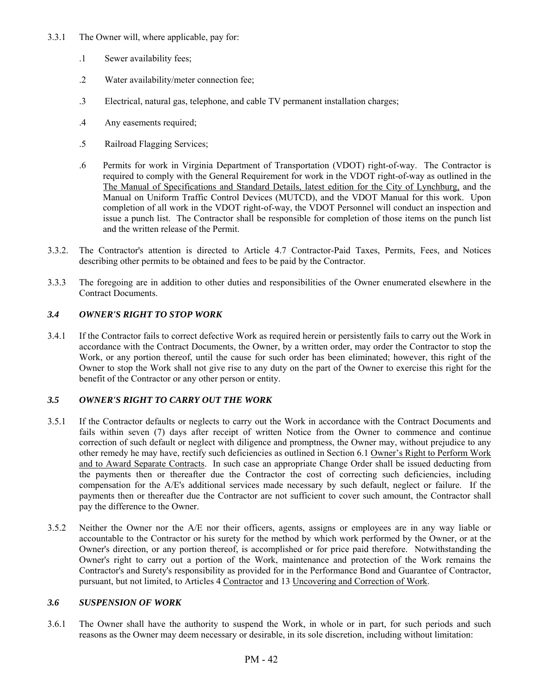- 3.3.1 The Owner will, where applicable, pay for:
	- .1 Sewer availability fees;
	- .2 Water availability/meter connection fee;
	- .3 Electrical, natural gas, telephone, and cable TV permanent installation charges;
	- .4 Any easements required;
	- .5 Railroad Flagging Services;
	- .6 Permits for work in Virginia Department of Transportation (VDOT) right-of-way. The Contractor is required to comply with the General Requirement for work in the VDOT right-of-way as outlined in the The Manual of Specifications and Standard Details, latest edition for the City of Lynchburg, and the Manual on Uniform Traffic Control Devices (MUTCD), and the VDOT Manual for this work. Upon completion of all work in the VDOT right-of-way, the VDOT Personnel will conduct an inspection and issue a punch list. The Contractor shall be responsible for completion of those items on the punch list and the written release of the Permit.
- 3.3.2. The Contractor's attention is directed to Article 4.7 Contractor-Paid Taxes, Permits, Fees, and Notices describing other permits to be obtained and fees to be paid by the Contractor.
- 3.3.3 The foregoing are in addition to other duties and responsibilities of the Owner enumerated elsewhere in the Contract Documents.

## *3.4 OWNER'S RIGHT TO STOP WORK*

3.4.1 If the Contractor fails to correct defective Work as required herein or persistently fails to carry out the Work in accordance with the Contract Documents, the Owner, by a written order, may order the Contractor to stop the Work, or any portion thereof, until the cause for such order has been eliminated; however, this right of the Owner to stop the Work shall not give rise to any duty on the part of the Owner to exercise this right for the benefit of the Contractor or any other person or entity.

## *3.5 OWNER'S RIGHT TO CARRY OUT THE WORK*

- 3.5.1 If the Contractor defaults or neglects to carry out the Work in accordance with the Contract Documents and fails within seven (7) days after receipt of written Notice from the Owner to commence and continue correction of such default or neglect with diligence and promptness, the Owner may, without prejudice to any other remedy he may have, rectify such deficiencies as outlined in Section 6.1 Owner's Right to Perform Work and to Award Separate Contracts. In such case an appropriate Change Order shall be issued deducting from the payments then or thereafter due the Contractor the cost of correcting such deficiencies, including compensation for the A/E's additional services made necessary by such default, neglect or failure. If the payments then or thereafter due the Contractor are not sufficient to cover such amount, the Contractor shall pay the difference to the Owner.
- 3.5.2 Neither the Owner nor the A/E nor their officers, agents, assigns or employees are in any way liable or accountable to the Contractor or his surety for the method by which work performed by the Owner, or at the Owner's direction, or any portion thereof, is accomplished or for price paid therefore. Notwithstanding the Owner's right to carry out a portion of the Work, maintenance and protection of the Work remains the Contractor's and Surety's responsibility as provided for in the Performance Bond and Guarantee of Contractor, pursuant, but not limited, to Articles 4 Contractor and 13 Uncovering and Correction of Work.

## *3.6 SUSPENSION OF WORK*

3.6.1 The Owner shall have the authority to suspend the Work, in whole or in part, for such periods and such reasons as the Owner may deem necessary or desirable, in its sole discretion, including without limitation: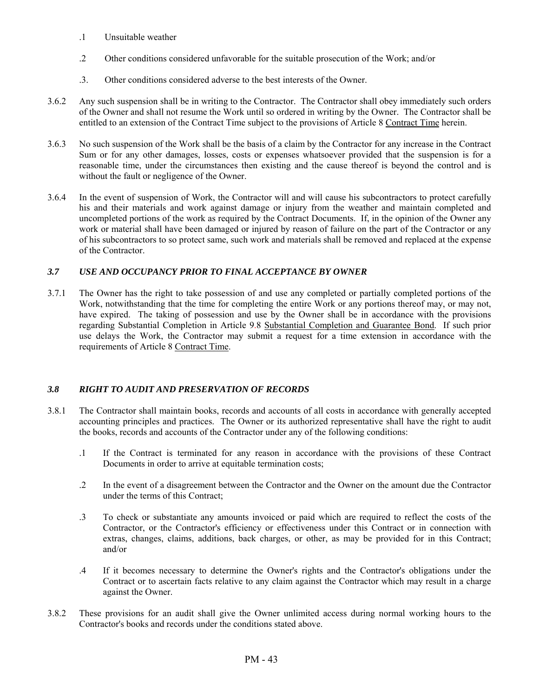- .1 Unsuitable weather
- .2 Other conditions considered unfavorable for the suitable prosecution of the Work; and/or
- .3. Other conditions considered adverse to the best interests of the Owner.
- 3.6.2 Any such suspension shall be in writing to the Contractor. The Contractor shall obey immediately such orders of the Owner and shall not resume the Work until so ordered in writing by the Owner. The Contractor shall be entitled to an extension of the Contract Time subject to the provisions of Article 8 Contract Time herein.
- 3.6.3 No such suspension of the Work shall be the basis of a claim by the Contractor for any increase in the Contract Sum or for any other damages, losses, costs or expenses whatsoever provided that the suspension is for a reasonable time, under the circumstances then existing and the cause thereof is beyond the control and is without the fault or negligence of the Owner.
- 3.6.4 In the event of suspension of Work, the Contractor will and will cause his subcontractors to protect carefully his and their materials and work against damage or injury from the weather and maintain completed and uncompleted portions of the work as required by the Contract Documents. If, in the opinion of the Owner any work or material shall have been damaged or injured by reason of failure on the part of the Contractor or any of his subcontractors to so protect same, such work and materials shall be removed and replaced at the expense of the Contractor.

# *3.7 USE AND OCCUPANCY PRIOR TO FINAL ACCEPTANCE BY OWNER*

3.7.1 The Owner has the right to take possession of and use any completed or partially completed portions of the Work, notwithstanding that the time for completing the entire Work or any portions thereof may, or may not, have expired. The taking of possession and use by the Owner shall be in accordance with the provisions regarding Substantial Completion in Article 9.8 Substantial Completion and Guarantee Bond. If such prior use delays the Work, the Contractor may submit a request for a time extension in accordance with the requirements of Article 8 Contract Time.

# *3.8 RIGHT TO AUDIT AND PRESERVATION OF RECORDS*

- 3.8.1 The Contractor shall maintain books, records and accounts of all costs in accordance with generally accepted accounting principles and practices. The Owner or its authorized representative shall have the right to audit the books, records and accounts of the Contractor under any of the following conditions:
	- .1 If the Contract is terminated for any reason in accordance with the provisions of these Contract Documents in order to arrive at equitable termination costs;
	- .2 In the event of a disagreement between the Contractor and the Owner on the amount due the Contractor under the terms of this Contract;
	- .3 To check or substantiate any amounts invoiced or paid which are required to reflect the costs of the Contractor, or the Contractor's efficiency or effectiveness under this Contract or in connection with extras, changes, claims, additions, back charges, or other, as may be provided for in this Contract; and/or
	- .4 If it becomes necessary to determine the Owner's rights and the Contractor's obligations under the Contract or to ascertain facts relative to any claim against the Contractor which may result in a charge against the Owner.
- 3.8.2 These provisions for an audit shall give the Owner unlimited access during normal working hours to the Contractor's books and records under the conditions stated above.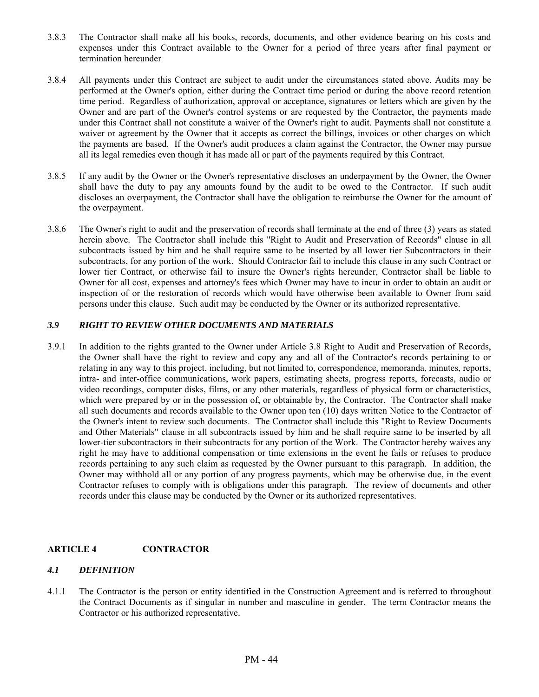- 3.8.3 The Contractor shall make all his books, records, documents, and other evidence bearing on his costs and expenses under this Contract available to the Owner for a period of three years after final payment or termination hereunder
- 3.8.4 All payments under this Contract are subject to audit under the circumstances stated above. Audits may be performed at the Owner's option, either during the Contract time period or during the above record retention time period. Regardless of authorization, approval or acceptance, signatures or letters which are given by the Owner and are part of the Owner's control systems or are requested by the Contractor, the payments made under this Contract shall not constitute a waiver of the Owner's right to audit. Payments shall not constitute a waiver or agreement by the Owner that it accepts as correct the billings, invoices or other charges on which the payments are based. If the Owner's audit produces a claim against the Contractor, the Owner may pursue all its legal remedies even though it has made all or part of the payments required by this Contract.
- 3.8.5 If any audit by the Owner or the Owner's representative discloses an underpayment by the Owner, the Owner shall have the duty to pay any amounts found by the audit to be owed to the Contractor. If such audit discloses an overpayment, the Contractor shall have the obligation to reimburse the Owner for the amount of the overpayment.
- 3.8.6 The Owner's right to audit and the preservation of records shall terminate at the end of three (3) years as stated herein above. The Contractor shall include this "Right to Audit and Preservation of Records" clause in all subcontracts issued by him and he shall require same to be inserted by all lower tier Subcontractors in their subcontracts, for any portion of the work. Should Contractor fail to include this clause in any such Contract or lower tier Contract, or otherwise fail to insure the Owner's rights hereunder, Contractor shall be liable to Owner for all cost, expenses and attorney's fees which Owner may have to incur in order to obtain an audit or inspection of or the restoration of records which would have otherwise been available to Owner from said persons under this clause. Such audit may be conducted by the Owner or its authorized representative.

## *3.9 RIGHT TO REVIEW OTHER DOCUMENTS AND MATERIALS*

3.9.1 In addition to the rights granted to the Owner under Article 3.8 Right to Audit and Preservation of Records, the Owner shall have the right to review and copy any and all of the Contractor's records pertaining to or relating in any way to this project, including, but not limited to, correspondence, memoranda, minutes, reports, intra- and inter-office communications, work papers, estimating sheets, progress reports, forecasts, audio or video recordings, computer disks, films, or any other materials, regardless of physical form or characteristics, which were prepared by or in the possession of, or obtainable by, the Contractor. The Contractor shall make all such documents and records available to the Owner upon ten (10) days written Notice to the Contractor of the Owner's intent to review such documents. The Contractor shall include this "Right to Review Documents and Other Materials" clause in all subcontracts issued by him and he shall require same to be inserted by all lower-tier subcontractors in their subcontracts for any portion of the Work. The Contractor hereby waives any right he may have to additional compensation or time extensions in the event he fails or refuses to produce records pertaining to any such claim as requested by the Owner pursuant to this paragraph. In addition, the Owner may withhold all or any portion of any progress payments, which may be otherwise due, in the event Contractor refuses to comply with is obligations under this paragraph. The review of documents and other records under this clause may be conducted by the Owner or its authorized representatives.

## **ARTICLE 4 CONTRACTOR**

#### *4.1 DEFINITION*

4.1.1 The Contractor is the person or entity identified in the Construction Agreement and is referred to throughout the Contract Documents as if singular in number and masculine in gender. The term Contractor means the Contractor or his authorized representative.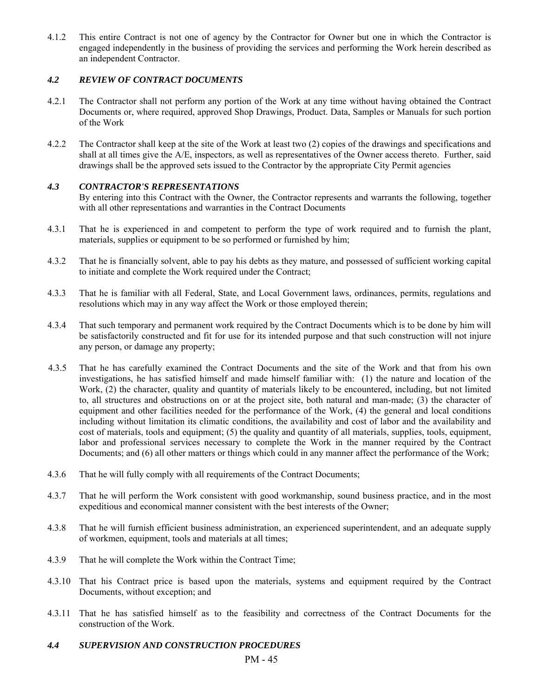4.1.2 This entire Contract is not one of agency by the Contractor for Owner but one in which the Contractor is engaged independently in the business of providing the services and performing the Work herein described as an independent Contractor.

## *4.2 REVIEW OF CONTRACT DOCUMENTS*

- 4.2.1 The Contractor shall not perform any portion of the Work at any time without having obtained the Contract Documents or, where required, approved Shop Drawings, Product. Data, Samples or Manuals for such portion of the Work
- 4.2.2 The Contractor shall keep at the site of the Work at least two (2) copies of the drawings and specifications and shall at all times give the A/E, inspectors, as well as representatives of the Owner access thereto. Further, said drawings shall be the approved sets issued to the Contractor by the appropriate City Permit agencies

## *4.3 CONTRACTOR'S REPRESENTATIONS*

By entering into this Contract with the Owner, the Contractor represents and warrants the following, together with all other representations and warranties in the Contract Documents

- 4.3.1 That he is experienced in and competent to perform the type of work required and to furnish the plant, materials, supplies or equipment to be so performed or furnished by him;
- 4.3.2 That he is financially solvent, able to pay his debts as they mature, and possessed of sufficient working capital to initiate and complete the Work required under the Contract;
- 4.3.3 That he is familiar with all Federal, State, and Local Government laws, ordinances, permits, regulations and resolutions which may in any way affect the Work or those employed therein;
- 4.3.4 That such temporary and permanent work required by the Contract Documents which is to be done by him will be satisfactorily constructed and fit for use for its intended purpose and that such construction will not injure any person, or damage any property;
- 4.3.5 That he has carefully examined the Contract Documents and the site of the Work and that from his own investigations, he has satisfied himself and made himself familiar with: (1) the nature and location of the Work, (2) the character, quality and quantity of materials likely to be encountered, including, but not limited to, all structures and obstructions on or at the project site, both natural and man-made; (3) the character of equipment and other facilities needed for the performance of the Work, (4) the general and local conditions including without limitation its climatic conditions, the availability and cost of labor and the availability and cost of materials, tools and equipment; (5) the quality and quantity of all materials, supplies, tools, equipment, labor and professional services necessary to complete the Work in the manner required by the Contract Documents; and (6) all other matters or things which could in any manner affect the performance of the Work;
- 4.3.6 That he will fully comply with all requirements of the Contract Documents;
- 4.3.7 That he will perform the Work consistent with good workmanship, sound business practice, and in the most expeditious and economical manner consistent with the best interests of the Owner;
- 4.3.8 That he will furnish efficient business administration, an experienced superintendent, and an adequate supply of workmen, equipment, tools and materials at all times;
- 4.3.9 That he will complete the Work within the Contract Time;
- 4.3.10 That his Contract price is based upon the materials, systems and equipment required by the Contract Documents, without exception; and
- 4.3.11 That he has satisfied himself as to the feasibility and correctness of the Contract Documents for the construction of the Work.
- *4.4 SUPERVISION AND CONSTRUCTION PROCEDURES*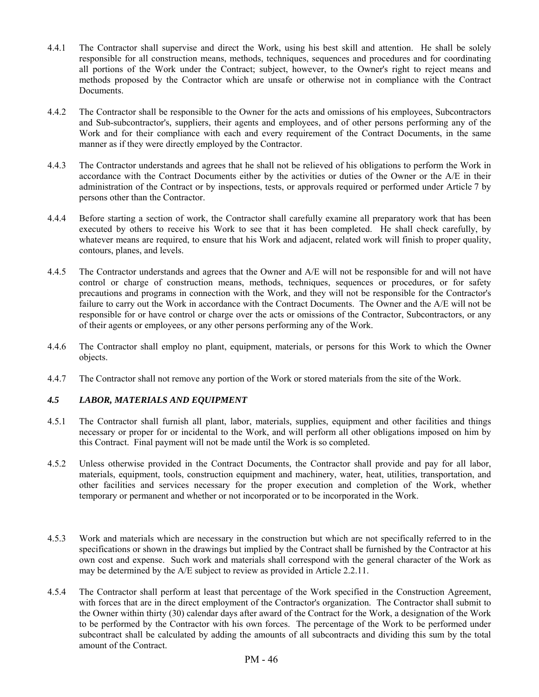- 4.4.1 The Contractor shall supervise and direct the Work, using his best skill and attention. He shall be solely responsible for all construction means, methods, techniques, sequences and procedures and for coordinating all portions of the Work under the Contract; subject, however, to the Owner's right to reject means and methods proposed by the Contractor which are unsafe or otherwise not in compliance with the Contract Documents.
- 4.4.2 The Contractor shall be responsible to the Owner for the acts and omissions of his employees, Subcontractors and Sub-subcontractor's, suppliers, their agents and employees, and of other persons performing any of the Work and for their compliance with each and every requirement of the Contract Documents, in the same manner as if they were directly employed by the Contractor.
- 4.4.3 The Contractor understands and agrees that he shall not be relieved of his obligations to perform the Work in accordance with the Contract Documents either by the activities or duties of the Owner or the A/E in their administration of the Contract or by inspections, tests, or approvals required or performed under Article 7 by persons other than the Contractor.
- 4.4.4 Before starting a section of work, the Contractor shall carefully examine all preparatory work that has been executed by others to receive his Work to see that it has been completed. He shall check carefully, by whatever means are required, to ensure that his Work and adjacent, related work will finish to proper quality, contours, planes, and levels.
- 4.4.5 The Contractor understands and agrees that the Owner and A/E will not be responsible for and will not have control or charge of construction means, methods, techniques, sequences or procedures, or for safety precautions and programs in connection with the Work, and they will not be responsible for the Contractor's failure to carry out the Work in accordance with the Contract Documents. The Owner and the A/E will not be responsible for or have control or charge over the acts or omissions of the Contractor, Subcontractors, or any of their agents or employees, or any other persons performing any of the Work.
- 4.4.6 The Contractor shall employ no plant, equipment, materials, or persons for this Work to which the Owner objects.
- 4.4.7 The Contractor shall not remove any portion of the Work or stored materials from the site of the Work.

## *4.5 LABOR, MATERIALS AND EQUIPMENT*

- 4.5.1 The Contractor shall furnish all plant, labor, materials, supplies, equipment and other facilities and things necessary or proper for or incidental to the Work, and will perform all other obligations imposed on him by this Contract. Final payment will not be made until the Work is so completed.
- 4.5.2 Unless otherwise provided in the Contract Documents, the Contractor shall provide and pay for all labor, materials, equipment, tools, construction equipment and machinery, water, heat, utilities, transportation, and other facilities and services necessary for the proper execution and completion of the Work, whether temporary or permanent and whether or not incorporated or to be incorporated in the Work.
- 4.5.3 Work and materials which are necessary in the construction but which are not specifically referred to in the specifications or shown in the drawings but implied by the Contract shall be furnished by the Contractor at his own cost and expense. Such work and materials shall correspond with the general character of the Work as may be determined by the A/E subject to review as provided in Article 2.2.11.
- 4.5.4 The Contractor shall perform at least that percentage of the Work specified in the Construction Agreement, with forces that are in the direct employment of the Contractor's organization. The Contractor shall submit to the Owner within thirty (30) calendar days after award of the Contract for the Work, a designation of the Work to be performed by the Contractor with his own forces. The percentage of the Work to be performed under subcontract shall be calculated by adding the amounts of all subcontracts and dividing this sum by the total amount of the Contract.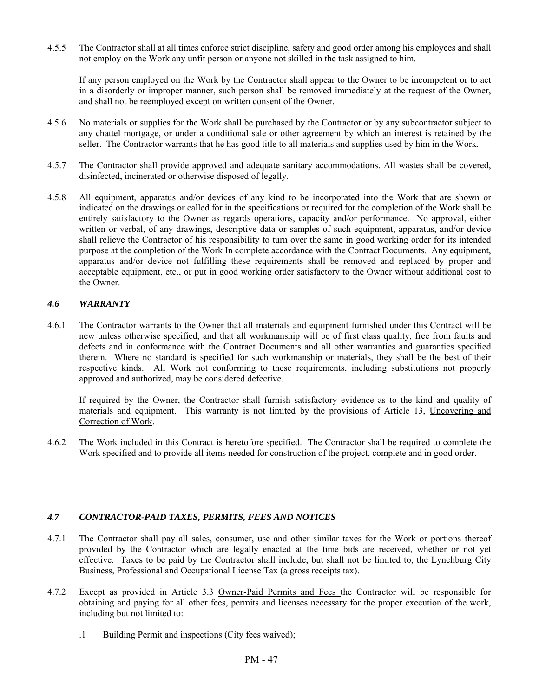4.5.5 The Contractor shall at all times enforce strict discipline, safety and good order among his employees and shall not employ on the Work any unfit person or anyone not skilled in the task assigned to him.

 If any person employed on the Work by the Contractor shall appear to the Owner to be incompetent or to act in a disorderly or improper manner, such person shall be removed immediately at the request of the Owner, and shall not be reemployed except on written consent of the Owner.

- 4.5.6 No materials or supplies for the Work shall be purchased by the Contractor or by any subcontractor subject to any chattel mortgage, or under a conditional sale or other agreement by which an interest is retained by the seller. The Contractor warrants that he has good title to all materials and supplies used by him in the Work.
- 4.5.7 The Contractor shall provide approved and adequate sanitary accommodations. All wastes shall be covered, disinfected, incinerated or otherwise disposed of legally.
- 4.5.8 All equipment, apparatus and/or devices of any kind to be incorporated into the Work that are shown or indicated on the drawings or called for in the specifications or required for the completion of the Work shall be entirely satisfactory to the Owner as regards operations, capacity and/or performance. No approval, either written or verbal, of any drawings, descriptive data or samples of such equipment, apparatus, and/or device shall relieve the Contractor of his responsibility to turn over the same in good working order for its intended purpose at the completion of the Work In complete accordance with the Contract Documents. Any equipment, apparatus and/or device not fulfilling these requirements shall be removed and replaced by proper and acceptable equipment, etc., or put in good working order satisfactory to the Owner without additional cost to the Owner.

## *4.6 WARRANTY*

4.6.1 The Contractor warrants to the Owner that all materials and equipment furnished under this Contract will be new unless otherwise specified, and that all workmanship will be of first class quality, free from faults and defects and in conformance with the Contract Documents and all other warranties and guaranties specified therein. Where no standard is specified for such workmanship or materials, they shall be the best of their respective kinds. All Work not conforming to these requirements, including substitutions not properly approved and authorized, may be considered defective.

 If required by the Owner, the Contractor shall furnish satisfactory evidence as to the kind and quality of materials and equipment. This warranty is not limited by the provisions of Article 13, Uncovering and Correction of Work.

4.6.2 The Work included in this Contract is heretofore specified. The Contractor shall be required to complete the Work specified and to provide all items needed for construction of the project, complete and in good order.

## *4.7 CONTRACTOR-PAID TAXES, PERMITS, FEES AND NOTICES*

- 4.7.1 The Contractor shall pay all sales, consumer, use and other similar taxes for the Work or portions thereof provided by the Contractor which are legally enacted at the time bids are received, whether or not yet effective. Taxes to be paid by the Contractor shall include, but shall not be limited to, the Lynchburg City Business, Professional and Occupational License Tax (a gross receipts tax).
- 4.7.2 Except as provided in Article 3.3 Owner-Paid Permits and Fees the Contractor will be responsible for obtaining and paying for all other fees, permits and licenses necessary for the proper execution of the work, including but not limited to:
	- .1 Building Permit and inspections (City fees waived);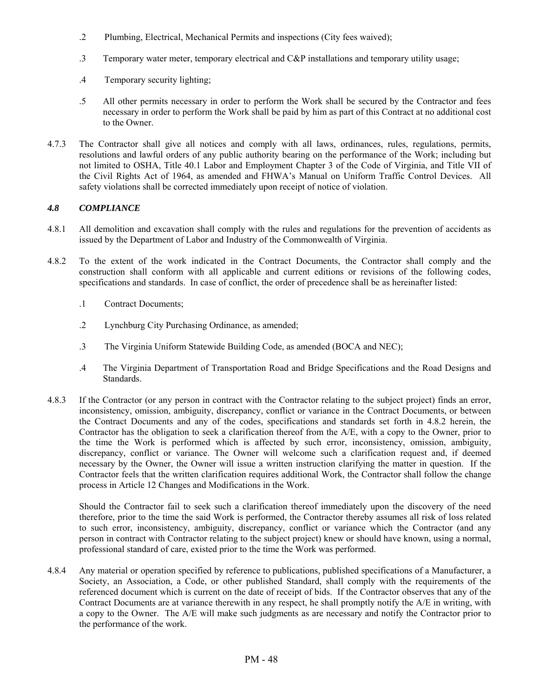- .2 Plumbing, Electrical, Mechanical Permits and inspections (City fees waived);
- .3 Temporary water meter, temporary electrical and C&P installations and temporary utility usage;
- .4 Temporary security lighting;
- .5 All other permits necessary in order to perform the Work shall be secured by the Contractor and fees necessary in order to perform the Work shall be paid by him as part of this Contract at no additional cost to the Owner.
- 4.7.3 The Contractor shall give all notices and comply with all laws, ordinances, rules, regulations, permits, resolutions and lawful orders of any public authority bearing on the performance of the Work; including but not limited to OSHA, Title 40.1 Labor and Employment Chapter 3 of the Code of Virginia, and Title VII of the Civil Rights Act of 1964, as amended and FHWA's Manual on Uniform Traffic Control Devices. All safety violations shall be corrected immediately upon receipt of notice of violation.

## *4.8 COMPLIANCE*

- 4.8.1 All demolition and excavation shall comply with the rules and regulations for the prevention of accidents as issued by the Department of Labor and Industry of the Commonwealth of Virginia.
- 4.8.2 To the extent of the work indicated in the Contract Documents, the Contractor shall comply and the construction shall conform with all applicable and current editions or revisions of the following codes, specifications and standards. In case of conflict, the order of precedence shall be as hereinafter listed:
	- .1 Contract Documents;
	- .2 Lynchburg City Purchasing Ordinance, as amended;
	- .3 The Virginia Uniform Statewide Building Code, as amended (BOCA and NEC);
	- .4 The Virginia Department of Transportation Road and Bridge Specifications and the Road Designs and Standards.
- 4.8.3 If the Contractor (or any person in contract with the Contractor relating to the subject project) finds an error, inconsistency, omission, ambiguity, discrepancy, conflict or variance in the Contract Documents, or between the Contract Documents and any of the codes, specifications and standards set forth in 4.8.2 herein, the Contractor has the obligation to seek a clarification thereof from the A/E, with a copy to the Owner, prior to the time the Work is performed which is affected by such error, inconsistency, omission, ambiguity, discrepancy, conflict or variance. The Owner will welcome such a clarification request and, if deemed necessary by the Owner, the Owner will issue a written instruction clarifying the matter in question. If the Contractor feels that the written clarification requires additional Work, the Contractor shall follow the change process in Article 12 Changes and Modifications in the Work.

Should the Contractor fail to seek such a clarification thereof immediately upon the discovery of the need therefore, prior to the time the said Work is performed, the Contractor thereby assumes all risk of loss related to such error, inconsistency, ambiguity, discrepancy, conflict or variance which the Contractor (and any person in contract with Contractor relating to the subject project) knew or should have known, using a normal, professional standard of care, existed prior to the time the Work was performed.

4.8.4 Any material or operation specified by reference to publications, published specifications of a Manufacturer, a Society, an Association, a Code, or other published Standard, shall comply with the requirements of the referenced document which is current on the date of receipt of bids. If the Contractor observes that any of the Contract Documents are at variance therewith in any respect, he shall promptly notify the A/E in writing, with a copy to the Owner. The A/E will make such judgments as are necessary and notify the Contractor prior to the performance of the work.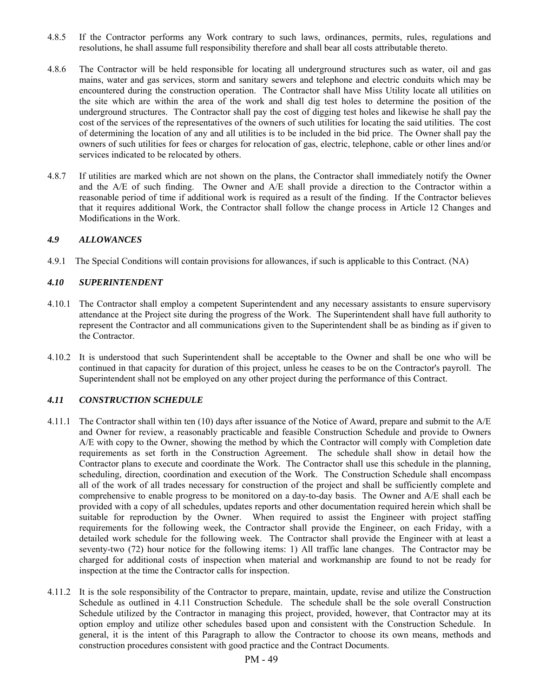- 4.8.5 If the Contractor performs any Work contrary to such laws, ordinances, permits, rules, regulations and resolutions, he shall assume full responsibility therefore and shall bear all costs attributable thereto.
- 4.8.6 The Contractor will be held responsible for locating all underground structures such as water, oil and gas mains, water and gas services, storm and sanitary sewers and telephone and electric conduits which may be encountered during the construction operation. The Contractor shall have Miss Utility locate all utilities on the site which are within the area of the work and shall dig test holes to determine the position of the underground structures. The Contractor shall pay the cost of digging test holes and likewise he shall pay the cost of the services of the representatives of the owners of such utilities for locating the said utilities. The cost of determining the location of any and all utilities is to be included in the bid price. The Owner shall pay the owners of such utilities for fees or charges for relocation of gas, electric, telephone, cable or other lines and/or services indicated to be relocated by others.
- 4.8.7 If utilities are marked which are not shown on the plans, the Contractor shall immediately notify the Owner and the A/E of such finding. The Owner and A/E shall provide a direction to the Contractor within a reasonable period of time if additional work is required as a result of the finding. If the Contractor believes that it requires additional Work, the Contractor shall follow the change process in Article 12 Changes and Modifications in the Work.

## *4.9 ALLOWANCES*

4.9.1 The Special Conditions will contain provisions for allowances, if such is applicable to this Contract. (NA)

#### *4.10 SUPERINTENDENT*

- 4.10.1 The Contractor shall employ a competent Superintendent and any necessary assistants to ensure supervisory attendance at the Project site during the progress of the Work. The Superintendent shall have full authority to represent the Contractor and all communications given to the Superintendent shall be as binding as if given to the Contractor.
- 4.10.2 It is understood that such Superintendent shall be acceptable to the Owner and shall be one who will be continued in that capacity for duration of this project, unless he ceases to be on the Contractor's payroll. The Superintendent shall not be employed on any other project during the performance of this Contract.

## *4.11 CONSTRUCTION SCHEDULE*

- 4.11.1 The Contractor shall within ten (10) days after issuance of the Notice of Award, prepare and submit to the A/E and Owner for review, a reasonably practicable and feasible Construction Schedule and provide to Owners A/E with copy to the Owner, showing the method by which the Contractor will comply with Completion date requirements as set forth in the Construction Agreement. The schedule shall show in detail how the Contractor plans to execute and coordinate the Work. The Contractor shall use this schedule in the planning, scheduling, direction, coordination and execution of the Work. The Construction Schedule shall encompass all of the work of all trades necessary for construction of the project and shall be sufficiently complete and comprehensive to enable progress to be monitored on a day-to-day basis. The Owner and A/E shall each be provided with a copy of all schedules, updates reports and other documentation required herein which shall be suitable for reproduction by the Owner. When required to assist the Engineer with project staffing requirements for the following week, the Contractor shall provide the Engineer, on each Friday, with a detailed work schedule for the following week. The Contractor shall provide the Engineer with at least a seventy-two (72) hour notice for the following items: 1) All traffic lane changes. The Contractor may be charged for additional costs of inspection when material and workmanship are found to not be ready for inspection at the time the Contractor calls for inspection.
- 4.11.2 It is the sole responsibility of the Contractor to prepare, maintain, update, revise and utilize the Construction Schedule as outlined in 4.11 Construction Schedule. The schedule shall be the sole overall Construction Schedule utilized by the Contractor in managing this project, provided, however, that Contractor may at its option employ and utilize other schedules based upon and consistent with the Construction Schedule. In general, it is the intent of this Paragraph to allow the Contractor to choose its own means, methods and construction procedures consistent with good practice and the Contract Documents.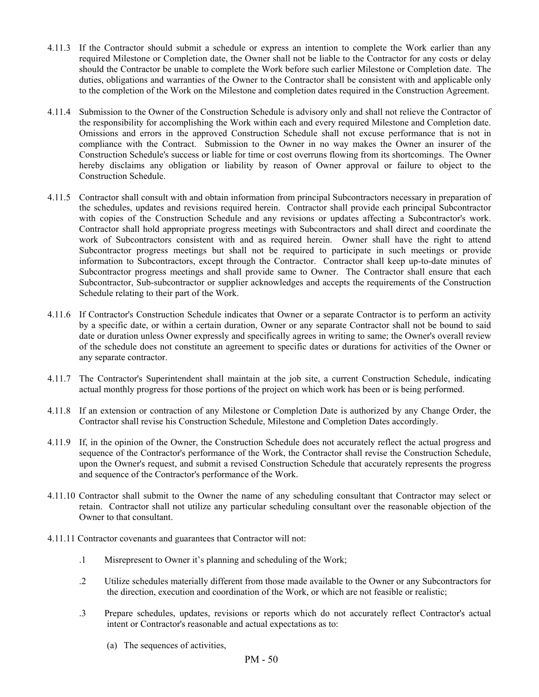- 4.11.3 If the Contractor should submit a schedule or express an intention to complete the Work earlier than any required Milestone or Completion date, the Owner shall not be liable to the Contractor for any costs or delay should the Contractor be unable to complete the Work before such earlier Milestone or Completion date. The duties, obligations and warranties of the Owner to the Contractor shall be consistent with and applicable only to the completion of the Work on the Milestone and completion dates required in the Construction Agreement.
- 4.11.4 Submission to the Owner of the Construction Schedule is advisory only and shall not relieve the Contractor of the responsibility for accomplishing the Work within each and every required Milestone and Completion date. Omissions and errors in the approved Construction Schedule shall not excuse performance that is not in compliance with the Contract. Submission to the Owner in no way makes the Owner an insurer of the Construction Schedule's success or liable for time or cost overruns flowing from its shortcomings. The Owner hereby disclaims any obligation or liability by reason of Owner approval or failure to object to the Construction Schedule.
- 4.11.5 Contractor shall consult with and obtain information from principal Subcontractors necessary in preparation of the schedules, updates and revisions required herein. Contractor shall provide each principal Subcontractor with copies of the Construction Schedule and any revisions or updates affecting a Subcontractor's work. Contractor shall hold appropriate progress meetings with Subcontractors and shall direct and coordinate the work of Subcontractors consistent with and as required herein. Owner shall have the right to attend Subcontractor progress meetings but shall not be required to participate in such meetings or provide information to Subcontractors, except through the Contractor. Contractor shall keep up-to-date minutes of Subcontractor progress meetings and shall provide same to Owner. The Contractor shall ensure that each Subcontractor, Sub-subcontractor or supplier acknowledges and accepts the requirements of the Construction Schedule relating to their part of the Work.
- 4.11.6 If Contractor's Construction Schedule indicates that Owner or a separate Contractor is to perform an activity by a specific date, or within a certain duration, Owner or any separate Contractor shall not be bound to said date or duration unless Owner expressly and specifically agrees in writing to same; the Owner's overall review of the schedule does not constitute an agreement to specific dates or durations for activities of the Owner or any separate contractor.
- 4.11.7 The Contractor's Superintendent shall maintain at the job site, a current Construction Schedule, indicating actual monthly progress for those portions of the project on which work has been or is being performed.
- 4.11.8 If an extension or contraction of any Milestone or Completion Date is authorized by any Change Order, the Contractor shall revise his Construction Schedule, Milestone and Completion Dates accordingly.
- 4.11.9 If, in the opinion of the Owner, the Construction Schedule does not accurately reflect the actual progress and sequence of the Contractor's performance of the Work, the Contractor shall revise the Construction Schedule, upon the Owner's request, and submit a revised Construction Schedule that accurately represents the progress and sequence of the Contractor's performance of the Work.
- 4.11.10 Contractor shall submit to the Owner the name of any scheduling consultant that Contractor may select or retain. Contractor shall not utilize any particular scheduling consultant over the reasonable objection of the Owner to that consultant.
- 4.11.11 Contractor covenants and guarantees that Contractor will not:
	- .1 Misrepresent to Owner it's planning and scheduling of the Work;
	- .2 Utilize schedules materially different from those made available to the Owner or any Subcontractors for the direction, execution and coordination of the Work, or which are not feasible or realistic;
	- .3 Prepare schedules, updates, revisions or reports which do not accurately reflect Contractor's actual intent or Contractor's reasonable and actual expectations as to:
		- (a) The sequences of activities,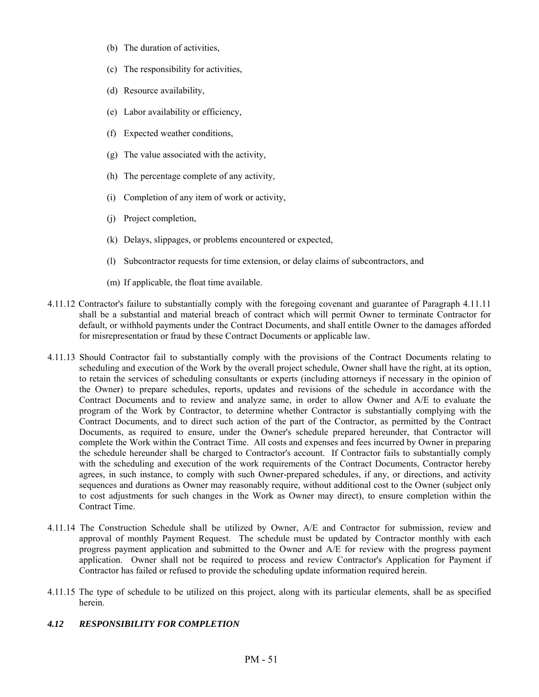- (b) The duration of activities,
- (c) The responsibility for activities,
- (d) Resource availability,
- (e) Labor availability or efficiency,
- (f) Expected weather conditions,
- (g) The value associated with the activity,
- (h) The percentage complete of any activity,
- (i) Completion of any item of work or activity,
- (j) Project completion,
- (k) Delays, slippages, or problems encountered or expected,
- (l) Subcontractor requests for time extension, or delay claims of subcontractors, and
- (m) If applicable, the float time available.
- 4.11.12 Contractor's failure to substantially comply with the foregoing covenant and guarantee of Paragraph 4.11.11 shall be a substantial and material breach of contract which will permit Owner to terminate Contractor for default, or withhold payments under the Contract Documents, and shall entitle Owner to the damages afforded for misrepresentation or fraud by these Contract Documents or applicable law.
- 4.11.13 Should Contractor fail to substantially comply with the provisions of the Contract Documents relating to scheduling and execution of the Work by the overall project schedule, Owner shall have the right, at its option, to retain the services of scheduling consultants or experts (including attorneys if necessary in the opinion of the Owner) to prepare schedules, reports, updates and revisions of the schedule in accordance with the Contract Documents and to review and analyze same, in order to allow Owner and A/E to evaluate the program of the Work by Contractor, to determine whether Contractor is substantially complying with the Contract Documents, and to direct such action of the part of the Contractor, as permitted by the Contract Documents, as required to ensure, under the Owner's schedule prepared hereunder, that Contractor will complete the Work within the Contract Time. All costs and expenses and fees incurred by Owner in preparing the schedule hereunder shall be charged to Contractor's account. If Contractor fails to substantially comply with the scheduling and execution of the work requirements of the Contract Documents, Contractor hereby agrees, in such instance, to comply with such Owner-prepared schedules, if any, or directions, and activity sequences and durations as Owner may reasonably require, without additional cost to the Owner (subject only to cost adjustments for such changes in the Work as Owner may direct), to ensure completion within the Contract Time.
- 4.11.14 The Construction Schedule shall be utilized by Owner, A/E and Contractor for submission, review and approval of monthly Payment Request. The schedule must be updated by Contractor monthly with each progress payment application and submitted to the Owner and A/E for review with the progress payment application. Owner shall not be required to process and review Contractor's Application for Payment if Contractor has failed or refused to provide the scheduling update information required herein.
- 4.11.15 The type of schedule to be utilized on this project, along with its particular elements, shall be as specified herein.

## *4.12 RESPONSIBILITY FOR COMPLETION*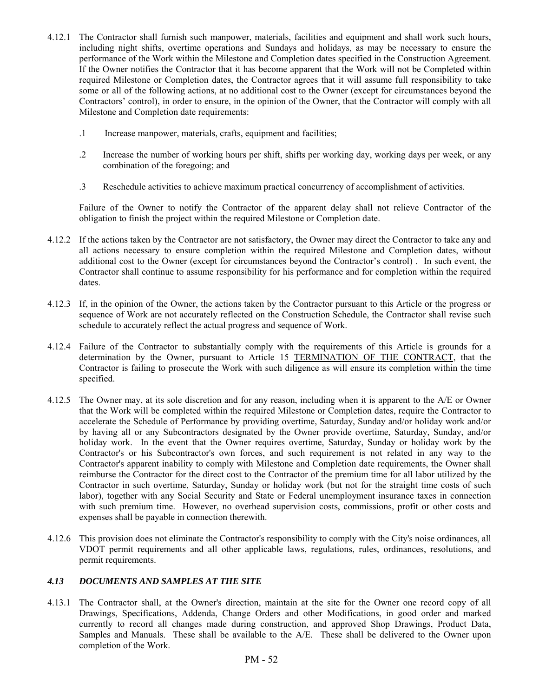- 4.12.1 The Contractor shall furnish such manpower, materials, facilities and equipment and shall work such hours, including night shifts, overtime operations and Sundays and holidays, as may be necessary to ensure the performance of the Work within the Milestone and Completion dates specified in the Construction Agreement. If the Owner notifies the Contractor that it has become apparent that the Work will not be Completed within required Milestone or Completion dates, the Contractor agrees that it will assume full responsibility to take some or all of the following actions, at no additional cost to the Owner (except for circumstances beyond the Contractors' control), in order to ensure, in the opinion of the Owner, that the Contractor will comply with all Milestone and Completion date requirements:
	- .1 Increase manpower, materials, crafts, equipment and facilities;
	- .2 Increase the number of working hours per shift, shifts per working day, working days per week, or any combination of the foregoing; and
	- .3 Reschedule activities to achieve maximum practical concurrency of accomplishment of activities.

Failure of the Owner to notify the Contractor of the apparent delay shall not relieve Contractor of the obligation to finish the project within the required Milestone or Completion date.

- 4.12.2 If the actions taken by the Contractor are not satisfactory, the Owner may direct the Contractor to take any and all actions necessary to ensure completion within the required Milestone and Completion dates, without additional cost to the Owner (except for circumstances beyond the Contractor's control) . In such event, the Contractor shall continue to assume responsibility for his performance and for completion within the required dates.
- 4.12.3 If, in the opinion of the Owner, the actions taken by the Contractor pursuant to this Article or the progress or sequence of Work are not accurately reflected on the Construction Schedule, the Contractor shall revise such schedule to accurately reflect the actual progress and sequence of Work.
- 4.12.4 Failure of the Contractor to substantially comply with the requirements of this Article is grounds for a determination by the Owner, pursuant to Article 15 TERMINATION OF THE CONTRACT, that the Contractor is failing to prosecute the Work with such diligence as will ensure its completion within the time specified.
- 4.12.5 The Owner may, at its sole discretion and for any reason, including when it is apparent to the A/E or Owner that the Work will be completed within the required Milestone or Completion dates, require the Contractor to accelerate the Schedule of Performance by providing overtime, Saturday, Sunday and/or holiday work and/or by having all or any Subcontractors designated by the Owner provide overtime, Saturday, Sunday, and/or holiday work. In the event that the Owner requires overtime, Saturday, Sunday or holiday work by the Contractor's or his Subcontractor's own forces, and such requirement is not related in any way to the Contractor's apparent inability to comply with Milestone and Completion date requirements, the Owner shall reimburse the Contractor for the direct cost to the Contractor of the premium time for all labor utilized by the Contractor in such overtime, Saturday, Sunday or holiday work (but not for the straight time costs of such labor), together with any Social Security and State or Federal unemployment insurance taxes in connection with such premium time. However, no overhead supervision costs, commissions, profit or other costs and expenses shall be payable in connection therewith.
- 4.12.6 This provision does not eliminate the Contractor's responsibility to comply with the City's noise ordinances, all VDOT permit requirements and all other applicable laws, regulations, rules, ordinances, resolutions, and permit requirements.

## *4.13 DOCUMENTS AND SAMPLES AT THE SITE*

4.13.1 The Contractor shall, at the Owner's direction, maintain at the site for the Owner one record copy of all Drawings, Specifications, Addenda, Change Orders and other Modifications, in good order and marked currently to record all changes made during construction, and approved Shop Drawings, Product Data, Samples and Manuals. These shall be available to the A/E. These shall be delivered to the Owner upon completion of the Work.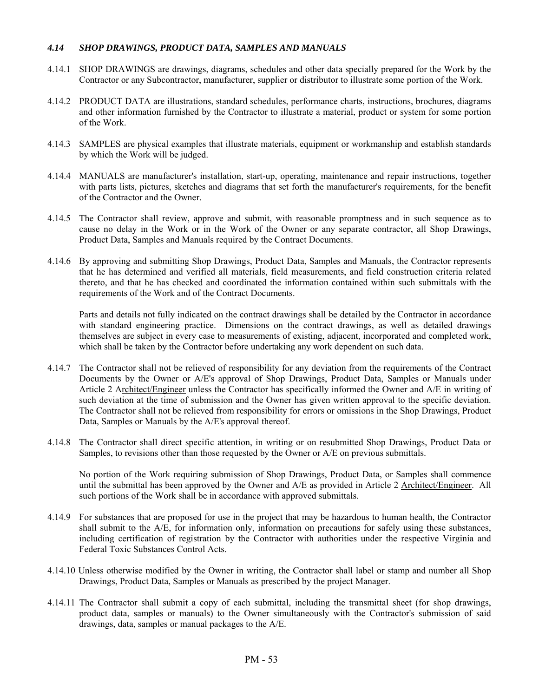### *4.14 SHOP DRAWINGS, PRODUCT DATA, SAMPLES AND MANUALS*

- 4.14.1 SHOP DRAWINGS are drawings, diagrams, schedules and other data specially prepared for the Work by the Contractor or any Subcontractor, manufacturer, supplier or distributor to illustrate some portion of the Work.
- 4.14.2 PRODUCT DATA are illustrations, standard schedules, performance charts, instructions, brochures, diagrams and other information furnished by the Contractor to illustrate a material, product or system for some portion of the Work.
- 4.14.3 SAMPLES are physical examples that illustrate materials, equipment or workmanship and establish standards by which the Work will be judged.
- 4.14.4 MANUALS are manufacturer's installation, start-up, operating, maintenance and repair instructions, together with parts lists, pictures, sketches and diagrams that set forth the manufacturer's requirements, for the benefit of the Contractor and the Owner.
- 4.14.5 The Contractor shall review, approve and submit, with reasonable promptness and in such sequence as to cause no delay in the Work or in the Work of the Owner or any separate contractor, all Shop Drawings, Product Data, Samples and Manuals required by the Contract Documents.
- 4.14.6 By approving and submitting Shop Drawings, Product Data, Samples and Manuals, the Contractor represents that he has determined and verified all materials, field measurements, and field construction criteria related thereto, and that he has checked and coordinated the information contained within such submittals with the requirements of the Work and of the Contract Documents.

 Parts and details not fully indicated on the contract drawings shall be detailed by the Contractor in accordance with standard engineering practice. Dimensions on the contract drawings, as well as detailed drawings themselves are subject in every case to measurements of existing, adjacent, incorporated and completed work, which shall be taken by the Contractor before undertaking any work dependent on such data.

- 4.14.7 The Contractor shall not be relieved of responsibility for any deviation from the requirements of the Contract Documents by the Owner or A/E's approval of Shop Drawings, Product Data, Samples or Manuals under Article 2 Architect/Engineer unless the Contractor has specifically informed the Owner and A/E in writing of such deviation at the time of submission and the Owner has given written approval to the specific deviation. The Contractor shall not be relieved from responsibility for errors or omissions in the Shop Drawings, Product Data, Samples or Manuals by the A/E's approval thereof.
- 4.14.8 The Contractor shall direct specific attention, in writing or on resubmitted Shop Drawings, Product Data or Samples, to revisions other than those requested by the Owner or A/E on previous submittals.

 No portion of the Work requiring submission of Shop Drawings, Product Data, or Samples shall commence until the submittal has been approved by the Owner and A/E as provided in Article 2 Architect/Engineer. All such portions of the Work shall be in accordance with approved submittals.

- 4.14.9 For substances that are proposed for use in the project that may be hazardous to human health, the Contractor shall submit to the A/E, for information only, information on precautions for safely using these substances, including certification of registration by the Contractor with authorities under the respective Virginia and Federal Toxic Substances Control Acts.
- 4.14.10 Unless otherwise modified by the Owner in writing, the Contractor shall label or stamp and number all Shop Drawings, Product Data, Samples or Manuals as prescribed by the project Manager.
- 4.14.11 The Contractor shall submit a copy of each submittal, including the transmittal sheet (for shop drawings, product data, samples or manuals) to the Owner simultaneously with the Contractor's submission of said drawings, data, samples or manual packages to the A/E.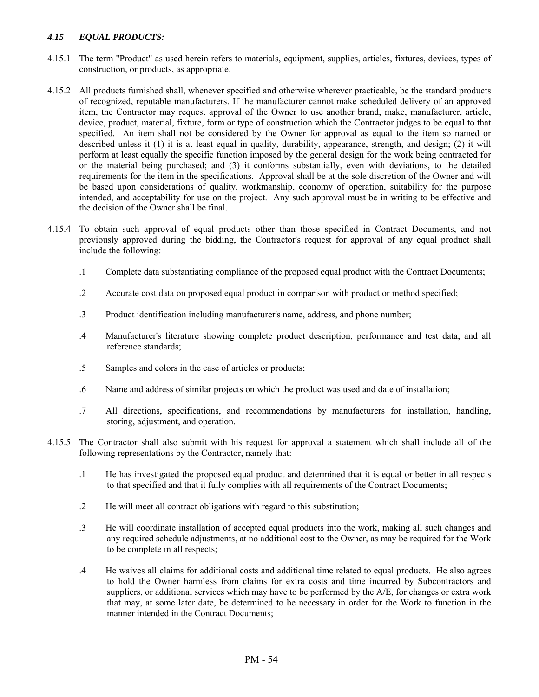## *4.15 EQUAL PRODUCTS:*

- 4.15.1 The term "Product" as used herein refers to materials, equipment, supplies, articles, fixtures, devices, types of construction, or products, as appropriate.
- 4.15.2 All products furnished shall, whenever specified and otherwise wherever practicable, be the standard products of recognized, reputable manufacturers. If the manufacturer cannot make scheduled delivery of an approved item, the Contractor may request approval of the Owner to use another brand, make, manufacturer, article, device, product, material, fixture, form or type of construction which the Contractor judges to be equal to that specified. An item shall not be considered by the Owner for approval as equal to the item so named or described unless it (1) it is at least equal in quality, durability, appearance, strength, and design; (2) it will perform at least equally the specific function imposed by the general design for the work being contracted for or the material being purchased; and (3) it conforms substantially, even with deviations, to the detailed requirements for the item in the specifications. Approval shall be at the sole discretion of the Owner and will be based upon considerations of quality, workmanship, economy of operation, suitability for the purpose intended, and acceptability for use on the project. Any such approval must be in writing to be effective and the decision of the Owner shall be final.
- 4.15.4 To obtain such approval of equal products other than those specified in Contract Documents, and not previously approved during the bidding, the Contractor's request for approval of any equal product shall include the following:
	- .1 Complete data substantiating compliance of the proposed equal product with the Contract Documents;
	- .2 Accurate cost data on proposed equal product in comparison with product or method specified;
	- .3 Product identification including manufacturer's name, address, and phone number;
	- .4 Manufacturer's literature showing complete product description, performance and test data, and all reference standards;
	- .5 Samples and colors in the case of articles or products;
	- .6 Name and address of similar projects on which the product was used and date of installation;
	- .7 All directions, specifications, and recommendations by manufacturers for installation, handling, storing, adjustment, and operation.
- 4.15.5 The Contractor shall also submit with his request for approval a statement which shall include all of the following representations by the Contractor, namely that:
	- .1 He has investigated the proposed equal product and determined that it is equal or better in all respects to that specified and that it fully complies with all requirements of the Contract Documents;
	- .2 He will meet all contract obligations with regard to this substitution;
	- .3 He will coordinate installation of accepted equal products into the work, making all such changes and any required schedule adjustments, at no additional cost to the Owner, as may be required for the Work to be complete in all respects;
	- .4 He waives all claims for additional costs and additional time related to equal products. He also agrees to hold the Owner harmless from claims for extra costs and time incurred by Subcontractors and suppliers, or additional services which may have to be performed by the A/E, for changes or extra work that may, at some later date, be determined to be necessary in order for the Work to function in the manner intended in the Contract Documents;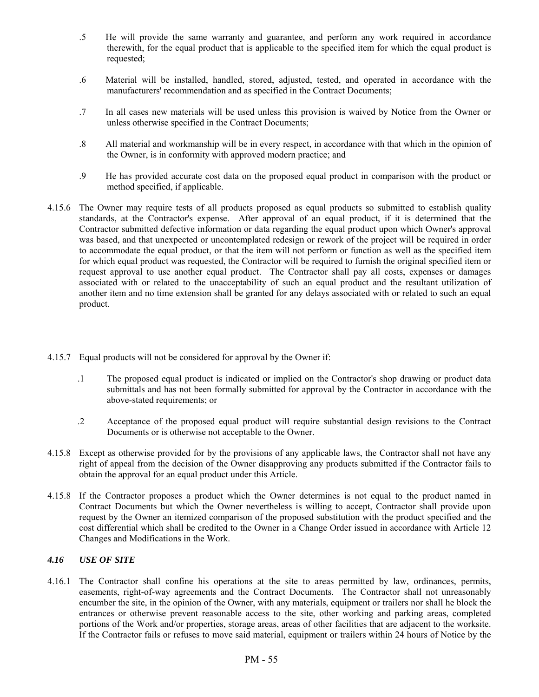- .5 He will provide the same warranty and guarantee, and perform any work required in accordance therewith, for the equal product that is applicable to the specified item for which the equal product is requested;
- .6 Material will be installed, handled, stored, adjusted, tested, and operated in accordance with the manufacturers' recommendation and as specified in the Contract Documents;
- .7 In all cases new materials will be used unless this provision is waived by Notice from the Owner or unless otherwise specified in the Contract Documents;
- .8 All material and workmanship will be in every respect, in accordance with that which in the opinion of the Owner, is in conformity with approved modern practice; and
- .9 He has provided accurate cost data on the proposed equal product in comparison with the product or method specified, if applicable.
- 4.15.6 The Owner may require tests of all products proposed as equal products so submitted to establish quality standards, at the Contractor's expense. After approval of an equal product, if it is determined that the Contractor submitted defective information or data regarding the equal product upon which Owner's approval was based, and that unexpected or uncontemplated redesign or rework of the project will be required in order to accommodate the equal product, or that the item will not perform or function as well as the specified item for which equal product was requested, the Contractor will be required to furnish the original specified item or request approval to use another equal product. The Contractor shall pay all costs, expenses or damages associated with or related to the unacceptability of such an equal product and the resultant utilization of another item and no time extension shall be granted for any delays associated with or related to such an equal product.
- 4.15.7 Equal products will not be considered for approval by the Owner if:
	- .1 The proposed equal product is indicated or implied on the Contractor's shop drawing or product data submittals and has not been formally submitted for approval by the Contractor in accordance with the above-stated requirements; or
	- .2 Acceptance of the proposed equal product will require substantial design revisions to the Contract Documents or is otherwise not acceptable to the Owner.
- 4.15.8 Except as otherwise provided for by the provisions of any applicable laws, the Contractor shall not have any right of appeal from the decision of the Owner disapproving any products submitted if the Contractor fails to obtain the approval for an equal product under this Article.
- 4.15.8 If the Contractor proposes a product which the Owner determines is not equal to the product named in Contract Documents but which the Owner nevertheless is willing to accept, Contractor shall provide upon request by the Owner an itemized comparison of the proposed substitution with the product specified and the cost differential which shall be credited to the Owner in a Change Order issued in accordance with Article 12 Changes and Modifications in the Work.

## *4.16 USE OF SITE*

4.16.1 The Contractor shall confine his operations at the site to areas permitted by law, ordinances, permits, easements, right-of-way agreements and the Contract Documents. The Contractor shall not unreasonably encumber the site, in the opinion of the Owner, with any materials, equipment or trailers nor shall he block the entrances or otherwise prevent reasonable access to the site, other working and parking areas, completed portions of the Work and/or properties, storage areas, areas of other facilities that are adjacent to the worksite. If the Contractor fails or refuses to move said material, equipment or trailers within 24 hours of Notice by the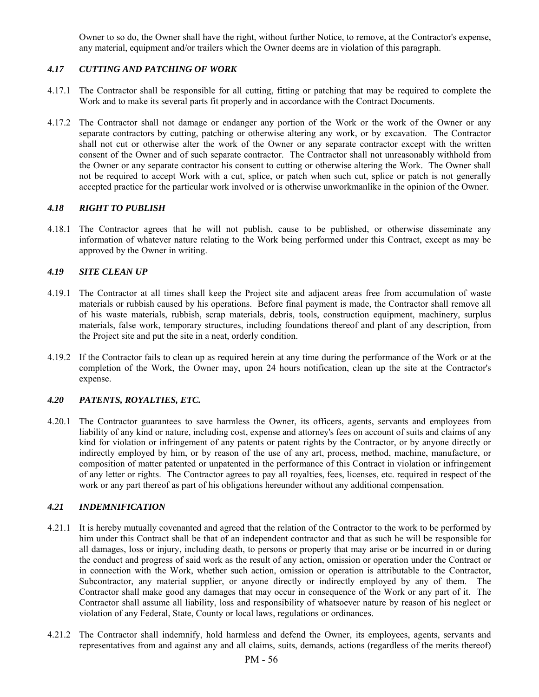Owner to so do, the Owner shall have the right, without further Notice, to remove, at the Contractor's expense, any material, equipment and/or trailers which the Owner deems are in violation of this paragraph.

## *4.17 CUTTING AND PATCHING OF WORK*

- 4.17.1 The Contractor shall be responsible for all cutting, fitting or patching that may be required to complete the Work and to make its several parts fit properly and in accordance with the Contract Documents.
- 4.17.2 The Contractor shall not damage or endanger any portion of the Work or the work of the Owner or any separate contractors by cutting, patching or otherwise altering any work, or by excavation. The Contractor shall not cut or otherwise alter the work of the Owner or any separate contractor except with the written consent of the Owner and of such separate contractor. The Contractor shall not unreasonably withhold from the Owner or any separate contractor his consent to cutting or otherwise altering the Work. The Owner shall not be required to accept Work with a cut, splice, or patch when such cut, splice or patch is not generally accepted practice for the particular work involved or is otherwise unworkmanlike in the opinion of the Owner.

## *4.18 RIGHT TO PUBLISH*

4.18.1 The Contractor agrees that he will not publish, cause to be published, or otherwise disseminate any information of whatever nature relating to the Work being performed under this Contract, except as may be approved by the Owner in writing.

## *4.19 SITE CLEAN UP*

- 4.19.1 The Contractor at all times shall keep the Project site and adjacent areas free from accumulation of waste materials or rubbish caused by his operations. Before final payment is made, the Contractor shall remove all of his waste materials, rubbish, scrap materials, debris, tools, construction equipment, machinery, surplus materials, false work, temporary structures, including foundations thereof and plant of any description, from the Project site and put the site in a neat, orderly condition.
- 4.19.2 If the Contractor fails to clean up as required herein at any time during the performance of the Work or at the completion of the Work, the Owner may, upon 24 hours notification, clean up the site at the Contractor's expense.

## *4.20 PATENTS, ROYALTIES, ETC.*

4.20.1 The Contractor guarantees to save harmless the Owner, its officers, agents, servants and employees from liability of any kind or nature, including cost, expense and attorney's fees on account of suits and claims of any kind for violation or infringement of any patents or patent rights by the Contractor, or by anyone directly or indirectly employed by him, or by reason of the use of any art, process, method, machine, manufacture, or composition of matter patented or unpatented in the performance of this Contract in violation or infringement of any letter or rights. The Contractor agrees to pay all royalties, fees, licenses, etc. required in respect of the work or any part thereof as part of his obligations hereunder without any additional compensation.

# *4.21 INDEMNIFICATION*

- 4.21.1 It is hereby mutually covenanted and agreed that the relation of the Contractor to the work to be performed by him under this Contract shall be that of an independent contractor and that as such he will be responsible for all damages, loss or injury, including death, to persons or property that may arise or be incurred in or during the conduct and progress of said work as the result of any action, omission or operation under the Contract or in connection with the Work, whether such action, omission or operation is attributable to the Contractor, Subcontractor, any material supplier, or anyone directly or indirectly employed by any of them. The Contractor shall make good any damages that may occur in consequence of the Work or any part of it. The Contractor shall assume all liability, loss and responsibility of whatsoever nature by reason of his neglect or violation of any Federal, State, County or local laws, regulations or ordinances.
- 4.21.2 The Contractor shall indemnify, hold harmless and defend the Owner, its employees, agents, servants and representatives from and against any and all claims, suits, demands, actions (regardless of the merits thereof)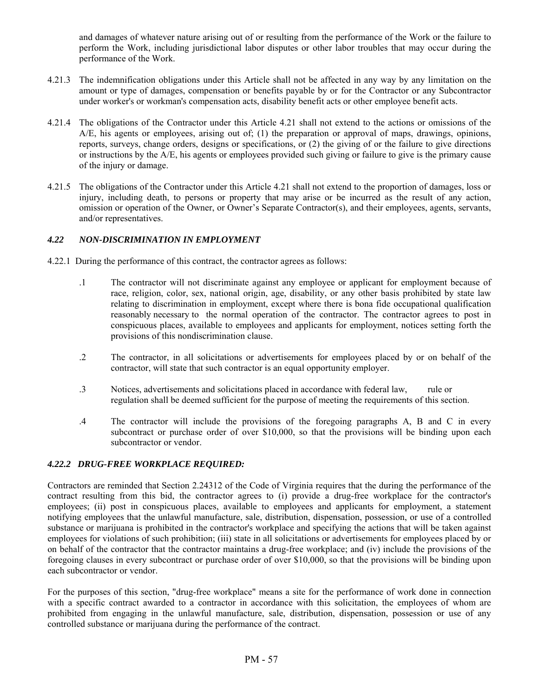and damages of whatever nature arising out of or resulting from the performance of the Work or the failure to perform the Work, including jurisdictional labor disputes or other labor troubles that may occur during the performance of the Work.

- 4.21.3 The indemnification obligations under this Article shall not be affected in any way by any limitation on the amount or type of damages, compensation or benefits payable by or for the Contractor or any Subcontractor under worker's or workman's compensation acts, disability benefit acts or other employee benefit acts.
- 4.21.4 The obligations of the Contractor under this Article 4.21 shall not extend to the actions or omissions of the A/E, his agents or employees, arising out of; (1) the preparation or approval of maps, drawings, opinions, reports, surveys, change orders, designs or specifications, or (2) the giving of or the failure to give directions or instructions by the A/E, his agents or employees provided such giving or failure to give is the primary cause of the injury or damage.
- 4.21.5 The obligations of the Contractor under this Article 4.21 shall not extend to the proportion of damages, loss or injury, including death, to persons or property that may arise or be incurred as the result of any action, omission or operation of the Owner, or Owner's Separate Contractor(s), and their employees, agents, servants, and/or representatives.

## *4.22 NON-DISCRIMINATION IN EMPLOYMENT*

- 4.22.1 During the performance of this contract, the contractor agrees as follows:
	- .1 The contractor will not discriminate against any employee or applicant for employment because of race, religion, color, sex, national origin, age, disability, or any other basis prohibited by state law relating to discrimination in employment, except where there is bona fide occupational qualification reasonably necessary to the normal operation of the contractor. The contractor agrees to post in conspicuous places, available to employees and applicants for employment, notices setting forth the provisions of this nondiscrimination clause.
	- .2 The contractor, in all solicitations or advertisements for employees placed by or on behalf of the contractor, will state that such contractor is an equal opportunity employer.
	- .3 Notices, advertisements and solicitations placed in accordance with federal law, rule or regulation shall be deemed sufficient for the purpose of meeting the requirements of this section.
	- .4 The contractor will include the provisions of the foregoing paragraphs A, B and C in every subcontract or purchase order of over \$10,000, so that the provisions will be binding upon each subcontractor or vendor.

## *4.22.2 DRUG-FREE WORKPLACE REQUIRED:*

Contractors are reminded that Section 2.24312 of the Code of Virginia requires that the during the performance of the contract resulting from this bid, the contractor agrees to (i) provide a drug-free workplace for the contractor's employees; (ii) post in conspicuous places, available to employees and applicants for employment, a statement notifying employees that the unlawful manufacture, sale, distribution, dispensation, possession, or use of a controlled substance or marijuana is prohibited in the contractor's workplace and specifying the actions that will be taken against employees for violations of such prohibition; (iii) state in all solicitations or advertisements for employees placed by or on behalf of the contractor that the contractor maintains a drug-free workplace; and (iv) include the provisions of the foregoing clauses in every subcontract or purchase order of over \$10,000, so that the provisions will be binding upon each subcontractor or vendor.

For the purposes of this section, "drug-free workplace" means a site for the performance of work done in connection with a specific contract awarded to a contractor in accordance with this solicitation, the employees of whom are prohibited from engaging in the unlawful manufacture, sale, distribution, dispensation, possession or use of any controlled substance or marijuana during the performance of the contract.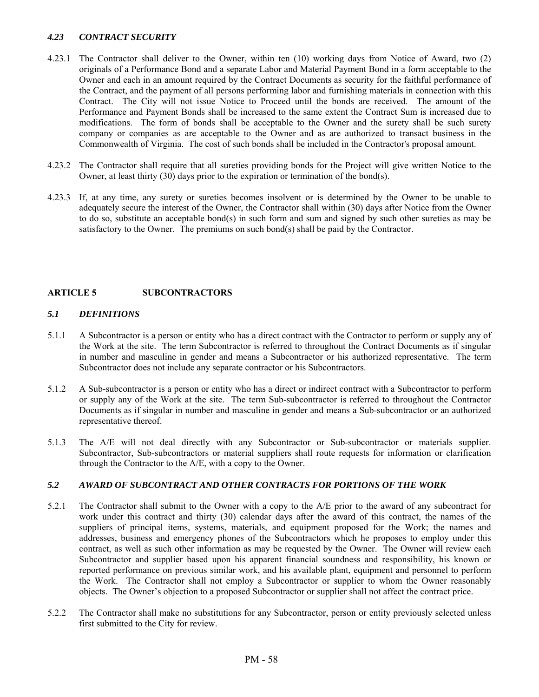## *4.23 CONTRACT SECURITY*

- 4.23.1 The Contractor shall deliver to the Owner, within ten (10) working days from Notice of Award, two (2) originals of a Performance Bond and a separate Labor and Material Payment Bond in a form acceptable to the Owner and each in an amount required by the Contract Documents as security for the faithful performance of the Contract, and the payment of all persons performing labor and furnishing materials in connection with this Contract. The City will not issue Notice to Proceed until the bonds are received. The amount of the Performance and Payment Bonds shall be increased to the same extent the Contract Sum is increased due to modifications. The form of bonds shall be acceptable to the Owner and the surety shall be such surety company or companies as are acceptable to the Owner and as are authorized to transact business in the Commonwealth of Virginia. The cost of such bonds shall be included in the Contractor's proposal amount.
- 4.23.2 The Contractor shall require that all sureties providing bonds for the Project will give written Notice to the Owner, at least thirty (30) days prior to the expiration or termination of the bond(s).
- 4.23.3 If, at any time, any surety or sureties becomes insolvent or is determined by the Owner to be unable to adequately secure the interest of the Owner, the Contractor shall within (30) days after Notice from the Owner to do so, substitute an acceptable bond(s) in such form and sum and signed by such other sureties as may be satisfactory to the Owner. The premiums on such bond(s) shall be paid by the Contractor.

## **ARTICLE 5 SUBCONTRACTORS**

### *5.1 DEFINITIONS*

- 5.1.1 A Subcontractor is a person or entity who has a direct contract with the Contractor to perform or supply any of the Work at the site. The term Subcontractor is referred to throughout the Contract Documents as if singular in number and masculine in gender and means a Subcontractor or his authorized representative. The term Subcontractor does not include any separate contractor or his Subcontractors.
- 5.1.2 A Sub-subcontractor is a person or entity who has a direct or indirect contract with a Subcontractor to perform or supply any of the Work at the site. The term Sub-subcontractor is referred to throughout the Contractor Documents as if singular in number and masculine in gender and means a Sub-subcontractor or an authorized representative thereof.
- 5.1.3 The A/E will not deal directly with any Subcontractor or Sub-subcontractor or materials supplier. Subcontractor, Sub-subcontractors or material suppliers shall route requests for information or clarification through the Contractor to the A/E, with a copy to the Owner.

#### *5.2 AWARD OF SUBCONTRACT AND OTHER CONTRACTS FOR PORTIONS OF THE WORK*

- 5.2.1 The Contractor shall submit to the Owner with a copy to the A/E prior to the award of any subcontract for work under this contract and thirty (30) calendar days after the award of this contract, the names of the suppliers of principal items, systems, materials, and equipment proposed for the Work; the names and addresses, business and emergency phones of the Subcontractors which he proposes to employ under this contract, as well as such other information as may be requested by the Owner. The Owner will review each Subcontractor and supplier based upon his apparent financial soundness and responsibility, his known or reported performance on previous similar work, and his available plant, equipment and personnel to perform the Work. The Contractor shall not employ a Subcontractor or supplier to whom the Owner reasonably objects. The Owner's objection to a proposed Subcontractor or supplier shall not affect the contract price.
- 5.2.2 The Contractor shall make no substitutions for any Subcontractor, person or entity previously selected unless first submitted to the City for review.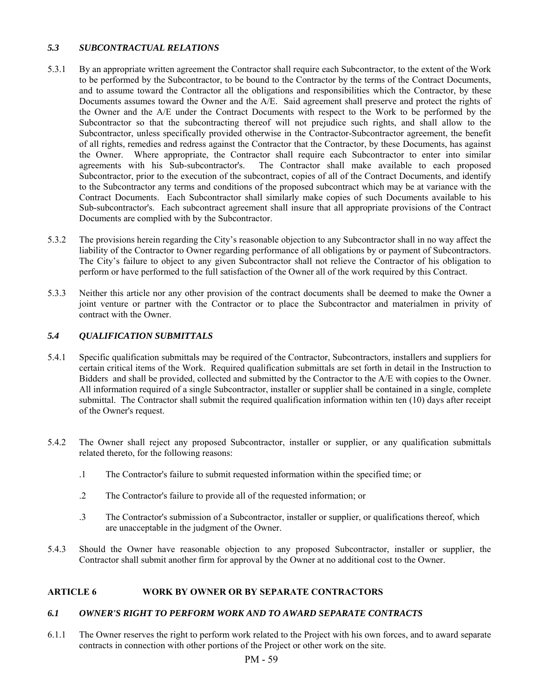## *5.3 SUBCONTRACTUAL RELATIONS*

- 5.3.1 By an appropriate written agreement the Contractor shall require each Subcontractor, to the extent of the Work to be performed by the Subcontractor, to be bound to the Contractor by the terms of the Contract Documents, and to assume toward the Contractor all the obligations and responsibilities which the Contractor, by these Documents assumes toward the Owner and the A/E. Said agreement shall preserve and protect the rights of the Owner and the A/E under the Contract Documents with respect to the Work to be performed by the Subcontractor so that the subcontracting thereof will not prejudice such rights, and shall allow to the Subcontractor, unless specifically provided otherwise in the Contractor-Subcontractor agreement, the benefit of all rights, remedies and redress against the Contractor that the Contractor, by these Documents, has against the Owner. Where appropriate, the Contractor shall require each Subcontractor to enter into similar agreements with his Sub-subcontractor's. The Contractor shall make available to each proposed Subcontractor, prior to the execution of the subcontract, copies of all of the Contract Documents, and identify to the Subcontractor any terms and conditions of the proposed subcontract which may be at variance with the Contract Documents. Each Subcontractor shall similarly make copies of such Documents available to his Sub-subcontractor's. Each subcontract agreement shall insure that all appropriate provisions of the Contract Documents are complied with by the Subcontractor.
- 5.3.2 The provisions herein regarding the City's reasonable objection to any Subcontractor shall in no way affect the liability of the Contractor to Owner regarding performance of all obligations by or payment of Subcontractors. The City's failure to object to any given Subcontractor shall not relieve the Contractor of his obligation to perform or have performed to the full satisfaction of the Owner all of the work required by this Contract.
- 5.3.3 Neither this article nor any other provision of the contract documents shall be deemed to make the Owner a joint venture or partner with the Contractor or to place the Subcontractor and materialmen in privity of contract with the Owner.

## *5.4 QUALIFICATION SUBMITTALS*

- 5.4.1 Specific qualification submittals may be required of the Contractor, Subcontractors, installers and suppliers for certain critical items of the Work. Required qualification submittals are set forth in detail in the Instruction to Bidders and shall be provided, collected and submitted by the Contractor to the A/E with copies to the Owner. All information required of a single Subcontractor, installer or supplier shall be contained in a single, complete submittal. The Contractor shall submit the required qualification information within ten (10) days after receipt of the Owner's request.
- 5.4.2 The Owner shall reject any proposed Subcontractor, installer or supplier, or any qualification submittals related thereto, for the following reasons:
	- .1 The Contractor's failure to submit requested information within the specified time; or
	- .2 The Contractor's failure to provide all of the requested information; or
	- .3 The Contractor's submission of a Subcontractor, installer or supplier, or qualifications thereof, which are unacceptable in the judgment of the Owner.
- 5.4.3 Should the Owner have reasonable objection to any proposed Subcontractor, installer or supplier, the Contractor shall submit another firm for approval by the Owner at no additional cost to the Owner.

# **ARTICLE 6 WORK BY OWNER OR BY SEPARATE CONTRACTORS**

## *6.1 OWNER'S RIGHT TO PERFORM WORK AND TO AWARD SEPARATE CONTRACTS*

6.1.1 The Owner reserves the right to perform work related to the Project with his own forces, and to award separate contracts in connection with other portions of the Project or other work on the site.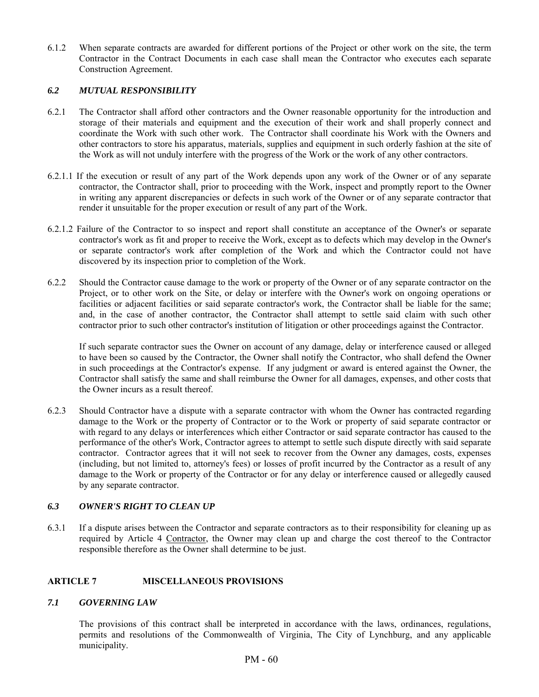6.1.2 When separate contracts are awarded for different portions of the Project or other work on the site, the term Contractor in the Contract Documents in each case shall mean the Contractor who executes each separate Construction Agreement.

#### *6.2 MUTUAL RESPONSIBILITY*

- 6.2.1 The Contractor shall afford other contractors and the Owner reasonable opportunity for the introduction and storage of their materials and equipment and the execution of their work and shall properly connect and coordinate the Work with such other work. The Contractor shall coordinate his Work with the Owners and other contractors to store his apparatus, materials, supplies and equipment in such orderly fashion at the site of the Work as will not unduly interfere with the progress of the Work or the work of any other contractors.
- 6.2.1.1 If the execution or result of any part of the Work depends upon any work of the Owner or of any separate contractor, the Contractor shall, prior to proceeding with the Work, inspect and promptly report to the Owner in writing any apparent discrepancies or defects in such work of the Owner or of any separate contractor that render it unsuitable for the proper execution or result of any part of the Work.
- 6.2.1.2 Failure of the Contractor to so inspect and report shall constitute an acceptance of the Owner's or separate contractor's work as fit and proper to receive the Work, except as to defects which may develop in the Owner's or separate contractor's work after completion of the Work and which the Contractor could not have discovered by its inspection prior to completion of the Work.
- 6.2.2 Should the Contractor cause damage to the work or property of the Owner or of any separate contractor on the Project, or to other work on the Site, or delay or interfere with the Owner's work on ongoing operations or facilities or adjacent facilities or said separate contractor's work, the Contractor shall be liable for the same; and, in the case of another contractor, the Contractor shall attempt to settle said claim with such other contractor prior to such other contractor's institution of litigation or other proceedings against the Contractor.

 If such separate contractor sues the Owner on account of any damage, delay or interference caused or alleged to have been so caused by the Contractor, the Owner shall notify the Contractor, who shall defend the Owner in such proceedings at the Contractor's expense. If any judgment or award is entered against the Owner, the Contractor shall satisfy the same and shall reimburse the Owner for all damages, expenses, and other costs that the Owner incurs as a result thereof.

6.2.3 Should Contractor have a dispute with a separate contractor with whom the Owner has contracted regarding damage to the Work or the property of Contractor or to the Work or property of said separate contractor or with regard to any delays or interferences which either Contractor or said separate contractor has caused to the performance of the other's Work, Contractor agrees to attempt to settle such dispute directly with said separate contractor. Contractor agrees that it will not seek to recover from the Owner any damages, costs, expenses (including, but not limited to, attorney's fees) or losses of profit incurred by the Contractor as a result of any damage to the Work or property of the Contractor or for any delay or interference caused or allegedly caused by any separate contractor.

## *6.3 OWNER'S RIGHT TO CLEAN UP*

6.3.1 If a dispute arises between the Contractor and separate contractors as to their responsibility for cleaning up as required by Article 4 Contractor, the Owner may clean up and charge the cost thereof to the Contractor responsible therefore as the Owner shall determine to be just.

## **ARTICLE 7 MISCELLANEOUS PROVISIONS**

## *7.1 GOVERNING LAW*

 The provisions of this contract shall be interpreted in accordance with the laws, ordinances, regulations, permits and resolutions of the Commonwealth of Virginia, The City of Lynchburg, and any applicable municipality.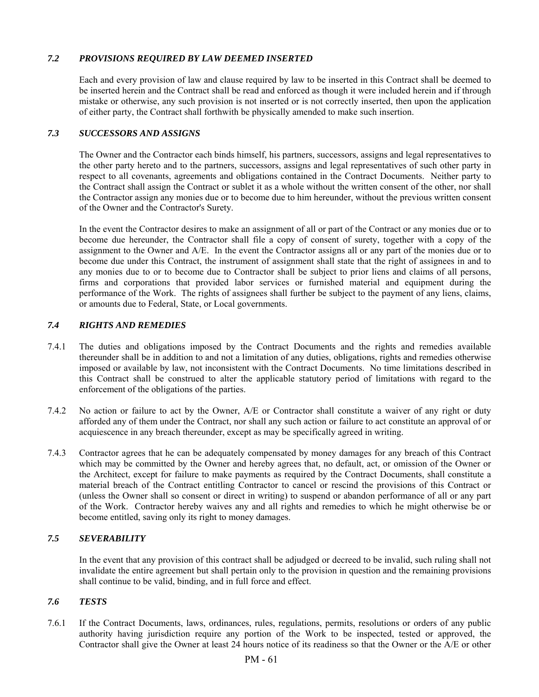## *7.2 PROVISIONS REQUIRED BY LAW DEEMED INSERTED*

 Each and every provision of law and clause required by law to be inserted in this Contract shall be deemed to be inserted herein and the Contract shall be read and enforced as though it were included herein and if through mistake or otherwise, any such provision is not inserted or is not correctly inserted, then upon the application of either party, the Contract shall forthwith be physically amended to make such insertion.

### *7.3 SUCCESSORS AND ASSIGNS*

 The Owner and the Contractor each binds himself, his partners, successors, assigns and legal representatives to the other party hereto and to the partners, successors, assigns and legal representatives of such other party in respect to all covenants, agreements and obligations contained in the Contract Documents. Neither party to the Contract shall assign the Contract or sublet it as a whole without the written consent of the other, nor shall the Contractor assign any monies due or to become due to him hereunder, without the previous written consent of the Owner and the Contractor's Surety.

 In the event the Contractor desires to make an assignment of all or part of the Contract or any monies due or to become due hereunder, the Contractor shall file a copy of consent of surety, together with a copy of the assignment to the Owner and A/E. In the event the Contractor assigns all or any part of the monies due or to become due under this Contract, the instrument of assignment shall state that the right of assignees in and to any monies due to or to become due to Contractor shall be subject to prior liens and claims of all persons, firms and corporations that provided labor services or furnished material and equipment during the performance of the Work. The rights of assignees shall further be subject to the payment of any liens, claims, or amounts due to Federal, State, or Local governments.

## *7.4 RIGHTS AND REMEDIES*

- 7.4.1 The duties and obligations imposed by the Contract Documents and the rights and remedies available thereunder shall be in addition to and not a limitation of any duties, obligations, rights and remedies otherwise imposed or available by law, not inconsistent with the Contract Documents. No time limitations described in this Contract shall be construed to alter the applicable statutory period of limitations with regard to the enforcement of the obligations of the parties.
- 7.4.2 No action or failure to act by the Owner, A/E or Contractor shall constitute a waiver of any right or duty afforded any of them under the Contract, nor shall any such action or failure to act constitute an approval of or acquiescence in any breach thereunder, except as may be specifically agreed in writing.
- 7.4.3 Contractor agrees that he can be adequately compensated by money damages for any breach of this Contract which may be committed by the Owner and hereby agrees that, no default, act, or omission of the Owner or the Architect, except for failure to make payments as required by the Contract Documents, shall constitute a material breach of the Contract entitling Contractor to cancel or rescind the provisions of this Contract or (unless the Owner shall so consent or direct in writing) to suspend or abandon performance of all or any part of the Work. Contractor hereby waives any and all rights and remedies to which he might otherwise be or become entitled, saving only its right to money damages.

## *7.5 SEVERABILITY*

 In the event that any provision of this contract shall be adjudged or decreed to be invalid, such ruling shall not invalidate the entire agreement but shall pertain only to the provision in question and the remaining provisions shall continue to be valid, binding, and in full force and effect.

## *7.6 TESTS*

7.6.1 If the Contract Documents, laws, ordinances, rules, regulations, permits, resolutions or orders of any public authority having jurisdiction require any portion of the Work to be inspected, tested or approved, the Contractor shall give the Owner at least 24 hours notice of its readiness so that the Owner or the A/E or other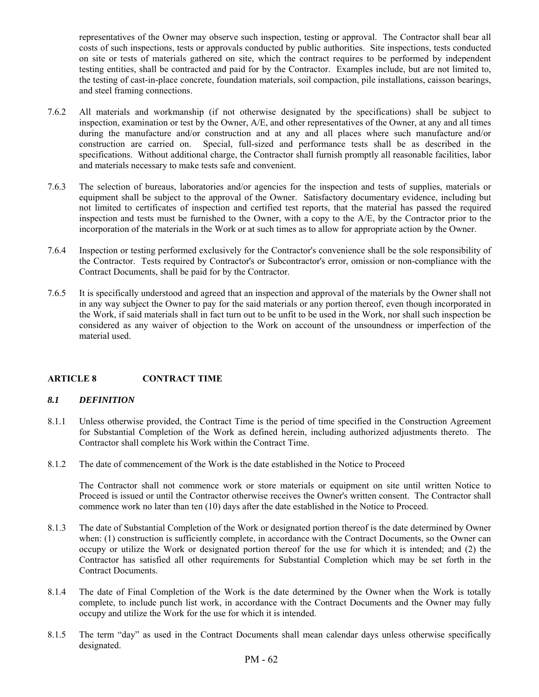representatives of the Owner may observe such inspection, testing or approval. The Contractor shall bear all costs of such inspections, tests or approvals conducted by public authorities. Site inspections, tests conducted on site or tests of materials gathered on site, which the contract requires to be performed by independent testing entities, shall be contracted and paid for by the Contractor. Examples include, but are not limited to, the testing of cast-in-place concrete, foundation materials, soil compaction, pile installations, caisson bearings, and steel framing connections.

- 7.6.2 All materials and workmanship (if not otherwise designated by the specifications) shall be subject to inspection, examination or test by the Owner, A/E, and other representatives of the Owner, at any and all times during the manufacture and/or construction and at any and all places where such manufacture and/or construction are carried on. Special, full-sized and performance tests shall be as described in the specifications. Without additional charge, the Contractor shall furnish promptly all reasonable facilities, labor and materials necessary to make tests safe and convenient.
- 7.6.3 The selection of bureaus, laboratories and/or agencies for the inspection and tests of supplies, materials or equipment shall be subject to the approval of the Owner. Satisfactory documentary evidence, including but not limited to certificates of inspection and certified test reports, that the material has passed the required inspection and tests must be furnished to the Owner, with a copy to the A/E, by the Contractor prior to the incorporation of the materials in the Work or at such times as to allow for appropriate action by the Owner.
- 7.6.4 Inspection or testing performed exclusively for the Contractor's convenience shall be the sole responsibility of the Contractor. Tests required by Contractor's or Subcontractor's error, omission or non-compliance with the Contract Documents, shall be paid for by the Contractor.
- 7.6.5 It is specifically understood and agreed that an inspection and approval of the materials by the Owner shall not in any way subject the Owner to pay for the said materials or any portion thereof, even though incorporated in the Work, if said materials shall in fact turn out to be unfit to be used in the Work, nor shall such inspection be considered as any waiver of objection to the Work on account of the unsoundness or imperfection of the material used.

## **ARTICLE 8 CONTRACT TIME**

#### *8.1 DEFINITION*

- 8.1.1 Unless otherwise provided, the Contract Time is the period of time specified in the Construction Agreement for Substantial Completion of the Work as defined herein, including authorized adjustments thereto. The Contractor shall complete his Work within the Contract Time.
- 8.1.2 The date of commencement of the Work is the date established in the Notice to Proceed

 The Contractor shall not commence work or store materials or equipment on site until written Notice to Proceed is issued or until the Contractor otherwise receives the Owner's written consent. The Contractor shall commence work no later than ten (10) days after the date established in the Notice to Proceed.

- 8.1.3 The date of Substantial Completion of the Work or designated portion thereof is the date determined by Owner when: (1) construction is sufficiently complete, in accordance with the Contract Documents, so the Owner can occupy or utilize the Work or designated portion thereof for the use for which it is intended; and (2) the Contractor has satisfied all other requirements for Substantial Completion which may be set forth in the Contract Documents.
- 8.1.4 The date of Final Completion of the Work is the date determined by the Owner when the Work is totally complete, to include punch list work, in accordance with the Contract Documents and the Owner may fully occupy and utilize the Work for the use for which it is intended.
- 8.1.5 The term "day" as used in the Contract Documents shall mean calendar days unless otherwise specifically designated.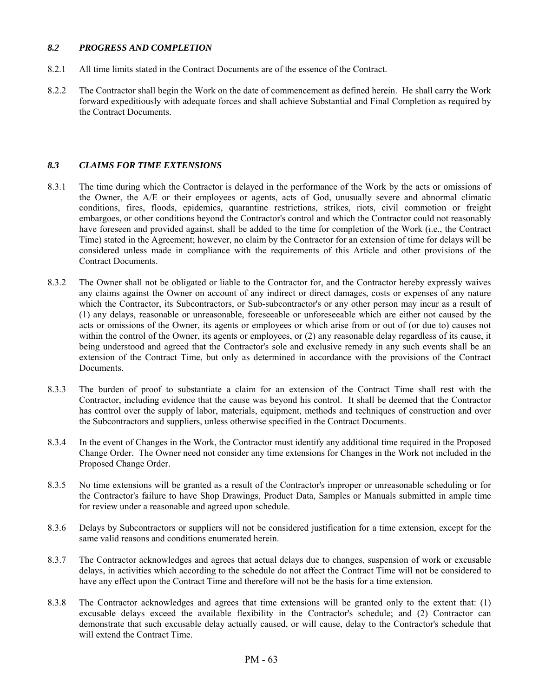#### *8.2 PROGRESS AND COMPLETION*

- 8.2.1 All time limits stated in the Contract Documents are of the essence of the Contract.
- 8.2.2 The Contractor shall begin the Work on the date of commencement as defined herein. He shall carry the Work forward expeditiously with adequate forces and shall achieve Substantial and Final Completion as required by the Contract Documents.

## *8.3 CLAIMS FOR TIME EXTENSIONS*

- 8.3.1 The time during which the Contractor is delayed in the performance of the Work by the acts or omissions of the Owner, the A/E or their employees or agents, acts of God, unusually severe and abnormal climatic conditions, fires, floods, epidemics, quarantine restrictions, strikes, riots, civil commotion or freight embargoes, or other conditions beyond the Contractor's control and which the Contractor could not reasonably have foreseen and provided against, shall be added to the time for completion of the Work (i.e., the Contract Time) stated in the Agreement; however, no claim by the Contractor for an extension of time for delays will be considered unless made in compliance with the requirements of this Article and other provisions of the Contract Documents.
- 8.3.2 The Owner shall not be obligated or liable to the Contractor for, and the Contractor hereby expressly waives any claims against the Owner on account of any indirect or direct damages, costs or expenses of any nature which the Contractor, its Subcontractors, or Sub-subcontractor's or any other person may incur as a result of (1) any delays, reasonable or unreasonable, foreseeable or unforeseeable which are either not caused by the acts or omissions of the Owner, its agents or employees or which arise from or out of (or due to) causes not within the control of the Owner, its agents or employees, or  $(2)$  any reasonable delay regardless of its cause, it being understood and agreed that the Contractor's sole and exclusive remedy in any such events shall be an extension of the Contract Time, but only as determined in accordance with the provisions of the Contract Documents.
- 8.3.3 The burden of proof to substantiate a claim for an extension of the Contract Time shall rest with the Contractor, including evidence that the cause was beyond his control. It shall be deemed that the Contractor has control over the supply of labor, materials, equipment, methods and techniques of construction and over the Subcontractors and suppliers, unless otherwise specified in the Contract Documents.
- 8.3.4 In the event of Changes in the Work, the Contractor must identify any additional time required in the Proposed Change Order. The Owner need not consider any time extensions for Changes in the Work not included in the Proposed Change Order.
- 8.3.5 No time extensions will be granted as a result of the Contractor's improper or unreasonable scheduling or for the Contractor's failure to have Shop Drawings, Product Data, Samples or Manuals submitted in ample time for review under a reasonable and agreed upon schedule.
- 8.3.6 Delays by Subcontractors or suppliers will not be considered justification for a time extension, except for the same valid reasons and conditions enumerated herein.
- 8.3.7 The Contractor acknowledges and agrees that actual delays due to changes, suspension of work or excusable delays, in activities which according to the schedule do not affect the Contract Time will not be considered to have any effect upon the Contract Time and therefore will not be the basis for a time extension.
- 8.3.8 The Contractor acknowledges and agrees that time extensions will be granted only to the extent that: (1) excusable delays exceed the available flexibility in the Contractor's schedule; and (2) Contractor can demonstrate that such excusable delay actually caused, or will cause, delay to the Contractor's schedule that will extend the Contract Time.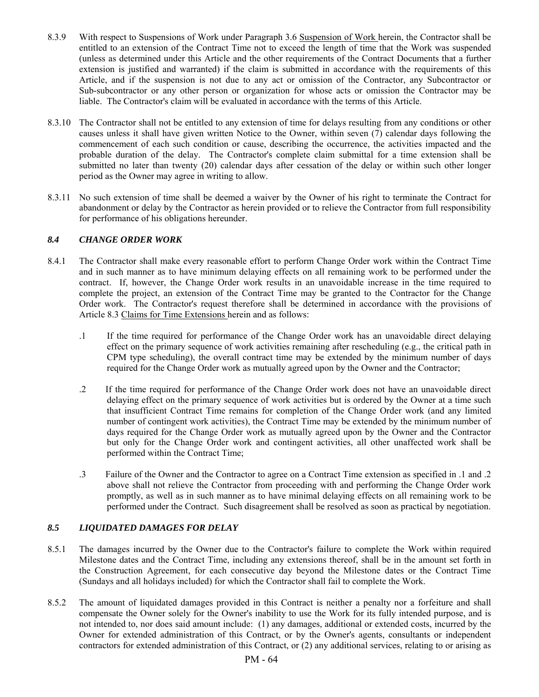- 8.3.9 With respect to Suspensions of Work under Paragraph 3.6 Suspension of Work herein, the Contractor shall be entitled to an extension of the Contract Time not to exceed the length of time that the Work was suspended (unless as determined under this Article and the other requirements of the Contract Documents that a further extension is justified and warranted) if the claim is submitted in accordance with the requirements of this Article, and if the suspension is not due to any act or omission of the Contractor, any Subcontractor or Sub-subcontractor or any other person or organization for whose acts or omission the Contractor may be liable. The Contractor's claim will be evaluated in accordance with the terms of this Article.
- 8.3.10 The Contractor shall not be entitled to any extension of time for delays resulting from any conditions or other causes unless it shall have given written Notice to the Owner, within seven (7) calendar days following the commencement of each such condition or cause, describing the occurrence, the activities impacted and the probable duration of the delay. The Contractor's complete claim submittal for a time extension shall be submitted no later than twenty (20) calendar days after cessation of the delay or within such other longer period as the Owner may agree in writing to allow.
- 8.3.11 No such extension of time shall be deemed a waiver by the Owner of his right to terminate the Contract for abandonment or delay by the Contractor as herein provided or to relieve the Contractor from full responsibility for performance of his obligations hereunder.

## *8.4 CHANGE ORDER WORK*

- 8.4.1 The Contractor shall make every reasonable effort to perform Change Order work within the Contract Time and in such manner as to have minimum delaying effects on all remaining work to be performed under the contract. If, however, the Change Order work results in an unavoidable increase in the time required to complete the project, an extension of the Contract Time may be granted to the Contractor for the Change Order work. The Contractor's request therefore shall be determined in accordance with the provisions of Article 8.3 Claims for Time Extensions herein and as follows:
	- .1 If the time required for performance of the Change Order work has an unavoidable direct delaying effect on the primary sequence of work activities remaining after rescheduling (e.g., the critical path in CPM type scheduling), the overall contract time may be extended by the minimum number of days required for the Change Order work as mutually agreed upon by the Owner and the Contractor;
	- .2 If the time required for performance of the Change Order work does not have an unavoidable direct delaying effect on the primary sequence of work activities but is ordered by the Owner at a time such that insufficient Contract Time remains for completion of the Change Order work (and any limited number of contingent work activities), the Contract Time may be extended by the minimum number of days required for the Change Order work as mutually agreed upon by the Owner and the Contractor but only for the Change Order work and contingent activities, all other unaffected work shall be performed within the Contract Time;
	- .3 Failure of the Owner and the Contractor to agree on a Contract Time extension as specified in .1 and .2 above shall not relieve the Contractor from proceeding with and performing the Change Order work promptly, as well as in such manner as to have minimal delaying effects on all remaining work to be performed under the Contract. Such disagreement shall be resolved as soon as practical by negotiation.

# *8.5 LIQUIDATED DAMAGES FOR DELAY*

- 8.5.1 The damages incurred by the Owner due to the Contractor's failure to complete the Work within required Milestone dates and the Contract Time, including any extensions thereof, shall be in the amount set forth in the Construction Agreement, for each consecutive day beyond the Milestone dates or the Contract Time (Sundays and all holidays included) for which the Contractor shall fail to complete the Work.
- 8.5.2 The amount of liquidated damages provided in this Contract is neither a penalty nor a forfeiture and shall compensate the Owner solely for the Owner's inability to use the Work for its fully intended purpose, and is not intended to, nor does said amount include: (1) any damages, additional or extended costs, incurred by the Owner for extended administration of this Contract, or by the Owner's agents, consultants or independent contractors for extended administration of this Contract, or (2) any additional services, relating to or arising as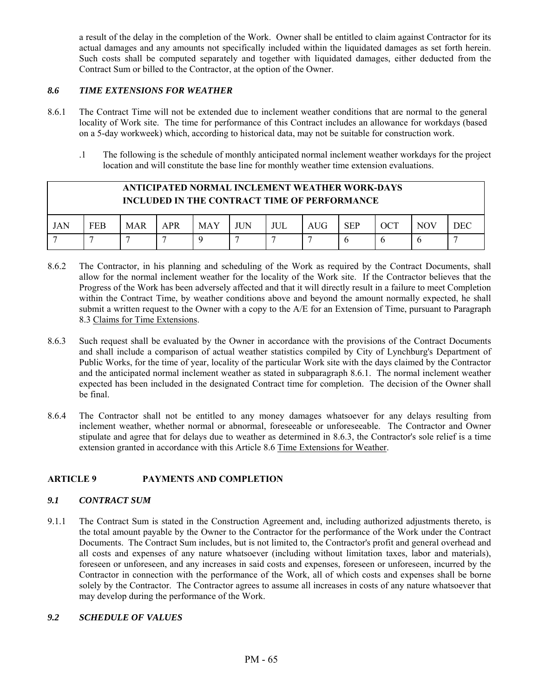a result of the delay in the completion of the Work. Owner shall be entitled to claim against Contractor for its actual damages and any amounts not specifically included within the liquidated damages as set forth herein. Such costs shall be computed separately and together with liquidated damages, either deducted from the Contract Sum or billed to the Contractor, at the option of the Owner.

## *8.6 TIME EXTENSIONS FOR WEATHER*

- 8.6.1 The Contract Time will not be extended due to inclement weather conditions that are normal to the general locality of Work site. The time for performance of this Contract includes an allowance for workdays (based on a 5-day workweek) which, according to historical data, may not be suitable for construction work.
	- .1 The following is the schedule of monthly anticipated normal inclement weather workdays for the project location and will constitute the base line for monthly weather time extension evaluations.

| ANTICIPATED NORMAL INCLEMENT WEATHER WORK-DAYS<br><b>INCLUDED IN THE CONTRACT TIME OF PERFORMANCE</b> |            |            |            |            |     |     |      |            |     |            |            |
|-------------------------------------------------------------------------------------------------------|------------|------------|------------|------------|-----|-----|------|------------|-----|------------|------------|
| JAN                                                                                                   | <b>FEB</b> | <b>MAR</b> | <b>APR</b> | <b>MAY</b> | JUN | JUL | AIIG | <b>SEP</b> | OCT | <b>NOV</b> | <b>DEC</b> |
|                                                                                                       |            |            |            |            |     |     |      |            |     |            |            |

- 8.6.2 The Contractor, in his planning and scheduling of the Work as required by the Contract Documents, shall allow for the normal inclement weather for the locality of the Work site. If the Contractor believes that the Progress of the Work has been adversely affected and that it will directly result in a failure to meet Completion within the Contract Time, by weather conditions above and beyond the amount normally expected, he shall submit a written request to the Owner with a copy to the A/E for an Extension of Time, pursuant to Paragraph 8.3 Claims for Time Extensions.
- 8.6.3 Such request shall be evaluated by the Owner in accordance with the provisions of the Contract Documents and shall include a comparison of actual weather statistics compiled by City of Lynchburg's Department of Public Works, for the time of year, locality of the particular Work site with the days claimed by the Contractor and the anticipated normal inclement weather as stated in subparagraph 8.6.1. The normal inclement weather expected has been included in the designated Contract time for completion. The decision of the Owner shall be final.
- 8.6.4 The Contractor shall not be entitled to any money damages whatsoever for any delays resulting from inclement weather, whether normal or abnormal, foreseeable or unforeseeable. The Contractor and Owner stipulate and agree that for delays due to weather as determined in 8.6.3, the Contractor's sole relief is a time extension granted in accordance with this Article 8.6 Time Extensions for Weather.

## **ARTICLE 9 PAYMENTS AND COMPLETION**

## *9.1 CONTRACT SUM*

9.1.1 The Contract Sum is stated in the Construction Agreement and, including authorized adjustments thereto, is the total amount payable by the Owner to the Contractor for the performance of the Work under the Contract Documents. The Contract Sum includes, but is not limited to, the Contractor's profit and general overhead and all costs and expenses of any nature whatsoever (including without limitation taxes, labor and materials), foreseen or unforeseen, and any increases in said costs and expenses, foreseen or unforeseen, incurred by the Contractor in connection with the performance of the Work, all of which costs and expenses shall be borne solely by the Contractor. The Contractor agrees to assume all increases in costs of any nature whatsoever that may develop during the performance of the Work.

## *9.2 SCHEDULE OF VALUES*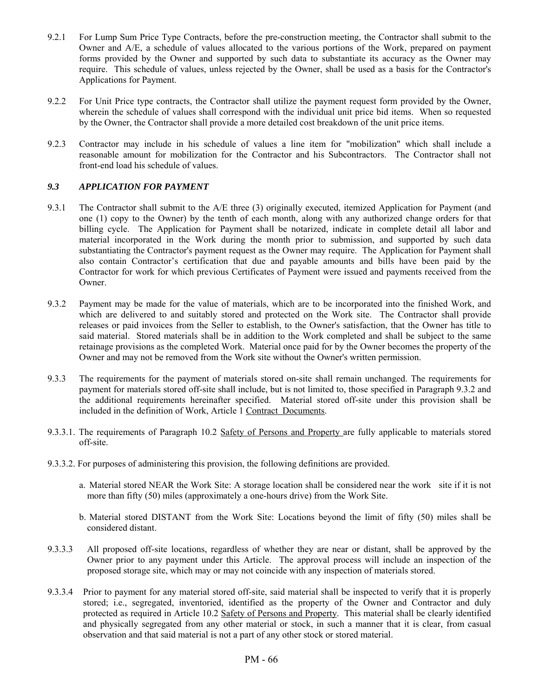- 9.2.1 For Lump Sum Price Type Contracts, before the pre-construction meeting, the Contractor shall submit to the Owner and A/E, a schedule of values allocated to the various portions of the Work, prepared on payment forms provided by the Owner and supported by such data to substantiate its accuracy as the Owner may require. This schedule of values, unless rejected by the Owner, shall be used as a basis for the Contractor's Applications for Payment.
- 9.2.2 For Unit Price type contracts, the Contractor shall utilize the payment request form provided by the Owner, wherein the schedule of values shall correspond with the individual unit price bid items. When so requested by the Owner, the Contractor shall provide a more detailed cost breakdown of the unit price items.
- 9.2.3 Contractor may include in his schedule of values a line item for "mobilization" which shall include a reasonable amount for mobilization for the Contractor and his Subcontractors. The Contractor shall not front-end load his schedule of values.

## *9.3 APPLICATION FOR PAYMENT*

- 9.3.1 The Contractor shall submit to the A/E three (3) originally executed, itemized Application for Payment (and one (1) copy to the Owner) by the tenth of each month, along with any authorized change orders for that billing cycle. The Application for Payment shall be notarized, indicate in complete detail all labor and material incorporated in the Work during the month prior to submission, and supported by such data substantiating the Contractor's payment request as the Owner may require. The Application for Payment shall also contain Contractor's certification that due and payable amounts and bills have been paid by the Contractor for work for which previous Certificates of Payment were issued and payments received from the Owner.
- 9.3.2 Payment may be made for the value of materials, which are to be incorporated into the finished Work, and which are delivered to and suitably stored and protected on the Work site. The Contractor shall provide releases or paid invoices from the Seller to establish, to the Owner's satisfaction, that the Owner has title to said material. Stored materials shall be in addition to the Work completed and shall be subject to the same retainage provisions as the completed Work. Material once paid for by the Owner becomes the property of the Owner and may not be removed from the Work site without the Owner's written permission.
- 9.3.3 The requirements for the payment of materials stored on-site shall remain unchanged. The requirements for payment for materials stored off-site shall include, but is not limited to, those specified in Paragraph 9.3.2 and the additional requirements hereinafter specified. Material stored off-site under this provision shall be included in the definition of Work, Article 1 Contract Documents.
- 9.3.3.1. The requirements of Paragraph 10.2 Safety of Persons and Property are fully applicable to materials stored off-site.
- 9.3.3.2. For purposes of administering this provision, the following definitions are provided.
	- a. Material stored NEAR the Work Site: A storage location shall be considered near the work site if it is not more than fifty (50) miles (approximately a one-hours drive) from the Work Site.
	- b. Material stored DISTANT from the Work Site: Locations beyond the limit of fifty (50) miles shall be considered distant.
- 9.3.3.3 All proposed off-site locations, regardless of whether they are near or distant, shall be approved by the Owner prior to any payment under this Article. The approval process will include an inspection of the proposed storage site, which may or may not coincide with any inspection of materials stored.
- 9.3.3.4 Prior to payment for any material stored off-site, said material shall be inspected to verify that it is properly stored; i.e., segregated, inventoried, identified as the property of the Owner and Contractor and duly protected as required in Article 10.2 Safety of Persons and Property. This material shall be clearly identified and physically segregated from any other material or stock, in such a manner that it is clear, from casual observation and that said material is not a part of any other stock or stored material.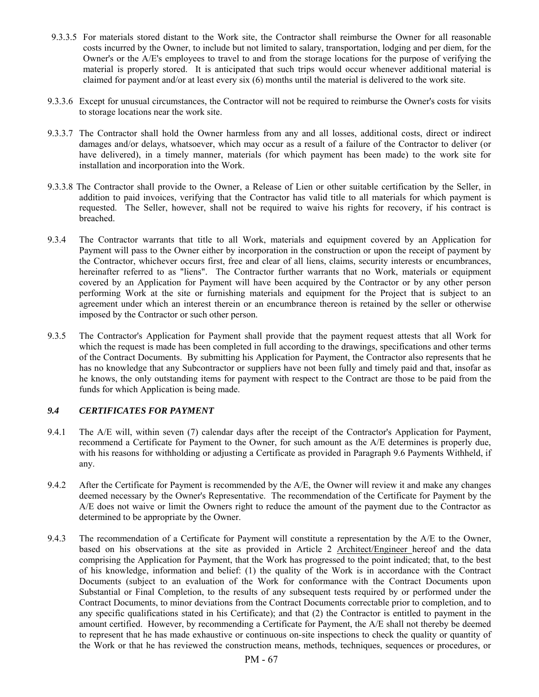- 9.3.3.5 For materials stored distant to the Work site, the Contractor shall reimburse the Owner for all reasonable costs incurred by the Owner, to include but not limited to salary, transportation, lodging and per diem, for the Owner's or the A/E's employees to travel to and from the storage locations for the purpose of verifying the material is properly stored. It is anticipated that such trips would occur whenever additional material is claimed for payment and/or at least every six (6) months until the material is delivered to the work site.
- 9.3.3.6 Except for unusual circumstances, the Contractor will not be required to reimburse the Owner's costs for visits to storage locations near the work site.
- 9.3.3.7 The Contractor shall hold the Owner harmless from any and all losses, additional costs, direct or indirect damages and/or delays, whatsoever, which may occur as a result of a failure of the Contractor to deliver (or have delivered), in a timely manner, materials (for which payment has been made) to the work site for installation and incorporation into the Work.
- 9.3.3.8 The Contractor shall provide to the Owner, a Release of Lien or other suitable certification by the Seller, in addition to paid invoices, verifying that the Contractor has valid title to all materials for which payment is requested. The Seller, however, shall not be required to waive his rights for recovery, if his contract is breached.
- 9.3.4 The Contractor warrants that title to all Work, materials and equipment covered by an Application for Payment will pass to the Owner either by incorporation in the construction or upon the receipt of payment by the Contractor, whichever occurs first, free and clear of all liens, claims, security interests or encumbrances, hereinafter referred to as "liens". The Contractor further warrants that no Work, materials or equipment covered by an Application for Payment will have been acquired by the Contractor or by any other person performing Work at the site or furnishing materials and equipment for the Project that is subject to an agreement under which an interest therein or an encumbrance thereon is retained by the seller or otherwise imposed by the Contractor or such other person.
- 9.3.5 The Contractor's Application for Payment shall provide that the payment request attests that all Work for which the request is made has been completed in full according to the drawings, specifications and other terms of the Contract Documents. By submitting his Application for Payment, the Contractor also represents that he has no knowledge that any Subcontractor or suppliers have not been fully and timely paid and that, insofar as he knows, the only outstanding items for payment with respect to the Contract are those to be paid from the funds for which Application is being made.

## *9.4 CERTIFICATES FOR PAYMENT*

- 9.4.1 The A/E will, within seven (7) calendar days after the receipt of the Contractor's Application for Payment, recommend a Certificate for Payment to the Owner, for such amount as the A/E determines is properly due, with his reasons for withholding or adjusting a Certificate as provided in Paragraph 9.6 Payments Withheld, if any.
- 9.4.2 After the Certificate for Payment is recommended by the A/E, the Owner will review it and make any changes deemed necessary by the Owner's Representative. The recommendation of the Certificate for Payment by the A/E does not waive or limit the Owners right to reduce the amount of the payment due to the Contractor as determined to be appropriate by the Owner.
- 9.4.3 The recommendation of a Certificate for Payment will constitute a representation by the A/E to the Owner, based on his observations at the site as provided in Article 2 Architect/Engineer hereof and the data comprising the Application for Payment, that the Work has progressed to the point indicated; that, to the best of his knowledge, information and belief: (1) the quality of the Work is in accordance with the Contract Documents (subject to an evaluation of the Work for conformance with the Contract Documents upon Substantial or Final Completion, to the results of any subsequent tests required by or performed under the Contract Documents, to minor deviations from the Contract Documents correctable prior to completion, and to any specific qualifications stated in his Certificate); and that (2) the Contractor is entitled to payment in the amount certified. However, by recommending a Certificate for Payment, the A/E shall not thereby be deemed to represent that he has made exhaustive or continuous on-site inspections to check the quality or quantity of the Work or that he has reviewed the construction means, methods, techniques, sequences or procedures, or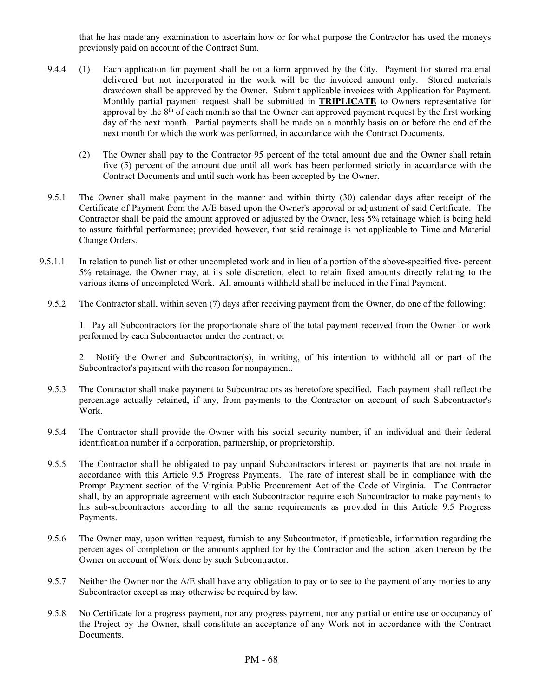that he has made any examination to ascertain how or for what purpose the Contractor has used the moneys previously paid on account of the Contract Sum.

- 9.4.4 (1) Each application for payment shall be on a form approved by the City. Payment for stored material delivered but not incorporated in the work will be the invoiced amount only. Stored materials drawdown shall be approved by the Owner. Submit applicable invoices with Application for Payment. Monthly partial payment request shall be submitted in **TRIPLICATE** to Owners representative for approval by the  $8<sup>th</sup>$  of each month so that the Owner can approved payment request by the first working day of the next month. Partial payments shall be made on a monthly basis on or before the end of the next month for which the work was performed, in accordance with the Contract Documents.
	- (2) The Owner shall pay to the Contractor 95 percent of the total amount due and the Owner shall retain five (5) percent of the amount due until all work has been performed strictly in accordance with the Contract Documents and until such work has been accepted by the Owner.
- 9.5.1 The Owner shall make payment in the manner and within thirty (30) calendar days after receipt of the Certificate of Payment from the A/E based upon the Owner's approval or adjustment of said Certificate. The Contractor shall be paid the amount approved or adjusted by the Owner, less 5% retainage which is being held to assure faithful performance; provided however, that said retainage is not applicable to Time and Material Change Orders.
- 9.5.1.1 In relation to punch list or other uncompleted work and in lieu of a portion of the above-specified five- percent 5% retainage, the Owner may, at its sole discretion, elect to retain fixed amounts directly relating to the various items of uncompleted Work. All amounts withheld shall be included in the Final Payment.
	- 9.5.2 The Contractor shall, within seven (7) days after receiving payment from the Owner, do one of the following:

 1. Pay all Subcontractors for the proportionate share of the total payment received from the Owner for work performed by each Subcontractor under the contract; or

 2. Notify the Owner and Subcontractor(s), in writing, of his intention to withhold all or part of the Subcontractor's payment with the reason for nonpayment.

- 9.5.3 The Contractor shall make payment to Subcontractors as heretofore specified. Each payment shall reflect the percentage actually retained, if any, from payments to the Contractor on account of such Subcontractor's Work.
- 9.5.4 The Contractor shall provide the Owner with his social security number, if an individual and their federal identification number if a corporation, partnership, or proprietorship.
- 9.5.5 The Contractor shall be obligated to pay unpaid Subcontractors interest on payments that are not made in accordance with this Article 9.5 Progress Payments. The rate of interest shall be in compliance with the Prompt Payment section of the Virginia Public Procurement Act of the Code of Virginia. The Contractor shall, by an appropriate agreement with each Subcontractor require each Subcontractor to make payments to his sub-subcontractors according to all the same requirements as provided in this Article 9.5 Progress Payments.
- 9.5.6 The Owner may, upon written request, furnish to any Subcontractor, if practicable, information regarding the percentages of completion or the amounts applied for by the Contractor and the action taken thereon by the Owner on account of Work done by such Subcontractor.
- 9.5.7 Neither the Owner nor the A/E shall have any obligation to pay or to see to the payment of any monies to any Subcontractor except as may otherwise be required by law.
- 9.5.8 No Certificate for a progress payment, nor any progress payment, nor any partial or entire use or occupancy of the Project by the Owner, shall constitute an acceptance of any Work not in accordance with the Contract Documents.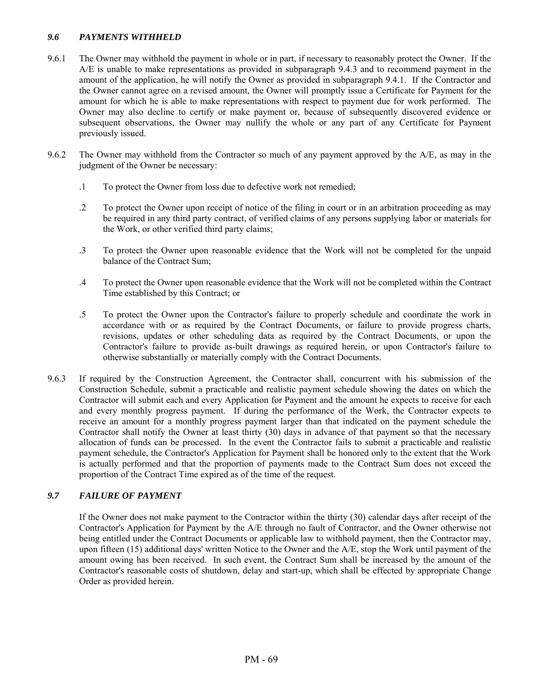## *9.6 PAYMENTS WITHHELD*

- 9.6.1 The Owner may withhold the payment in whole or in part, if necessary to reasonably protect the Owner. If the A/E is unable to make representations as provided in subparagraph 9.4.3 and to recommend payment in the amount of the application, he will notify the Owner as provided in subparagraph 9.4.1. If the Contractor and the Owner cannot agree on a revised amount, the Owner will promptly issue a Certificate for Payment for the amount for which he is able to make representations with respect to payment due for work performed. The Owner may also decline to certify or make payment or, because of subsequently discovered evidence or subsequent observations, the Owner may nullify the whole or any part of any Certificate for Payment previously issued.
- 9.6.2 The Owner may withhold from the Contractor so much of any payment approved by the A/E, as may in the judgment of the Owner be necessary:
	- .1 To protect the Owner from loss due to defective work not remedied;
	- .2 To protect the Owner upon receipt of notice of the filing in court or in an arbitration proceeding as may be required in any third party contract, of verified claims of any persons supplying labor or materials for the Work, or other verified third party claims;
	- .3 To protect the Owner upon reasonable evidence that the Work will not be completed for the unpaid balance of the Contract Sum;
	- .4 To protect the Owner upon reasonable evidence that the Work will not be completed within the Contract Time established by this Contract; or
	- .5 To protect the Owner upon the Contractor's failure to properly schedule and coordinate the work in accordance with or as required by the Contract Documents, or failure to provide progress charts, revisions, updates or other scheduling data as required by the Contract Documents, or upon the Contractor's failure to provide as-built drawings as required herein, or upon Contractor's failure to otherwise substantially or materially comply with the Contract Documents.
- 9.6.3 If required by the Construction Agreement, the Contractor shall, concurrent with his submission of the Construction Schedule, submit a practicable and realistic payment schedule showing the dates on which the Contractor will submit each and every Application for Payment and the amount he expects to receive for each and every monthly progress payment. If during the performance of the Work, the Contractor expects to receive an amount for a monthly progress payment larger than that indicated on the payment schedule the Contractor shall notify the Owner at least thirty (30) days in advance of that payment so that the necessary allocation of funds can be processed. In the event the Contractor fails to submit a practicable and realistic payment schedule, the Contractor's Application for Payment shall be honored only to the extent that the Work is actually performed and that the proportion of payments made to the Contract Sum does not exceed the proportion of the Contract Time expired as of the time of the request.

# *9.7 FAILURE OF PAYMENT*

If the Owner does not make payment to the Contractor within the thirty (30) calendar days after receipt of the Contractor's Application for Payment by the A/E through no fault of Contractor, and the Owner otherwise not being entitled under the Contract Documents or applicable law to withhold payment, then the Contractor may, upon fifteen (15) additional days' written Notice to the Owner and the A/E, stop the Work until payment of the amount owing has been received. In such event, the Contract Sum shall be increased by the amount of the Contractor's reasonable costs of shutdown, delay and start-up, which shall be effected by appropriate Change Order as provided herein.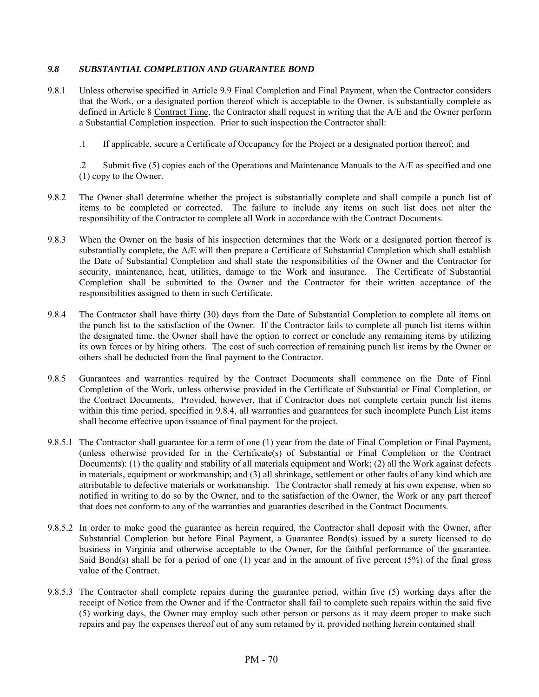### *9.8 SUBSTANTIAL COMPLETION AND GUARANTEE BOND*

- 9.8.1 Unless otherwise specified in Article 9.9 Final Completion and Final Payment, when the Contractor considers that the Work, or a designated portion thereof which is acceptable to the Owner, is substantially complete as defined in Article 8 Contract Time, the Contractor shall request in writing that the A/E and the Owner perform a Substantial Completion inspection. Prior to such inspection the Contractor shall:
	- .1 If applicable, secure a Certificate of Occupancy for the Project or a designated portion thereof; and

 .2 Submit five (5) copies each of the Operations and Maintenance Manuals to the A/E as specified and one (1) copy to the Owner.

- 9.8.2 The Owner shall determine whether the project is substantially complete and shall compile a punch list of items to be completed or corrected. The failure to include any items on such list does not alter the responsibility of the Contractor to complete all Work in accordance with the Contract Documents.
- 9.8.3 When the Owner on the basis of his inspection determines that the Work or a designated portion thereof is substantially complete, the A/E will then prepare a Certificate of Substantial Completion which shall establish the Date of Substantial Completion and shall state the responsibilities of the Owner and the Contractor for security, maintenance, heat, utilities, damage to the Work and insurance. The Certificate of Substantial Completion shall be submitted to the Owner and the Contractor for their written acceptance of the responsibilities assigned to them in such Certificate.
- 9.8.4 The Contractor shall have thirty (30) days from the Date of Substantial Completion to complete all items on the punch list to the satisfaction of the Owner. If the Contractor fails to complete all punch list items within the designated time, the Owner shall have the option to correct or conclude any remaining items by utilizing its own forces or by hiring others. The cost of such correction of remaining punch list items by the Owner or others shall be deducted from the final payment to the Contractor.
- 9.8.5 Guarantees and warranties required by the Contract Documents shall commence on the Date of Final Completion of the Work, unless otherwise provided in the Certificate of Substantial or Final Completion, or the Contract Documents. Provided, however, that if Contractor does not complete certain punch list items within this time period, specified in 9.8.4, all warranties and guarantees for such incomplete Punch List items shall become effective upon issuance of final payment for the project.
- 9.8.5.1 The Contractor shall guarantee for a term of one (1) year from the date of Final Completion or Final Payment, (unless otherwise provided for in the Certificate(s) of Substantial or Final Completion or the Contract Documents): (1) the quality and stability of all materials equipment and Work; (2) all the Work against defects in materials, equipment or workmanship; and (3) all shrinkage, settlement or other faults of any kind which are attributable to defective materials or workmanship. The Contractor shall remedy at his own expense, when so notified in writing to do so by the Owner, and to the satisfaction of the Owner, the Work or any part thereof that does not conform to any of the warranties and guaranties described in the Contract Documents.
- 9.8.5.2 In order to make good the guarantee as herein required, the Contractor shall deposit with the Owner, after Substantial Completion but before Final Payment, a Guarantee Bond(s) issued by a surety licensed to do business in Virginia and otherwise acceptable to the Owner, for the faithful performance of the guarantee. Said Bond(s) shall be for a period of one (1) year and in the amount of five percent (5%) of the final gross value of the Contract.
- 9.8.5.3 The Contractor shall complete repairs during the guarantee period, within five (5) working days after the receipt of Notice from the Owner and if the Contractor shall fail to complete such repairs within the said five (5) working days, the Owner may employ such other person or persons as it may deem proper to make such repairs and pay the expenses thereof out of any sum retained by it, provided nothing herein contained shall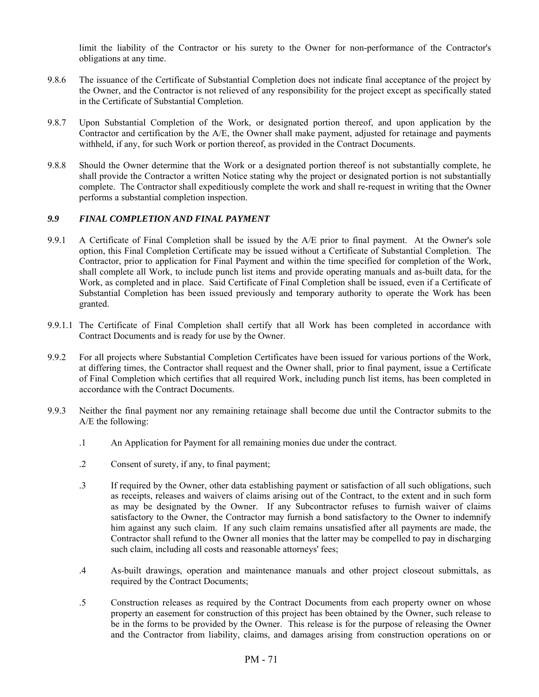limit the liability of the Contractor or his surety to the Owner for non-performance of the Contractor's obligations at any time.

- 9.8.6 The issuance of the Certificate of Substantial Completion does not indicate final acceptance of the project by the Owner, and the Contractor is not relieved of any responsibility for the project except as specifically stated in the Certificate of Substantial Completion.
- 9.8.7 Upon Substantial Completion of the Work, or designated portion thereof, and upon application by the Contractor and certification by the A/E, the Owner shall make payment, adjusted for retainage and payments withheld, if any, for such Work or portion thereof, as provided in the Contract Documents.
- 9.8.8 Should the Owner determine that the Work or a designated portion thereof is not substantially complete, he shall provide the Contractor a written Notice stating why the project or designated portion is not substantially complete. The Contractor shall expeditiously complete the work and shall re-request in writing that the Owner performs a substantial completion inspection.

## *9.9 FINAL COMPLETION AND FINAL PAYMENT*

- 9.9.1 A Certificate of Final Completion shall be issued by the A/E prior to final payment. At the Owner's sole option, this Final Completion Certificate may be issued without a Certificate of Substantial Completion. The Contractor, prior to application for Final Payment and within the time specified for completion of the Work, shall complete all Work, to include punch list items and provide operating manuals and as-built data, for the Work, as completed and in place. Said Certificate of Final Completion shall be issued, even if a Certificate of Substantial Completion has been issued previously and temporary authority to operate the Work has been granted.
- 9.9.1.1 The Certificate of Final Completion shall certify that all Work has been completed in accordance with Contract Documents and is ready for use by the Owner.
- 9.9.2 For all projects where Substantial Completion Certificates have been issued for various portions of the Work, at differing times, the Contractor shall request and the Owner shall, prior to final payment, issue a Certificate of Final Completion which certifies that all required Work, including punch list items, has been completed in accordance with the Contract Documents.
- 9.9.3 Neither the final payment nor any remaining retainage shall become due until the Contractor submits to the A/E the following:
	- .1 An Application for Payment for all remaining monies due under the contract.
	- .2 Consent of surety, if any, to final payment;
	- .3 If required by the Owner, other data establishing payment or satisfaction of all such obligations, such as receipts, releases and waivers of claims arising out of the Contract, to the extent and in such form as may be designated by the Owner. If any Subcontractor refuses to furnish waiver of claims satisfactory to the Owner, the Contractor may furnish a bond satisfactory to the Owner to indemnify him against any such claim. If any such claim remains unsatisfied after all payments are made, the Contractor shall refund to the Owner all monies that the latter may be compelled to pay in discharging such claim, including all costs and reasonable attorneys' fees;
	- .4 As-built drawings, operation and maintenance manuals and other project closeout submittals, as required by the Contract Documents;
	- .5 Construction releases as required by the Contract Documents from each property owner on whose property an easement for construction of this project has been obtained by the Owner, such release to be in the forms to be provided by the Owner. This release is for the purpose of releasing the Owner and the Contractor from liability, claims, and damages arising from construction operations on or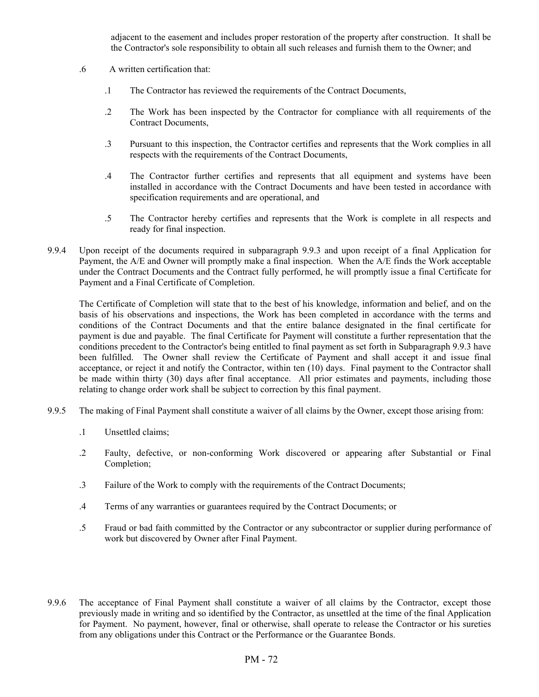adjacent to the easement and includes proper restoration of the property after construction. It shall be the Contractor's sole responsibility to obtain all such releases and furnish them to the Owner; and

- .6 A written certification that:
	- .1 The Contractor has reviewed the requirements of the Contract Documents,
	- .2 The Work has been inspected by the Contractor for compliance with all requirements of the Contract Documents,
	- .3 Pursuant to this inspection, the Contractor certifies and represents that the Work complies in all respects with the requirements of the Contract Documents,
	- .4 The Contractor further certifies and represents that all equipment and systems have been installed in accordance with the Contract Documents and have been tested in accordance with specification requirements and are operational, and
	- .5 The Contractor hereby certifies and represents that the Work is complete in all respects and ready for final inspection.
- 9.9.4 Upon receipt of the documents required in subparagraph 9.9.3 and upon receipt of a final Application for Payment, the A/E and Owner will promptly make a final inspection. When the A/E finds the Work acceptable under the Contract Documents and the Contract fully performed, he will promptly issue a final Certificate for Payment and a Final Certificate of Completion.

 The Certificate of Completion will state that to the best of his knowledge, information and belief, and on the basis of his observations and inspections, the Work has been completed in accordance with the terms and conditions of the Contract Documents and that the entire balance designated in the final certificate for payment is due and payable. The final Certificate for Payment will constitute a further representation that the conditions precedent to the Contractor's being entitled to final payment as set forth in Subparagraph 9.9.3 have been fulfilled. The Owner shall review the Certificate of Payment and shall accept it and issue final acceptance, or reject it and notify the Contractor, within ten (10) days. Final payment to the Contractor shall be made within thirty (30) days after final acceptance. All prior estimates and payments, including those relating to change order work shall be subject to correction by this final payment.

- 9.9.5 The making of Final Payment shall constitute a waiver of all claims by the Owner, except those arising from:
	- .1 Unsettled claims;
	- .2 Faulty, defective, or non-conforming Work discovered or appearing after Substantial or Final Completion;
	- .3 Failure of the Work to comply with the requirements of the Contract Documents;
	- .4 Terms of any warranties or guarantees required by the Contract Documents; or
	- .5 Fraud or bad faith committed by the Contractor or any subcontractor or supplier during performance of work but discovered by Owner after Final Payment.
- 9.9.6 The acceptance of Final Payment shall constitute a waiver of all claims by the Contractor, except those previously made in writing and so identified by the Contractor, as unsettled at the time of the final Application for Payment. No payment, however, final or otherwise, shall operate to release the Contractor or his sureties from any obligations under this Contract or the Performance or the Guarantee Bonds.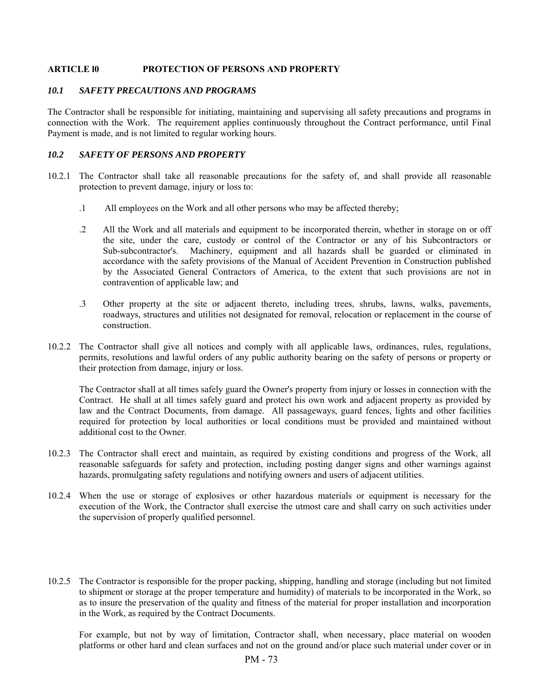#### **ARTICLE l0 PROTECTION OF PERSONS AND PROPERTY**

#### *10.1 SAFETY PRECAUTIONS AND PROGRAMS*

The Contractor shall be responsible for initiating, maintaining and supervising all safety precautions and programs in connection with the Work. The requirement applies continuously throughout the Contract performance, until Final Payment is made, and is not limited to regular working hours.

#### *10.2 SAFETY OF PERSONS AND PROPERTY*

- 10.2.1 The Contractor shall take all reasonable precautions for the safety of, and shall provide all reasonable protection to prevent damage, injury or loss to:
	- .1 All employees on the Work and all other persons who may be affected thereby;
	- .2 All the Work and all materials and equipment to be incorporated therein, whether in storage on or off the site, under the care, custody or control of the Contractor or any of his Subcontractors or Sub-subcontractor's. Machinery, equipment and all hazards shall be guarded or eliminated in accordance with the safety provisions of the Manual of Accident Prevention in Construction published by the Associated General Contractors of America, to the extent that such provisions are not in contravention of applicable law; and
	- .3 Other property at the site or adjacent thereto, including trees, shrubs, lawns, walks, pavements, roadways, structures and utilities not designated for removal, relocation or replacement in the course of construction.
- 10.2.2 The Contractor shall give all notices and comply with all applicable laws, ordinances, rules, regulations, permits, resolutions and lawful orders of any public authority bearing on the safety of persons or property or their protection from damage, injury or loss.

 The Contractor shall at all times safely guard the Owner's property from injury or losses in connection with the Contract. He shall at all times safely guard and protect his own work and adjacent property as provided by law and the Contract Documents, from damage. All passageways, guard fences, lights and other facilities required for protection by local authorities or local conditions must be provided and maintained without additional cost to the Owner.

- 10.2.3 The Contractor shall erect and maintain, as required by existing conditions and progress of the Work, all reasonable safeguards for safety and protection, including posting danger signs and other warnings against hazards, promulgating safety regulations and notifying owners and users of adjacent utilities.
- 10.2.4 When the use or storage of explosives or other hazardous materials or equipment is necessary for the execution of the Work, the Contractor shall exercise the utmost care and shall carry on such activities under the supervision of properly qualified personnel.
- 10.2.5 The Contractor is responsible for the proper packing, shipping, handling and storage (including but not limited to shipment or storage at the proper temperature and humidity) of materials to be incorporated in the Work, so as to insure the preservation of the quality and fitness of the material for proper installation and incorporation in the Work, as required by the Contract Documents.

 For example, but not by way of limitation, Contractor shall, when necessary, place material on wooden platforms or other hard and clean surfaces and not on the ground and/or place such material under cover or in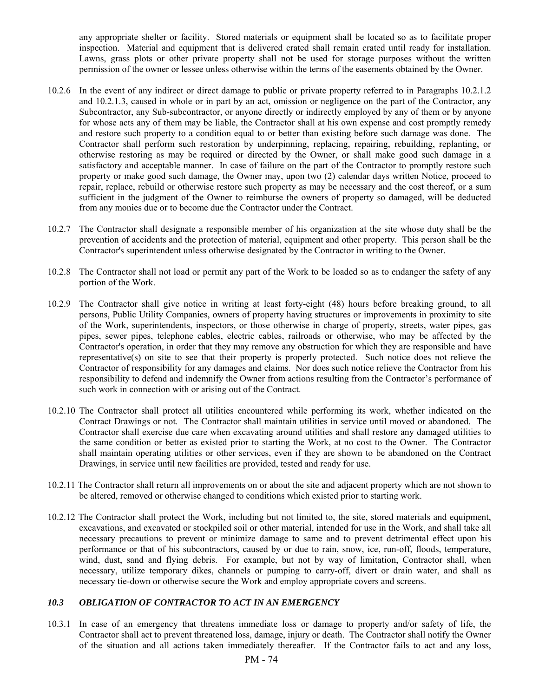any appropriate shelter or facility. Stored materials or equipment shall be located so as to facilitate proper inspection. Material and equipment that is delivered crated shall remain crated until ready for installation. Lawns, grass plots or other private property shall not be used for storage purposes without the written permission of the owner or lessee unless otherwise within the terms of the easements obtained by the Owner.

- 10.2.6 In the event of any indirect or direct damage to public or private property referred to in Paragraphs 10.2.1.2 and 10.2.1.3, caused in whole or in part by an act, omission or negligence on the part of the Contractor, any Subcontractor, any Sub-subcontractor, or anyone directly or indirectly employed by any of them or by anyone for whose acts any of them may be liable, the Contractor shall at his own expense and cost promptly remedy and restore such property to a condition equal to or better than existing before such damage was done. The Contractor shall perform such restoration by underpinning, replacing, repairing, rebuilding, replanting, or otherwise restoring as may be required or directed by the Owner, or shall make good such damage in a satisfactory and acceptable manner. In case of failure on the part of the Contractor to promptly restore such property or make good such damage, the Owner may, upon two (2) calendar days written Notice, proceed to repair, replace, rebuild or otherwise restore such property as may be necessary and the cost thereof, or a sum sufficient in the judgment of the Owner to reimburse the owners of property so damaged, will be deducted from any monies due or to become due the Contractor under the Contract.
- 10.2.7 The Contractor shall designate a responsible member of his organization at the site whose duty shall be the prevention of accidents and the protection of material, equipment and other property. This person shall be the Contractor's superintendent unless otherwise designated by the Contractor in writing to the Owner.
- 10.2.8 The Contractor shall not load or permit any part of the Work to be loaded so as to endanger the safety of any portion of the Work.
- 10.2.9 The Contractor shall give notice in writing at least forty-eight (48) hours before breaking ground, to all persons, Public Utility Companies, owners of property having structures or improvements in proximity to site of the Work, superintendents, inspectors, or those otherwise in charge of property, streets, water pipes, gas pipes, sewer pipes, telephone cables, electric cables, railroads or otherwise, who may be affected by the Contractor's operation, in order that they may remove any obstruction for which they are responsible and have representative(s) on site to see that their property is properly protected. Such notice does not relieve the Contractor of responsibility for any damages and claims. Nor does such notice relieve the Contractor from his responsibility to defend and indemnify the Owner from actions resulting from the Contractor's performance of such work in connection with or arising out of the Contract.
- 10.2.10 The Contractor shall protect all utilities encountered while performing its work, whether indicated on the Contract Drawings or not. The Contractor shall maintain utilities in service until moved or abandoned. The Contractor shall exercise due care when excavating around utilities and shall restore any damaged utilities to the same condition or better as existed prior to starting the Work, at no cost to the Owner. The Contractor shall maintain operating utilities or other services, even if they are shown to be abandoned on the Contract Drawings, in service until new facilities are provided, tested and ready for use.
- 10.2.11 The Contractor shall return all improvements on or about the site and adjacent property which are not shown to be altered, removed or otherwise changed to conditions which existed prior to starting work.
- 10.2.12 The Contractor shall protect the Work, including but not limited to, the site, stored materials and equipment, excavations, and excavated or stockpiled soil or other material, intended for use in the Work, and shall take all necessary precautions to prevent or minimize damage to same and to prevent detrimental effect upon his performance or that of his subcontractors, caused by or due to rain, snow, ice, run-off, floods, temperature, wind, dust, sand and flying debris. For example, but not by way of limitation, Contractor shall, when necessary, utilize temporary dikes, channels or pumping to carry-off, divert or drain water, and shall as necessary tie-down or otherwise secure the Work and employ appropriate covers and screens.

## *10.3 OBLIGATION OF CONTRACTOR TO ACT IN AN EMERGENCY*

10.3.1 In case of an emergency that threatens immediate loss or damage to property and/or safety of life, the Contractor shall act to prevent threatened loss, damage, injury or death. The Contractor shall notify the Owner of the situation and all actions taken immediately thereafter. If the Contractor fails to act and any loss,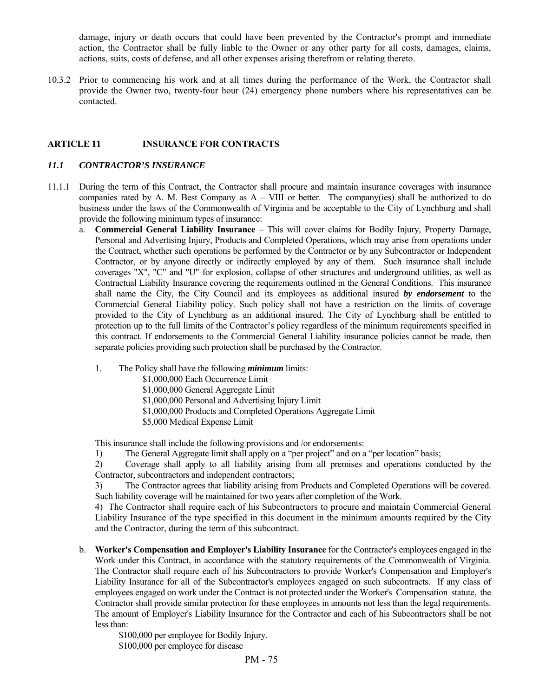damage, injury or death occurs that could have been prevented by the Contractor's prompt and immediate action, the Contractor shall be fully liable to the Owner or any other party for all costs, damages, claims, actions, suits, costs of defense, and all other expenses arising therefrom or relating thereto.

10.3.2 Prior to commencing his work and at all times during the performance of the Work, the Contractor shall provide the Owner two, twenty-four hour (24) emergency phone numbers where his representatives can be contacted.

### **ARTICLE 11 INSURANCE FOR CONTRACTS**

#### *11.1 CONTRACTOR'S INSURANCE*

- 11.1.1 During the term of this Contract, the Contractor shall procure and maintain insurance coverages with insurance companies rated by A. M. Best Company as  $A - VIII$  or better. The company(ies) shall be authorized to do business under the laws of the Commonwealth of Virginia and be acceptable to the City of Lynchburg and shall provide the following minimum types of insurance:
	- a. **Commercial General Liability Insurance** This will cover claims for Bodily Injury, Property Damage, Personal and Advertising Injury, Products and Completed Operations, which may arise from operations under the Contract, whether such operations be performed by the Contractor or by any Subcontractor or Independent Contractor, or by anyone directly or indirectly employed by any of them. Such insurance shall include coverages "X", "C" and "U" for explosion, collapse of other structures and underground utilities, as well as Contractual Liability Insurance covering the requirements outlined in the General Conditions. This insurance shall name the City, the City Council and its employees as additional insured *by endorsement* to the Commercial General Liability policy. Such policy shall not have a restriction on the limits of coverage provided to the City of Lynchburg as an additional insured. The City of Lynchburg shall be entitled to protection up to the full limits of the Contractor's policy regardless of the minimum requirements specified in this contract. If endorsements to the Commercial General Liability insurance policies cannot be made, then separate policies providing such protection shall be purchased by the Contractor.
		- 1. The Policy shall have the following *minimum* limits:
			- \$1,000,000 Each Occurrence Limit
			- \$1,000,000 General Aggregate Limit
			- \$1,000,000 Personal and Advertising Injury Limit
			- \$1,000,000 Products and Completed Operations Aggregate Limit
			- \$5,000 Medical Expense Limit

This insurance shall include the following provisions and /or endorsements:

1) The General Aggregate limit shall apply on a "per project" and on a "per location" basis;

2) Coverage shall apply to all liability arising from all premises and operations conducted by the Contractor, subcontractors and independent contractors;

3) The Contractor agrees that liability arising from Products and Completed Operations will be covered. Such liability coverage will be maintained for two years after completion of the Work.

4) The Contractor shall require each of his Subcontractors to procure and maintain Commercial General Liability Insurance of the type specified in this document in the minimum amounts required by the City and the Contractor, during the term of this subcontract.

 b. **Worker's Compensation and Employer's Liability Insurance** for the Contractor's employees engaged in the Work under this Contract, in accordance with the statutory requirements of the Commonwealth of Virginia. The Contractor shall require each of his Subcontractors to provide Worker's Compensation and Employer's Liability Insurance for all of the Subcontractor's employees engaged on such subcontracts. If any class of employees engaged on work under the Contract is not protected under the Worker's Compensation statute, the Contractor shall provide similar protection for these employees in amounts not less than the legal requirements. The amount of Employer's Liability Insurance for the Contractor and each of his Subcontractors shall be not less than:

\$100,000 per employee for Bodily Injury. \$100,000 per employee for disease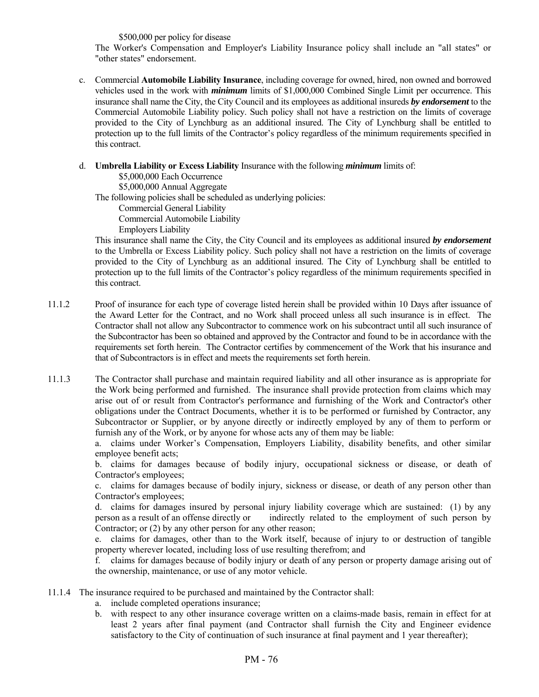\$500,000 per policy for disease

 The Worker's Compensation and Employer's Liability Insurance policy shall include an "all states" or "other states" endorsement.

c. Commercial **Automobile Liability Insurance**, including coverage for owned, hired, non owned and borrowed vehicles used in the work with *minimum* limits of \$1,000,000 Combined Single Limit per occurrence. This insurance shall name the City, the City Council and its employees as additional insureds *by endorsement* to the Commercial Automobile Liability policy. Such policy shall not have a restriction on the limits of coverage provided to the City of Lynchburg as an additional insured. The City of Lynchburg shall be entitled to protection up to the full limits of the Contractor's policy regardless of the minimum requirements specified in this contract.

#### d. **Umbrella Liability or Excess Liability** Insurance with the following *minimum* limits of:

\$5,000,000 Each Occurrence

\$5,000,000 Annual Aggregate

The following policies shall be scheduled as underlying policies:

Commercial General Liability

Commercial Automobile Liability

Employers Liability

 This insurance shall name the City, the City Council and its employees as additional insured *by endorsement* to the Umbrella or Excess Liability policy. Such policy shall not have a restriction on the limits of coverage provided to the City of Lynchburg as an additional insured. The City of Lynchburg shall be entitled to protection up to the full limits of the Contractor's policy regardless of the minimum requirements specified in this contract.

- 11.1.2 Proof of insurance for each type of coverage listed herein shall be provided within 10 Days after issuance of the Award Letter for the Contract, and no Work shall proceed unless all such insurance is in effect. The Contractor shall not allow any Subcontractor to commence work on his subcontract until all such insurance of the Subcontractor has been so obtained and approved by the Contractor and found to be in accordance with the requirements set forth herein. The Contractor certifies by commencement of the Work that his insurance and that of Subcontractors is in effect and meets the requirements set forth herein.
- 11.1.3 The Contractor shall purchase and maintain required liability and all other insurance as is appropriate for the Work being performed and furnished. The insurance shall provide protection from claims which may arise out of or result from Contractor's performance and furnishing of the Work and Contractor's other obligations under the Contract Documents, whether it is to be performed or furnished by Contractor, any Subcontractor or Supplier, or by anyone directly or indirectly employed by any of them to perform or furnish any of the Work, or by anyone for whose acts any of them may be liable:

 a. claims under Worker's Compensation, Employers Liability, disability benefits, and other similar employee benefit acts;

 b. claims for damages because of bodily injury, occupational sickness or disease, or death of Contractor's employees;

 c. claims for damages because of bodily injury, sickness or disease, or death of any person other than Contractor's employees;

 d. claims for damages insured by personal injury liability coverage which are sustained: (1) by any person as a result of an offense directly or indirectly related to the employment of such person by Contractor; or (2) by any other person for any other reason;

 e. claims for damages, other than to the Work itself, because of injury to or destruction of tangible property wherever located, including loss of use resulting therefrom; and

f. claims for damages because of bodily injury or death of any person or property damage arising out of the ownership, maintenance, or use of any motor vehicle.

- 11.1.4 The insurance required to be purchased and maintained by the Contractor shall:
	- a. include completed operations insurance;
	- b. with respect to any other insurance coverage written on a claims-made basis, remain in effect for at least 2 years after final payment (and Contractor shall furnish the City and Engineer evidence satisfactory to the City of continuation of such insurance at final payment and 1 year thereafter);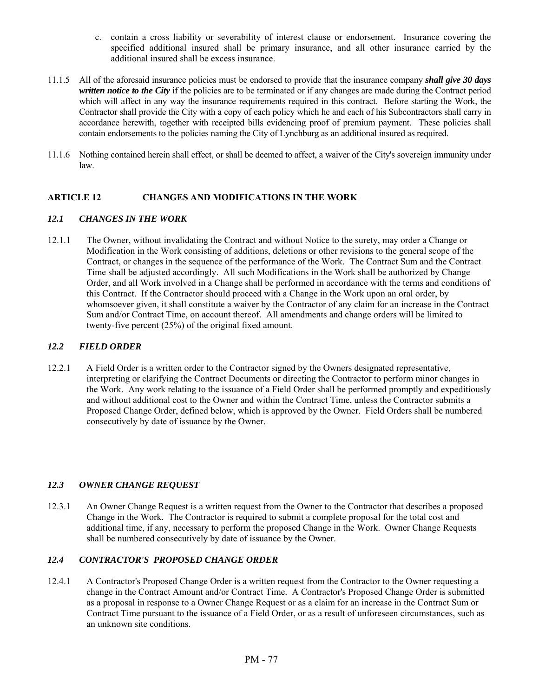- c. contain a cross liability or severability of interest clause or endorsement. Insurance covering the specified additional insured shall be primary insurance, and all other insurance carried by the additional insured shall be excess insurance.
- 11.1.5 All of the aforesaid insurance policies must be endorsed to provide that the insurance company *shall give 30 days written notice to the City* if the policies are to be terminated or if any changes are made during the Contract period which will affect in any way the insurance requirements required in this contract. Before starting the Work, the Contractor shall provide the City with a copy of each policy which he and each of his Subcontractors shall carry in accordance herewith, together with receipted bills evidencing proof of premium payment. These policies shall contain endorsements to the policies naming the City of Lynchburg as an additional insured as required.
- 11.1.6 Nothing contained herein shall effect, or shall be deemed to affect, a waiver of the City's sovereign immunity under law.

## **ARTICLE 12 CHANGES AND MODIFICATIONS IN THE WORK**

## *12.1 CHANGES IN THE WORK*

12.1.1 The Owner, without invalidating the Contract and without Notice to the surety, may order a Change or Modification in the Work consisting of additions, deletions or other revisions to the general scope of the Contract, or changes in the sequence of the performance of the Work. The Contract Sum and the Contract Time shall be adjusted accordingly. All such Modifications in the Work shall be authorized by Change Order, and all Work involved in a Change shall be performed in accordance with the terms and conditions of this Contract. If the Contractor should proceed with a Change in the Work upon an oral order, by whomsoever given, it shall constitute a waiver by the Contractor of any claim for an increase in the Contract Sum and/or Contract Time, on account thereof. All amendments and change orders will be limited to twenty-five percent (25%) of the original fixed amount.

## *12.2 FIELD ORDER*

12.2.1 A Field Order is a written order to the Contractor signed by the Owners designated representative, interpreting or clarifying the Contract Documents or directing the Contractor to perform minor changes in the Work. Any work relating to the issuance of a Field Order shall be performed promptly and expeditiously and without additional cost to the Owner and within the Contract Time, unless the Contractor submits a Proposed Change Order, defined below, which is approved by the Owner. Field Orders shall be numbered consecutively by date of issuance by the Owner.

### *12.3 OWNER CHANGE REQUEST*

12.3.1 An Owner Change Request is a written request from the Owner to the Contractor that describes a proposed Change in the Work. The Contractor is required to submit a complete proposal for the total cost and additional time, if any, necessary to perform the proposed Change in the Work. Owner Change Requests shall be numbered consecutively by date of issuance by the Owner.

### *12.4 CONTRACTOR'S PROPOSED CHANGE ORDER*

12.4.1 A Contractor's Proposed Change Order is a written request from the Contractor to the Owner requesting a change in the Contract Amount and/or Contract Time. A Contractor's Proposed Change Order is submitted as a proposal in response to a Owner Change Request or as a claim for an increase in the Contract Sum or Contract Time pursuant to the issuance of a Field Order, or as a result of unforeseen circumstances, such as an unknown site conditions.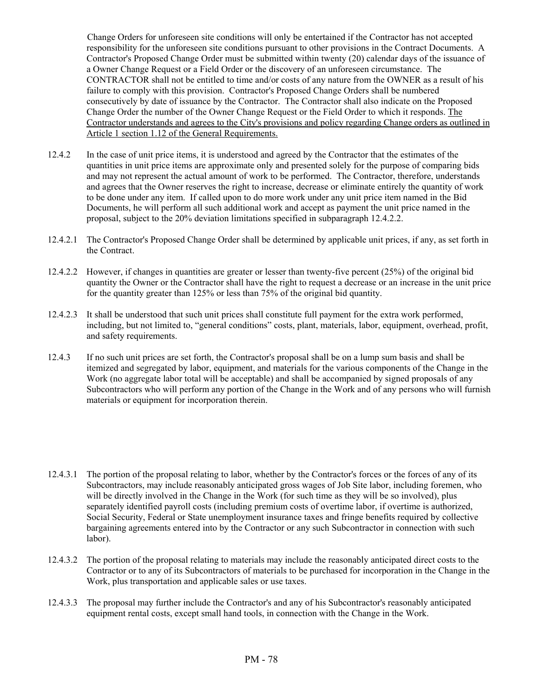Change Orders for unforeseen site conditions will only be entertained if the Contractor has not accepted responsibility for the unforeseen site conditions pursuant to other provisions in the Contract Documents. A Contractor's Proposed Change Order must be submitted within twenty (20) calendar days of the issuance of a Owner Change Request or a Field Order or the discovery of an unforeseen circumstance. The CONTRACTOR shall not be entitled to time and/or costs of any nature from the OWNER as a result of his failure to comply with this provision. Contractor's Proposed Change Orders shall be numbered consecutively by date of issuance by the Contractor. The Contractor shall also indicate on the Proposed Change Order the number of the Owner Change Request or the Field Order to which it responds. The Contractor understands and agrees to the City's provisions and policy regarding Change orders as outlined in Article 1 section 1.12 of the General Requirements.

- 12.4.2 In the case of unit price items, it is understood and agreed by the Contractor that the estimates of the quantities in unit price items are approximate only and presented solely for the purpose of comparing bids and may not represent the actual amount of work to be performed. The Contractor, therefore, understands and agrees that the Owner reserves the right to increase, decrease or eliminate entirely the quantity of work to be done under any item. If called upon to do more work under any unit price item named in the Bid Documents, he will perform all such additional work and accept as payment the unit price named in the proposal, subject to the 20% deviation limitations specified in subparagraph 12.4.2.2.
- 12.4.2.1 The Contractor's Proposed Change Order shall be determined by applicable unit prices, if any, as set forth in the Contract.
- 12.4.2.2 However, if changes in quantities are greater or lesser than twenty-five percent (25%) of the original bid quantity the Owner or the Contractor shall have the right to request a decrease or an increase in the unit price for the quantity greater than 125% or less than 75% of the original bid quantity.
- 12.4.2.3 It shall be understood that such unit prices shall constitute full payment for the extra work performed, including, but not limited to, "general conditions" costs, plant, materials, labor, equipment, overhead, profit, and safety requirements.
- 12.4.3 If no such unit prices are set forth, the Contractor's proposal shall be on a lump sum basis and shall be itemized and segregated by labor, equipment, and materials for the various components of the Change in the Work (no aggregate labor total will be acceptable) and shall be accompanied by signed proposals of any Subcontractors who will perform any portion of the Change in the Work and of any persons who will furnish materials or equipment for incorporation therein.
- 12.4.3.1 The portion of the proposal relating to labor, whether by the Contractor's forces or the forces of any of its Subcontractors, may include reasonably anticipated gross wages of Job Site labor, including foremen, who will be directly involved in the Change in the Work (for such time as they will be so involved), plus separately identified payroll costs (including premium costs of overtime labor, if overtime is authorized, Social Security, Federal or State unemployment insurance taxes and fringe benefits required by collective bargaining agreements entered into by the Contractor or any such Subcontractor in connection with such labor).
- 12.4.3.2 The portion of the proposal relating to materials may include the reasonably anticipated direct costs to the Contractor or to any of its Subcontractors of materials to be purchased for incorporation in the Change in the Work, plus transportation and applicable sales or use taxes.
- 12.4.3.3 The proposal may further include the Contractor's and any of his Subcontractor's reasonably anticipated equipment rental costs, except small hand tools, in connection with the Change in the Work.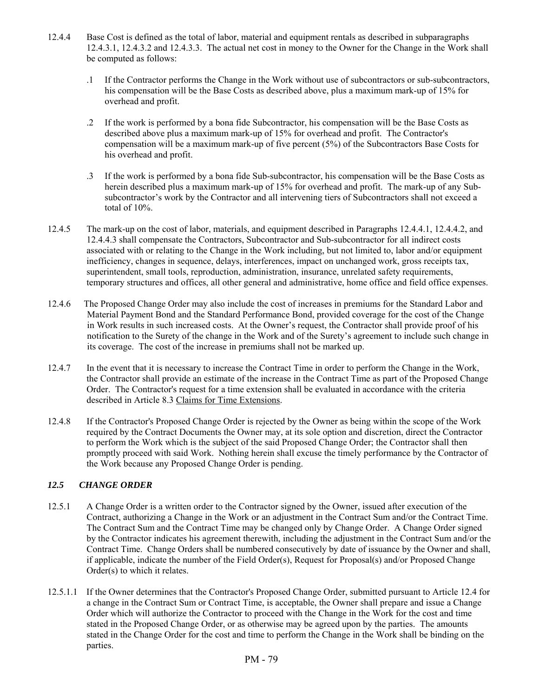- 12.4.4 Base Cost is defined as the total of labor, material and equipment rentals as described in subparagraphs 12.4.3.1, 12.4.3.2 and 12.4.3.3. The actual net cost in money to the Owner for the Change in the Work shall be computed as follows:
	- .1 If the Contractor performs the Change in the Work without use of subcontractors or sub-subcontractors, his compensation will be the Base Costs as described above, plus a maximum mark-up of 15% for overhead and profit.
	- .2 If the work is performed by a bona fide Subcontractor, his compensation will be the Base Costs as described above plus a maximum mark-up of 15% for overhead and profit. The Contractor's compensation will be a maximum mark-up of five percent (5%) of the Subcontractors Base Costs for his overhead and profit.
	- .3 If the work is performed by a bona fide Sub-subcontractor, his compensation will be the Base Costs as herein described plus a maximum mark-up of 15% for overhead and profit. The mark-up of any Subsubcontractor's work by the Contractor and all intervening tiers of Subcontractors shall not exceed a total of 10%.
- 12.4.5 The mark-up on the cost of labor, materials, and equipment described in Paragraphs 12.4.4.1, 12.4.4.2, and 12.4.4.3 shall compensate the Contractors, Subcontractor and Sub-subcontractor for all indirect costs associated with or relating to the Change in the Work including, but not limited to, labor and/or equipment inefficiency, changes in sequence, delays, interferences, impact on unchanged work, gross receipts tax, superintendent, small tools, reproduction, administration, insurance, unrelated safety requirements, temporary structures and offices, all other general and administrative, home office and field office expenses.
- 12.4.6 The Proposed Change Order may also include the cost of increases in premiums for the Standard Labor and Material Payment Bond and the Standard Performance Bond, provided coverage for the cost of the Change in Work results in such increased costs. At the Owner's request, the Contractor shall provide proof of his notification to the Surety of the change in the Work and of the Surety's agreement to include such change in its coverage. The cost of the increase in premiums shall not be marked up.
- 12.4.7 In the event that it is necessary to increase the Contract Time in order to perform the Change in the Work, the Contractor shall provide an estimate of the increase in the Contract Time as part of the Proposed Change Order. The Contractor's request for a time extension shall be evaluated in accordance with the criteria described in Article 8.3 Claims for Time Extensions.
- 12.4.8 If the Contractor's Proposed Change Order is rejected by the Owner as being within the scope of the Work required by the Contract Documents the Owner may, at its sole option and discretion, direct the Contractor to perform the Work which is the subject of the said Proposed Change Order; the Contractor shall then promptly proceed with said Work. Nothing herein shall excuse the timely performance by the Contractor of the Work because any Proposed Change Order is pending.

## *12.5 CHANGE ORDER*

- 12.5.1 A Change Order is a written order to the Contractor signed by the Owner, issued after execution of the Contract, authorizing a Change in the Work or an adjustment in the Contract Sum and/or the Contract Time. The Contract Sum and the Contract Time may be changed only by Change Order. A Change Order signed by the Contractor indicates his agreement therewith, including the adjustment in the Contract Sum and/or the Contract Time. Change Orders shall be numbered consecutively by date of issuance by the Owner and shall, if applicable, indicate the number of the Field Order(s), Request for Proposal(s) and/or Proposed Change Order(s) to which it relates.
- 12.5.1.1 If the Owner determines that the Contractor's Proposed Change Order, submitted pursuant to Article 12.4 for a change in the Contract Sum or Contract Time, is acceptable, the Owner shall prepare and issue a Change Order which will authorize the Contractor to proceed with the Change in the Work for the cost and time stated in the Proposed Change Order, or as otherwise may be agreed upon by the parties. The amounts stated in the Change Order for the cost and time to perform the Change in the Work shall be binding on the parties.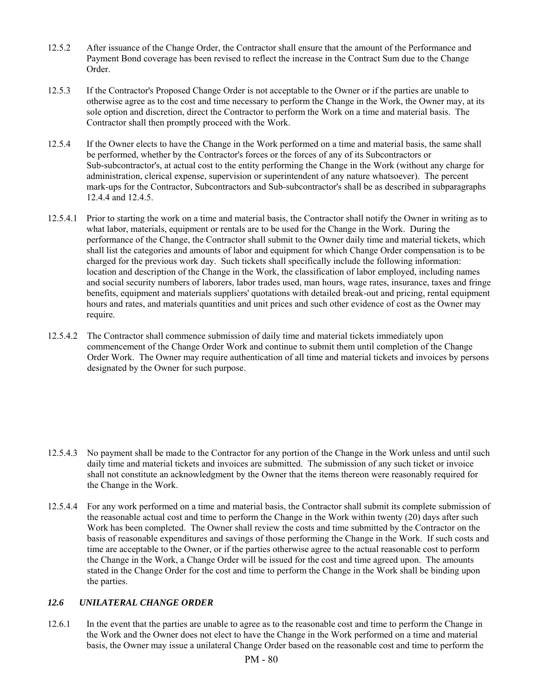- 12.5.2 After issuance of the Change Order, the Contractor shall ensure that the amount of the Performance and Payment Bond coverage has been revised to reflect the increase in the Contract Sum due to the Change Order.
- 12.5.3 If the Contractor's Proposed Change Order is not acceptable to the Owner or if the parties are unable to otherwise agree as to the cost and time necessary to perform the Change in the Work, the Owner may, at its sole option and discretion, direct the Contractor to perform the Work on a time and material basis. The Contractor shall then promptly proceed with the Work.
- 12.5.4 If the Owner elects to have the Change in the Work performed on a time and material basis, the same shall be performed, whether by the Contractor's forces or the forces of any of its Subcontractors or Sub-subcontractor's, at actual cost to the entity performing the Change in the Work (without any charge for administration, clerical expense, supervision or superintendent of any nature whatsoever). The percent mark-ups for the Contractor, Subcontractors and Sub-subcontractor's shall be as described in subparagraphs 12.4.4 and 12.4.5.
- 12.5.4.1 Prior to starting the work on a time and material basis, the Contractor shall notify the Owner in writing as to what labor, materials, equipment or rentals are to be used for the Change in the Work. During the performance of the Change, the Contractor shall submit to the Owner daily time and material tickets, which shall list the categories and amounts of labor and equipment for which Change Order compensation is to be charged for the previous work day. Such tickets shall specifically include the following information: location and description of the Change in the Work, the classification of labor employed, including names and social security numbers of laborers, labor trades used, man hours, wage rates, insurance, taxes and fringe benefits, equipment and materials suppliers' quotations with detailed break-out and pricing, rental equipment hours and rates, and materials quantities and unit prices and such other evidence of cost as the Owner may require.
- 12.5.4.2 The Contractor shall commence submission of daily time and material tickets immediately upon commencement of the Change Order Work and continue to submit them until completion of the Change Order Work. The Owner may require authentication of all time and material tickets and invoices by persons designated by the Owner for such purpose.

- 12.5.4.3 No payment shall be made to the Contractor for any portion of the Change in the Work unless and until such daily time and material tickets and invoices are submitted. The submission of any such ticket or invoice shall not constitute an acknowledgment by the Owner that the items thereon were reasonably required for the Change in the Work.
- 12.5.4.4 For any work performed on a time and material basis, the Contractor shall submit its complete submission of the reasonable actual cost and time to perform the Change in the Work within twenty (20) days after such Work has been completed. The Owner shall review the costs and time submitted by the Contractor on the basis of reasonable expenditures and savings of those performing the Change in the Work. If such costs and time are acceptable to the Owner, or if the parties otherwise agree to the actual reasonable cost to perform the Change in the Work, a Change Order will be issued for the cost and time agreed upon. The amounts stated in the Change Order for the cost and time to perform the Change in the Work shall be binding upon the parties.

### *12.6 UNILATERAL CHANGE ORDER*

12.6.1 In the event that the parties are unable to agree as to the reasonable cost and time to perform the Change in the Work and the Owner does not elect to have the Change in the Work performed on a time and material basis, the Owner may issue a unilateral Change Order based on the reasonable cost and time to perform the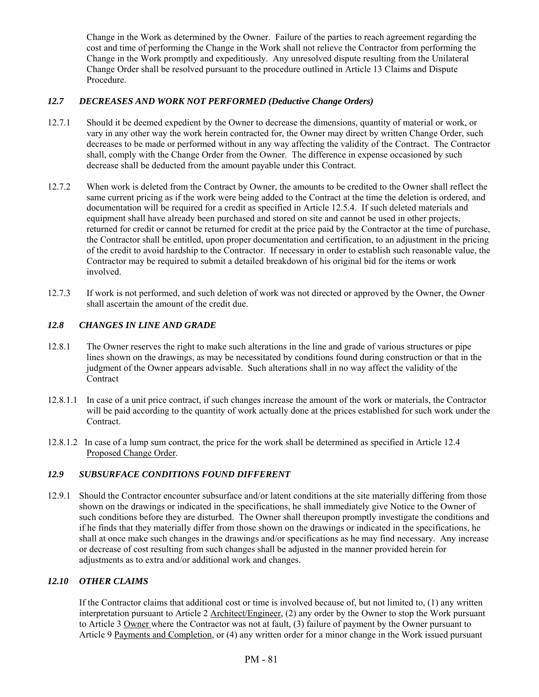Change in the Work as determined by the Owner. Failure of the parties to reach agreement regarding the cost and time of performing the Change in the Work shall not relieve the Contractor from performing the Change in the Work promptly and expeditiously. Any unresolved dispute resulting from the Unilateral Change Order shall be resolved pursuant to the procedure outlined in Article 13 Claims and Dispute Procedure.

## *12.7 DECREASES AND WORK NOT PERFORMED (Deductive Change Orders)*

- 12.7.1 Should it be deemed expedient by the Owner to decrease the dimensions, quantity of material or work, or vary in any other way the work herein contracted for, the Owner may direct by written Change Order, such decreases to be made or performed without in any way affecting the validity of the Contract. The Contractor shall, comply with the Change Order from the Owner. The difference in expense occasioned by such decrease shall be deducted from the amount payable under this Contract.
- 12.7.2 When work is deleted from the Contract by Owner, the amounts to be credited to the Owner shall reflect the same current pricing as if the work were being added to the Contract at the time the deletion is ordered, and documentation will be required for a credit as specified in Article 12.5.4. If such deleted materials and equipment shall have already been purchased and stored on site and cannot be used in other projects, returned for credit or cannot be returned for credit at the price paid by the Contractor at the time of purchase, the Contractor shall be entitled, upon proper documentation and certification, to an adjustment in the pricing of the credit to avoid hardship to the Contractor. If necessary in order to establish such reasonable value, the Contractor may be required to submit a detailed breakdown of his original bid for the items or work involved.
- 12.7.3 If work is not performed, and such deletion of work was not directed or approved by the Owner, the Owner shall ascertain the amount of the credit due.

## *12.8 CHANGES IN LINE AND GRADE*

- 12.8.1 The Owner reserves the right to make such alterations in the line and grade of various structures or pipe lines shown on the drawings, as may be necessitated by conditions found during construction or that in the judgment of the Owner appears advisable. Such alterations shall in no way affect the validity of the Contract
- 12.8.1.1 In case of a unit price contract, if such changes increase the amount of the work or materials, the Contractor will be paid according to the quantity of work actually done at the prices established for such work under the Contract.
- 12.8.1.2 In case of a lump sum contract, the price for the work shall be determined as specified in Article 12.4 Proposed Change Order.

# *12.9 SUBSURFACE CONDITIONS FOUND DIFFERENT*

12.9.1 Should the Contractor encounter subsurface and/or latent conditions at the site materially differing from those shown on the drawings or indicated in the specifications, he shall immediately give Notice to the Owner of such conditions before they are disturbed. The Owner shall thereupon promptly investigate the conditions and if he finds that they materially differ from those shown on the drawings or indicated in the specifications, he shall at once make such changes in the drawings and/or specifications as he may find necessary. Any increase or decrease of cost resulting from such changes shall be adjusted in the manner provided herein for adjustments as to extra and/or additional work and changes.

## *12.10 OTHER CLAIMS*

 If the Contractor claims that additional cost or time is involved because of, but not limited to, (1) any written interpretation pursuant to Article 2 Architect/Engineer, (2) any order by the Owner to stop the Work pursuant to Article 3 Owner where the Contractor was not at fault, (3) failure of payment by the Owner pursuant to Article 9 Payments and Completion, or (4) any written order for a minor change in the Work issued pursuant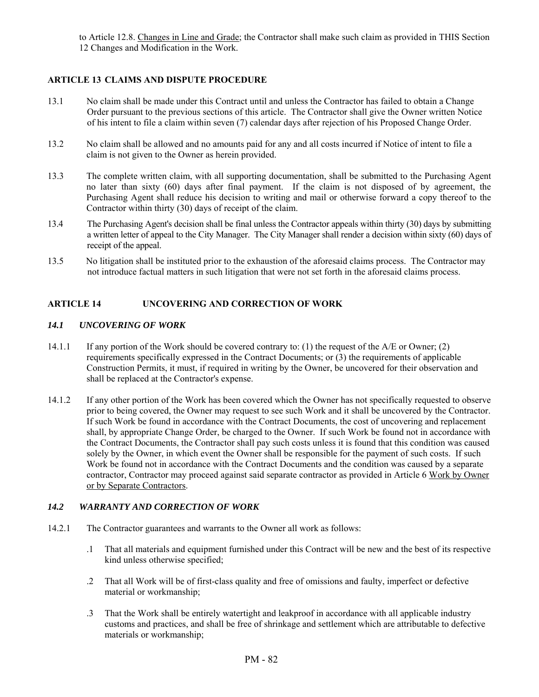to Article 12.8. Changes in Line and Grade; the Contractor shall make such claim as provided in THIS Section 12 Changes and Modification in the Work.

## **ARTICLE 13 CLAIMS AND DISPUTE PROCEDURE**

- 13.1 No claim shall be made under this Contract until and unless the Contractor has failed to obtain a Change Order pursuant to the previous sections of this article. The Contractor shall give the Owner written Notice of his intent to file a claim within seven (7) calendar days after rejection of his Proposed Change Order.
- 13.2 No claim shall be allowed and no amounts paid for any and all costs incurred if Notice of intent to file a claim is not given to the Owner as herein provided.
- 13.3 The complete written claim, with all supporting documentation, shall be submitted to the Purchasing Agent no later than sixty (60) days after final payment. If the claim is not disposed of by agreement, the Purchasing Agent shall reduce his decision to writing and mail or otherwise forward a copy thereof to the Contractor within thirty (30) days of receipt of the claim.
- 13.4 The Purchasing Agent's decision shall be final unless the Contractor appeals within thirty (30) days by submitting a written letter of appeal to the City Manager. The City Manager shall render a decision within sixty (60) days of receipt of the appeal.
- 13.5 No litigation shall be instituted prior to the exhaustion of the aforesaid claims process. The Contractor may not introduce factual matters in such litigation that were not set forth in the aforesaid claims process.

## **ARTICLE 14 UNCOVERING AND CORRECTION OF WORK**

#### *14.1 UNCOVERING OF WORK*

- 14.1.1 If any portion of the Work should be covered contrary to: (1) the request of the A/E or Owner; (2) requirements specifically expressed in the Contract Documents; or (3) the requirements of applicable Construction Permits, it must, if required in writing by the Owner, be uncovered for their observation and shall be replaced at the Contractor's expense.
- 14.1.2 If any other portion of the Work has been covered which the Owner has not specifically requested to observe prior to being covered, the Owner may request to see such Work and it shall be uncovered by the Contractor. If such Work be found in accordance with the Contract Documents, the cost of uncovering and replacement shall, by appropriate Change Order, be charged to the Owner. If such Work be found not in accordance with the Contract Documents, the Contractor shall pay such costs unless it is found that this condition was caused solely by the Owner, in which event the Owner shall be responsible for the payment of such costs. If such Work be found not in accordance with the Contract Documents and the condition was caused by a separate contractor, Contractor may proceed against said separate contractor as provided in Article 6 Work by Owner or by Separate Contractors.

#### *14.2 WARRANTY AND CORRECTION OF WORK*

- 14.2.1 The Contractor guarantees and warrants to the Owner all work as follows:
	- .1 That all materials and equipment furnished under this Contract will be new and the best of its respective kind unless otherwise specified;
	- .2 That all Work will be of first-class quality and free of omissions and faulty, imperfect or defective material or workmanship;
	- .3 That the Work shall be entirely watertight and leakproof in accordance with all applicable industry customs and practices, and shall be free of shrinkage and settlement which are attributable to defective materials or workmanship;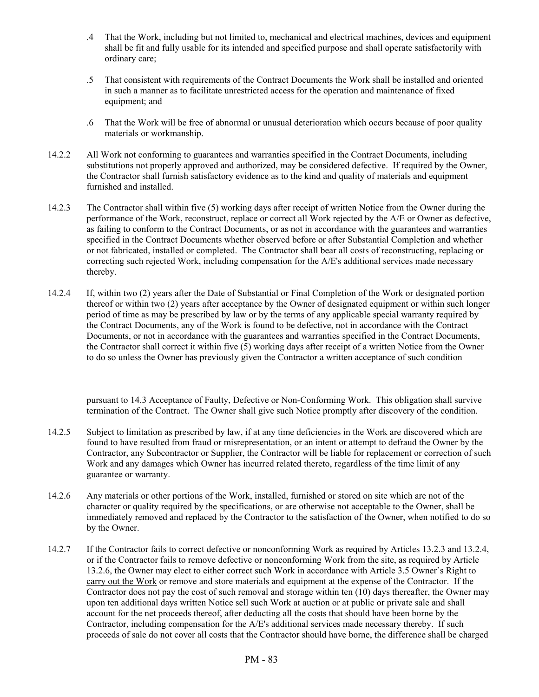- .4 That the Work, including but not limited to, mechanical and electrical machines, devices and equipment shall be fit and fully usable for its intended and specified purpose and shall operate satisfactorily with ordinary care;
- .5 That consistent with requirements of the Contract Documents the Work shall be installed and oriented in such a manner as to facilitate unrestricted access for the operation and maintenance of fixed equipment; and
- .6 That the Work will be free of abnormal or unusual deterioration which occurs because of poor quality materials or workmanship.
- 14.2.2 All Work not conforming to guarantees and warranties specified in the Contract Documents, including substitutions not properly approved and authorized, may be considered defective. If required by the Owner, the Contractor shall furnish satisfactory evidence as to the kind and quality of materials and equipment furnished and installed.
- 14.2.3 The Contractor shall within five (5) working days after receipt of written Notice from the Owner during the performance of the Work, reconstruct, replace or correct all Work rejected by the A/E or Owner as defective, as failing to conform to the Contract Documents, or as not in accordance with the guarantees and warranties specified in the Contract Documents whether observed before or after Substantial Completion and whether or not fabricated, installed or completed. The Contractor shall bear all costs of reconstructing, replacing or correcting such rejected Work, including compensation for the A/E's additional services made necessary thereby.
- 14.2.4 If, within two (2) years after the Date of Substantial or Final Completion of the Work or designated portion thereof or within two (2) years after acceptance by the Owner of designated equipment or within such longer period of time as may be prescribed by law or by the terms of any applicable special warranty required by the Contract Documents, any of the Work is found to be defective, not in accordance with the Contract Documents, or not in accordance with the guarantees and warranties specified in the Contract Documents, the Contractor shall correct it within five (5) working days after receipt of a written Notice from the Owner to do so unless the Owner has previously given the Contractor a written acceptance of such condition

 pursuant to 14.3 Acceptance of Faulty, Defective or Non-Conforming Work. This obligation shall survive termination of the Contract. The Owner shall give such Notice promptly after discovery of the condition.

- 14.2.5 Subject to limitation as prescribed by law, if at any time deficiencies in the Work are discovered which are found to have resulted from fraud or misrepresentation, or an intent or attempt to defraud the Owner by the Contractor, any Subcontractor or Supplier, the Contractor will be liable for replacement or correction of such Work and any damages which Owner has incurred related thereto, regardless of the time limit of any guarantee or warranty.
- 14.2.6 Any materials or other portions of the Work, installed, furnished or stored on site which are not of the character or quality required by the specifications, or are otherwise not acceptable to the Owner, shall be immediately removed and replaced by the Contractor to the satisfaction of the Owner, when notified to do so by the Owner.
- 14.2.7 If the Contractor fails to correct defective or nonconforming Work as required by Articles 13.2.3 and 13.2.4, or if the Contractor fails to remove defective or nonconforming Work from the site, as required by Article 13.2.6, the Owner may elect to either correct such Work in accordance with Article 3.5 Owner's Right to carry out the Work or remove and store materials and equipment at the expense of the Contractor. If the Contractor does not pay the cost of such removal and storage within ten (10) days thereafter, the Owner may upon ten additional days written Notice sell such Work at auction or at public or private sale and shall account for the net proceeds thereof, after deducting all the costs that should have been borne by the Contractor, including compensation for the A/E's additional services made necessary thereby. If such proceeds of sale do not cover all costs that the Contractor should have borne, the difference shall be charged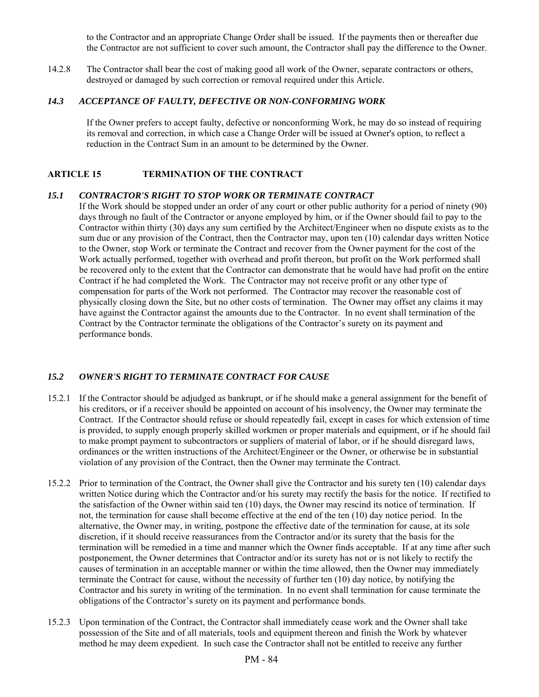to the Contractor and an appropriate Change Order shall be issued. If the payments then or thereafter due the Contractor are not sufficient to cover such amount, the Contractor shall pay the difference to the Owner.

14.2.8 The Contractor shall bear the cost of making good all work of the Owner, separate contractors or others, destroyed or damaged by such correction or removal required under this Article.

#### *14.3 ACCEPTANCE OF FAULTY, DEFECTIVE OR NON-CONFORMING WORK*

 If the Owner prefers to accept faulty, defective or nonconforming Work, he may do so instead of requiring its removal and correction, in which case a Change Order will be issued at Owner's option, to reflect a reduction in the Contract Sum in an amount to be determined by the Owner.

### **ARTICLE 15 TERMINATION OF THE CONTRACT**

#### *15.1 CONTRACTOR'S RIGHT TO STOP WORK OR TERMINATE CONTRACT*

If the Work should be stopped under an order of any court or other public authority for a period of ninety (90) days through no fault of the Contractor or anyone employed by him, or if the Owner should fail to pay to the Contractor within thirty (30) days any sum certified by the Architect/Engineer when no dispute exists as to the sum due or any provision of the Contract, then the Contractor may, upon ten (10) calendar days written Notice to the Owner, stop Work or terminate the Contract and recover from the Owner payment for the cost of the Work actually performed, together with overhead and profit thereon, but profit on the Work performed shall be recovered only to the extent that the Contractor can demonstrate that he would have had profit on the entire Contract if he had completed the Work. The Contractor may not receive profit or any other type of compensation for parts of the Work not performed. The Contractor may recover the reasonable cost of physically closing down the Site, but no other costs of termination. The Owner may offset any claims it may have against the Contractor against the amounts due to the Contractor. In no event shall termination of the Contract by the Contractor terminate the obligations of the Contractor's surety on its payment and performance bonds.

## *15.2 OWNER'S RIGHT TO TERMINATE CONTRACT FOR CAUSE*

- 15.2.1 If the Contractor should be adjudged as bankrupt, or if he should make a general assignment for the benefit of his creditors, or if a receiver should be appointed on account of his insolvency, the Owner may terminate the Contract. If the Contractor should refuse or should repeatedly fail, except in cases for which extension of time is provided, to supply enough properly skilled workmen or proper materials and equipment, or if he should fail to make prompt payment to subcontractors or suppliers of material of labor, or if he should disregard laws, ordinances or the written instructions of the Architect/Engineer or the Owner, or otherwise be in substantial violation of any provision of the Contract, then the Owner may terminate the Contract.
- 15.2.2 Prior to termination of the Contract, the Owner shall give the Contractor and his surety ten (10) calendar days written Notice during which the Contractor and/or his surety may rectify the basis for the notice. If rectified to the satisfaction of the Owner within said ten (10) days, the Owner may rescind its notice of termination. If not, the termination for cause shall become effective at the end of the ten (10) day notice period. In the alternative, the Owner may, in writing, postpone the effective date of the termination for cause, at its sole discretion, if it should receive reassurances from the Contractor and/or its surety that the basis for the termination will be remedied in a time and manner which the Owner finds acceptable. If at any time after such postponement, the Owner determines that Contractor and/or its surety has not or is not likely to rectify the causes of termination in an acceptable manner or within the time allowed, then the Owner may immediately terminate the Contract for cause, without the necessity of further ten (10) day notice, by notifying the Contractor and his surety in writing of the termination. In no event shall termination for cause terminate the obligations of the Contractor's surety on its payment and performance bonds.
- 15.2.3 Upon termination of the Contract, the Contractor shall immediately cease work and the Owner shall take possession of the Site and of all materials, tools and equipment thereon and finish the Work by whatever method he may deem expedient. In such case the Contractor shall not be entitled to receive any further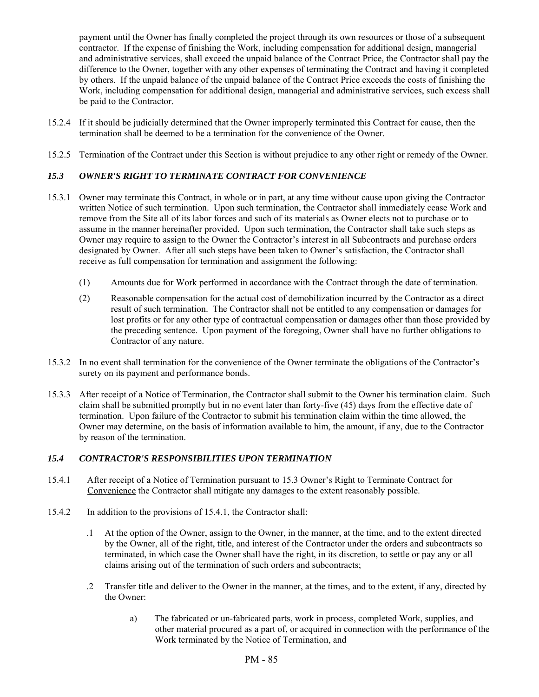payment until the Owner has finally completed the project through its own resources or those of a subsequent contractor. If the expense of finishing the Work, including compensation for additional design, managerial and administrative services, shall exceed the unpaid balance of the Contract Price, the Contractor shall pay the difference to the Owner, together with any other expenses of terminating the Contract and having it completed by others. If the unpaid balance of the unpaid balance of the Contract Price exceeds the costs of finishing the Work, including compensation for additional design, managerial and administrative services, such excess shall be paid to the Contractor.

- 15.2.4 If it should be judicially determined that the Owner improperly terminated this Contract for cause, then the termination shall be deemed to be a termination for the convenience of the Owner.
- 15.2.5 Termination of the Contract under this Section is without prejudice to any other right or remedy of the Owner.

## *15.3 OWNER'S RIGHT TO TERMINATE CONTRACT FOR CONVENIENCE*

- 15.3.1 Owner may terminate this Contract, in whole or in part, at any time without cause upon giving the Contractor written Notice of such termination. Upon such termination, the Contractor shall immediately cease Work and remove from the Site all of its labor forces and such of its materials as Owner elects not to purchase or to assume in the manner hereinafter provided. Upon such termination, the Contractor shall take such steps as Owner may require to assign to the Owner the Contractor's interest in all Subcontracts and purchase orders designated by Owner. After all such steps have been taken to Owner's satisfaction, the Contractor shall receive as full compensation for termination and assignment the following:
	- (1) Amounts due for Work performed in accordance with the Contract through the date of termination.
	- (2) Reasonable compensation for the actual cost of demobilization incurred by the Contractor as a direct result of such termination. The Contractor shall not be entitled to any compensation or damages for lost profits or for any other type of contractual compensation or damages other than those provided by the preceding sentence. Upon payment of the foregoing, Owner shall have no further obligations to Contractor of any nature.
- 15.3.2 In no event shall termination for the convenience of the Owner terminate the obligations of the Contractor's surety on its payment and performance bonds.
- 15.3.3 After receipt of a Notice of Termination, the Contractor shall submit to the Owner his termination claim. Such claim shall be submitted promptly but in no event later than forty-five (45) days from the effective date of termination. Upon failure of the Contractor to submit his termination claim within the time allowed, the Owner may determine, on the basis of information available to him, the amount, if any, due to the Contractor by reason of the termination.

### *15.4 CONTRACTOR'S RESPONSIBILITIES UPON TERMINATION*

- 15.4.1 After receipt of a Notice of Termination pursuant to 15.3 Owner's Right to Terminate Contract for Convenience the Contractor shall mitigate any damages to the extent reasonably possible.
- 15.4.2 In addition to the provisions of 15.4.1, the Contractor shall:
	- .1 At the option of the Owner, assign to the Owner, in the manner, at the time, and to the extent directed by the Owner, all of the right, title, and interest of the Contractor under the orders and subcontracts so terminated, in which case the Owner shall have the right, in its discretion, to settle or pay any or all claims arising out of the termination of such orders and subcontracts;
	- .2 Transfer title and deliver to the Owner in the manner, at the times, and to the extent, if any, directed by the Owner:
		- a) The fabricated or un-fabricated parts, work in process, completed Work, supplies, and other material procured as a part of, or acquired in connection with the performance of the Work terminated by the Notice of Termination, and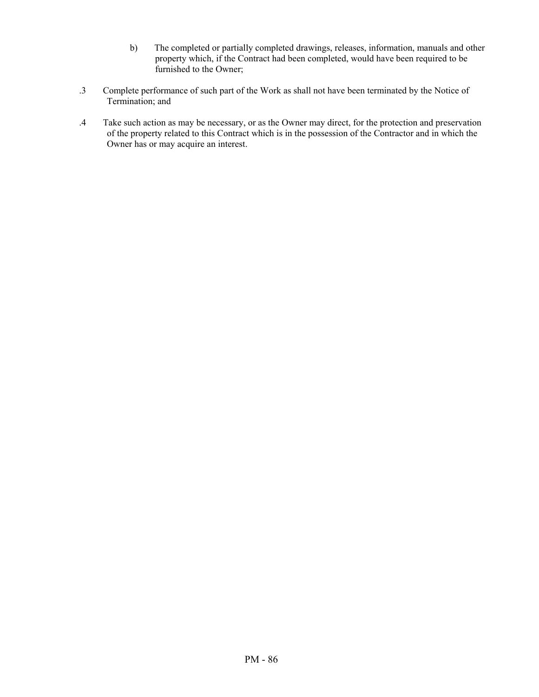- b) The completed or partially completed drawings, releases, information, manuals and other property which, if the Contract had been completed, would have been required to be furnished to the Owner;
- .3 Complete performance of such part of the Work as shall not have been terminated by the Notice of Termination; and
- .4 Take such action as may be necessary, or as the Owner may direct, for the protection and preservation of the property related to this Contract which is in the possession of the Contractor and in which the Owner has or may acquire an interest.